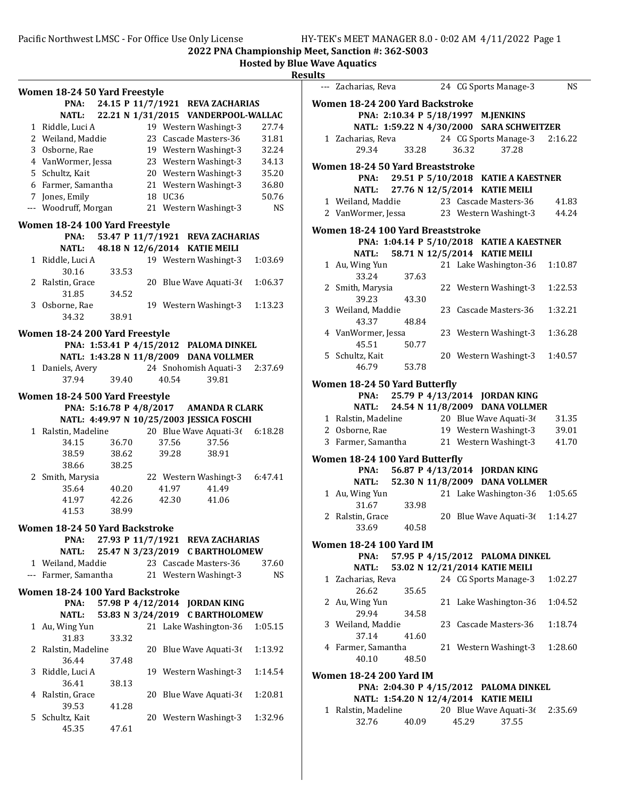|                                                                            |                                       |             |    |         |                                                |           | ĸe. |
|----------------------------------------------------------------------------|---------------------------------------|-------------|----|---------|------------------------------------------------|-----------|-----|
|                                                                            | Women 18-24 50 Yard Freestyle         |             |    |         |                                                |           |     |
|                                                                            | PNA:                                  |             |    |         | 24.15 P 11/7/1921 REVA ZACHARIAS               |           |     |
|                                                                            | <b>NATL:</b>                          |             |    |         | 22.21 N 1/31/2015 VANDERPOOL-WALLAC            |           |     |
|                                                                            | 1 Riddle, Luci A                      |             |    |         | 19 Western Washingt-3                          | 27.74     |     |
|                                                                            | 2 Weiland, Maddie                     |             |    |         | 23 Cascade Masters-36                          | 31.81     |     |
|                                                                            | 3 Osborne, Rae                        |             |    |         | 19 Western Washingt-3                          | 32.24     |     |
|                                                                            | 4 VanWormer, Jessa                    |             |    |         | 23 Western Washingt-3                          | 34.13     |     |
|                                                                            | 5 Schultz, Kait                       |             |    |         | 20 Western Washingt-3                          | 35.20     |     |
|                                                                            | 6 Farmer, Samantha                    |             |    |         | 21 Western Washingt-3                          | 36.80     |     |
|                                                                            |                                       |             |    |         |                                                |           |     |
|                                                                            | 7 Jones, Emily                        |             |    | 18 UC36 |                                                | 50.76     |     |
|                                                                            | --- Woodruff, Morgan                  |             |    |         | 21 Western Washingt-3                          | <b>NS</b> |     |
| Women 18-24 100 Yard Freestyle<br>53.47 P 11/7/1921 REVA ZACHARIAS<br>PNA: |                                       |             |    |         |                                                |           |     |
|                                                                            | <b>NATL:</b>                          |             |    |         | 48.18 N 12/6/2014 KATIE MEILI                  |           |     |
|                                                                            |                                       |             |    |         |                                                |           |     |
|                                                                            | 1 Riddle, Luci A                      |             |    |         | 19 Western Washingt-3                          | 1:03.69   |     |
|                                                                            | 30.16                                 | 33.53       |    |         |                                                |           |     |
|                                                                            | 2 Ralstin, Grace                      |             |    |         | 20 Blue Wave Aquati-36                         | 1:06.37   |     |
|                                                                            | 31.85                                 | 34.52       |    |         |                                                |           |     |
|                                                                            | 3 Osborne, Rae                        |             |    |         | 19 Western Washingt-3                          | 1:13.23   |     |
|                                                                            | 34.32                                 | 38.91       |    |         |                                                |           |     |
|                                                                            | Women 18-24 200 Yard Freestyle        |             |    |         |                                                |           |     |
|                                                                            |                                       |             |    |         | PNA: 1:53.41 P 4/15/2012 PALOMA DINKEL         |           |     |
|                                                                            |                                       |             |    |         | NATL: 1:43.28 N 11/8/2009 DANA VOLLMER         |           |     |
|                                                                            |                                       |             |    |         | 1 Daniels, Avery 24 Snohomish Aquati-3 2:37.69 |           |     |
|                                                                            | 37.94                                 |             |    |         | 39.81                                          |           |     |
|                                                                            |                                       | 39.40       |    | 40.54   |                                                |           |     |
|                                                                            | Women 18-24 500 Yard Freestyle        |             |    |         |                                                |           |     |
|                                                                            |                                       |             |    |         | PNA: 5:16.78 P 4/8/2017 AMANDA R CLARK         |           |     |
|                                                                            |                                       |             |    |         | NATL: 4:49.97 N 10/25/2003 JESSICA FOSCHI      |           |     |
|                                                                            | 1 Ralstin, Madeline                   |             |    |         | 20 Blue Wave Aquati-3( 6:18.28                 |           |     |
|                                                                            | 34.15                                 | 36.70       |    | 37.56   | 37.56                                          |           |     |
|                                                                            | 38.59                                 | 38.62       |    | 39.28   | 38.91                                          |           |     |
|                                                                            | 38.66                                 | 38.25       |    |         |                                                |           |     |
|                                                                            |                                       |             |    |         | 22 Western Washingt-3 6:47.41                  |           |     |
|                                                                            | 2 Smith, Marysia                      | 40.20       |    | 41.97   |                                                |           |     |
|                                                                            | 35.64                                 |             |    |         | 41.49                                          |           |     |
|                                                                            |                                       | 41.97 42.26 |    | 42.30   | 41.06                                          |           |     |
|                                                                            |                                       | 41.53 38.99 |    |         |                                                |           |     |
|                                                                            | <b>Women 18-24 50 Yard Backstroke</b> |             |    |         |                                                |           |     |
|                                                                            | PNA:                                  |             |    |         | 27.93 P 11/7/1921 REVA ZACHARIAS               |           |     |
|                                                                            | <b>NATL:</b>                          |             |    |         | 25.47 N 3/23/2019 C BARTHOLOMEW                |           |     |
|                                                                            | 1 Weiland, Maddie                     |             |    |         | 23 Cascade Masters-36                          | 37.60     |     |
|                                                                            | --- Farmer, Samantha                  |             |    |         | 21 Western Washingt-3                          | NS        |     |
|                                                                            |                                       |             |    |         |                                                |           |     |
|                                                                            | Women 18-24 100 Yard Backstroke       |             |    |         |                                                |           |     |
|                                                                            | PNA:                                  |             |    |         | 57.98 P 4/12/2014 JORDAN KING                  |           |     |
|                                                                            | <b>NATL:</b>                          |             |    |         | 53.83 N 3/24/2019 C BARTHOLOMEW                |           |     |
|                                                                            | 1 Au, Wing Yun                        |             |    |         | 21 Lake Washington-36                          | 1:05.15   |     |
|                                                                            | 31.83                                 | 33.32       |    |         |                                                |           |     |
|                                                                            | 2 Ralstin, Madeline                   |             |    |         | 20 Blue Wave Aquati-36                         | 1:13.92   |     |
|                                                                            | 36.44                                 | 37.48       |    |         |                                                |           |     |
|                                                                            |                                       |             |    |         |                                                |           |     |
|                                                                            | 3 Riddle, Luci A                      |             |    |         | 19 Western Washingt-3                          | 1:14.54   |     |
|                                                                            | 36.41                                 | 38.13       |    |         |                                                |           |     |
|                                                                            | 4 Ralstin, Grace                      |             | 20 |         | Blue Wave Aquati-36                            | 1:20.81   |     |
|                                                                            | 39.53                                 | 41.28       |    |         |                                                |           |     |
|                                                                            | 5 Schultz, Kait                       |             |    |         | 20 Western Washingt-3                          | 1:32.96   |     |
|                                                                            | 45.35                                 | 47.61       |    |         |                                                |           |     |
|                                                                            |                                       |             |    |         |                                                |           |     |

| படல                                                        |                                   |             |  |       |                                                          |           |  |
|------------------------------------------------------------|-----------------------------------|-------------|--|-------|----------------------------------------------------------|-----------|--|
|                                                            | --- Zacharias, Reva               |             |  |       | 24 CG Sports Manage-3                                    | <b>NS</b> |  |
|                                                            | Women 18-24 200 Yard Backstroke   |             |  |       |                                                          |           |  |
|                                                            |                                   |             |  |       | PNA: 2:10.34 P 5/18/1997 M.JENKINS                       |           |  |
|                                                            |                                   |             |  |       | NATL: 1:59.22 N 4/30/2000 SARA SCHWEITZER                |           |  |
|                                                            | 29.34                             | 33.28       |  | 36.32 | 1 Zacharias, Reva 24 CG Sports Manage-3 2:16.22<br>37.28 |           |  |
|                                                            | Women 18-24 50 Yard Breaststroke  |             |  |       |                                                          |           |  |
|                                                            |                                   |             |  |       | PNA: 29.51 P 5/10/2018 KATIE A KAESTNER                  |           |  |
|                                                            |                                   |             |  |       | NATL: 27.76 N 12/5/2014 KATIE MEILI                      |           |  |
|                                                            |                                   |             |  |       | 1 Weiland, Maddie 23 Cascade Masters-36                  | 41.83     |  |
|                                                            |                                   |             |  |       | 2 VanWormer, Jessa 23 Western Washingt-3                 | 44.24     |  |
|                                                            | Women 18-24 100 Yard Breaststroke |             |  |       |                                                          |           |  |
| PNA: 1:04.14 P 5/10/2018 KATIE A KAESTNER                  |                                   |             |  |       |                                                          |           |  |
|                                                            |                                   |             |  |       | NATL: 58.71 N 12/5/2014 KATIE MEILI                      |           |  |
|                                                            | 1 Au, Wing Yun                    |             |  |       | 21 Lake Washington-36                                    | 1:10.87   |  |
|                                                            | 33.24                             | 37.63       |  |       |                                                          |           |  |
|                                                            | 2 Smith, Marysia                  |             |  |       | 22 Western Washingt-3                                    | 1:22.53   |  |
|                                                            | 39.23                             | 43.30       |  |       |                                                          |           |  |
|                                                            | 3 Weiland, Maddie<br>43.37        | 48.84       |  |       | 23 Cascade Masters-36                                    | 1:32.21   |  |
|                                                            | 4 VanWormer, Jessa                |             |  |       | 23 Western Washingt-3                                    | 1:36.28   |  |
|                                                            | 45.51                             | 50.77       |  |       |                                                          |           |  |
|                                                            | 5 Schultz, Kait                   |             |  |       | 20 Western Washingt-3                                    | 1:40.57   |  |
|                                                            | 46.79                             | 53.78       |  |       |                                                          |           |  |
| Women 18-24 50 Yard Butterfly                              |                                   |             |  |       |                                                          |           |  |
|                                                            | PNA:                              |             |  |       | 25.79 P 4/13/2014 JORDAN KING                            |           |  |
|                                                            | NATL:                             |             |  |       | 24.54 N 11/8/2009 DANA VOLLMER                           |           |  |
|                                                            |                                   |             |  |       | 1 Ralstin, Madeline 20 Blue Wave Aquati-36               | 31.35     |  |
|                                                            | 2 Osborne, Rae                    |             |  |       | 19 Western Washingt-3 39.01                              |           |  |
|                                                            | 3 Farmer, Samantha                |             |  |       | 21 Western Washingt-3                                    | 41.70     |  |
|                                                            | Women 18-24 100 Yard Butterfly    |             |  |       |                                                          |           |  |
|                                                            | PNA:                              |             |  |       | 56.87 P 4/13/2014 JORDAN KING                            |           |  |
|                                                            |                                   |             |  |       | NATL: 52.30 N 11/8/2009 DANA VOLLMER                     |           |  |
|                                                            | 1 Au, Wing Yun                    |             |  |       | 21 Lake Washington-36 1:05.65                            |           |  |
|                                                            | 31.67                             | 33.98       |  |       |                                                          |           |  |
|                                                            | 2 Ralstin, Grace                  | 33.69 40.58 |  |       | 20 Blue Wave Aquati-3( 1:14.27                           |           |  |
|                                                            |                                   |             |  |       |                                                          |           |  |
| Women 18-24 100 Yard IM<br>57.95 P 4/15/2012 PALOMA DINKEL |                                   |             |  |       |                                                          |           |  |
|                                                            | PNA:<br><b>NATL:</b>              |             |  |       | 53.02 N 12/21/2014 KATIE MEILI                           |           |  |
|                                                            | 1 Zacharias, Reva                 |             |  |       | 24 CG Sports Manage-3                                    | 1:02.27   |  |
|                                                            | 26.62                             | 35.65       |  |       |                                                          |           |  |
|                                                            | 2 Au, Wing Yun                    |             |  |       | 21 Lake Washington-36                                    | 1:04.52   |  |
|                                                            | 29.94                             | 34.58       |  |       |                                                          |           |  |
| 3                                                          | Weiland, Maddie                   |             |  |       | 23 Cascade Masters-36                                    | 1:18.74   |  |
|                                                            | 37.14                             | 41.60       |  |       |                                                          |           |  |
|                                                            | 4 Farmer, Samantha                |             |  |       | 21 Western Washingt-3                                    | 1:28.60   |  |
|                                                            | 40.10                             | 48.50       |  |       |                                                          |           |  |
| Women 18-24 200 Yard IM                                    |                                   |             |  |       |                                                          |           |  |
|                                                            |                                   |             |  |       | PNA: 2:04.30 P 4/15/2012 PALOMA DINKEL                   |           |  |
|                                                            |                                   |             |  |       | NATL: 1:54.20 N 12/4/2014 KATIE MEILI                    |           |  |
|                                                            | 1 Ralstin, Madeline               |             |  |       | 20 Blue Wave Aquati-3( 2:35.69                           |           |  |
|                                                            | 32.76                             | 40.09       |  | 45.29 | 37.55                                                    |           |  |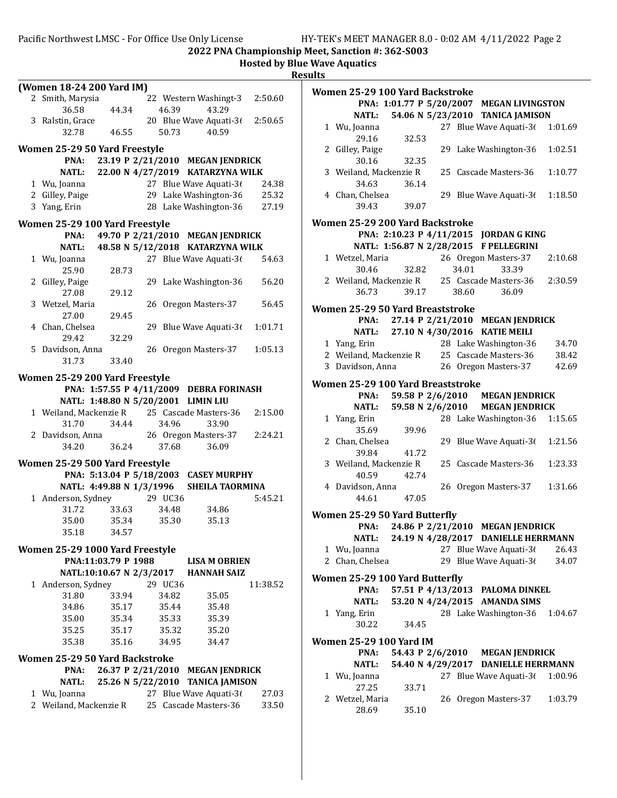|                                                                    | (Women 18-24 200 Yard IM)      |                          |    |         |                                              |          |
|--------------------------------------------------------------------|--------------------------------|--------------------------|----|---------|----------------------------------------------|----------|
|                                                                    | 2 Smith, Marysia               |                          |    |         | 22 Western Washingt-3                        | 2:50.60  |
|                                                                    | 36.58                          |                          |    |         | 43.29                                        |          |
|                                                                    |                                | 44.34                    |    | 46.39   | 20 Blue Wave Aquati-36                       |          |
|                                                                    | 3 Ralstin, Grace<br>32.78      | 46.55                    |    |         | 40.59                                        | 2:50.65  |
|                                                                    |                                |                          |    | 50.73   |                                              |          |
|                                                                    | Women 25-29 50 Yard Freestyle  |                          |    |         |                                              |          |
|                                                                    | PNA:                           |                          |    |         | 23.19 P 2/21/2010 MEGAN JENDRICK             |          |
|                                                                    | <b>NATL:</b>                   |                          |    |         | 22.00 N 4/27/2019 KATARZYNA WILK             |          |
|                                                                    | 1 Wu, Joanna                   |                          |    |         | 27 Blue Wave Aquati-36                       | 24.38    |
|                                                                    | 2 Gilley, Paige                |                          |    |         | 29 Lake Washington-36                        | 25.32    |
|                                                                    | 3 Yang, Erin                   |                          |    |         | 28 Lake Washington-36                        | 27.19    |
|                                                                    |                                |                          |    |         |                                              |          |
| Women 25-29 100 Yard Freestyle<br>49.70 P 2/21/2010 MEGAN JENDRICK |                                |                          |    |         |                                              |          |
|                                                                    | PNA:                           |                          |    |         |                                              |          |
|                                                                    | NATL:                          | 48.58 N 5/12/2018        |    |         | <b>KATARZYNA WILK</b>                        |          |
|                                                                    | 1 Wu, Joanna                   |                          |    |         | 27 Blue Wave Aquati-36                       | 54.63    |
|                                                                    | 25.90                          | 28.73                    |    |         |                                              |          |
|                                                                    | 2 Gilley, Paige                |                          |    |         | 29 Lake Washington-36                        | 56.20    |
|                                                                    | 27.08                          | 29.12                    |    |         |                                              |          |
|                                                                    | 3 Wetzel, Maria                |                          |    |         | 26 Oregon Masters-37                         | 56.45    |
|                                                                    | 27.00                          | 29.45                    |    |         |                                              |          |
|                                                                    | 4 Chan, Chelsea                |                          | 29 |         | Blue Wave Aquati-36                          | 1:01.71  |
|                                                                    | 29.42                          | 32.29                    |    |         |                                              |          |
|                                                                    | 5 Davidson, Anna               |                          |    |         | 26 Oregon Masters-37                         | 1:05.13  |
|                                                                    | 31.73                          | 33.40                    |    |         |                                              |          |
|                                                                    | Women 25-29 200 Yard Freestyle |                          |    |         |                                              |          |
|                                                                    |                                |                          |    |         | PNA: 1:57.55 P 4/11/2009 DEBRA FORINASH      |          |
|                                                                    |                                |                          |    |         | NATL: 1:48.80 N 5/20/2001 LIMIN LIU          |          |
|                                                                    | 1 Weiland, Mackenzie R         |                          |    |         | 25 Cascade Masters-36                        | 2:15.00  |
|                                                                    | 31.70                          | 34.44                    |    | 34.96   | 33.90                                        |          |
|                                                                    | 2 Davidson, Anna               |                          |    |         | 26 Oregon Masters-37                         | 2:24.21  |
|                                                                    | 34.20                          | 36.24                    |    | 37.68   | 36.09                                        |          |
|                                                                    | Women 25-29 500 Yard Freestyle |                          |    |         |                                              |          |
|                                                                    |                                | PNA: 5:13.04 P 5/18/2003 |    |         | <b>CASEY MURPHY</b>                          |          |
|                                                                    |                                | NATL: 4:49.88 N 1/3/1996 |    |         | <b>SHEILA TAORMINA</b>                       |          |
|                                                                    | 1 Anderson, Sydney             |                          |    | 29 UC36 |                                              | 5:45.21  |
|                                                                    | 31.72                          | 33.63                    |    | 34.48   | 34.86                                        |          |
|                                                                    | 35.00                          | 35.34                    |    | 35.30   | 35.13                                        |          |
|                                                                    | 35.18                          | 34.57                    |    |         |                                              |          |
|                                                                    |                                |                          |    |         |                                              |          |
| Women 25-29 1000 Yard Freestyle                                    |                                |                          |    |         |                                              |          |
|                                                                    |                                | PNA:11:03.79 P 1988      |    |         | <b>LISA M OBRIEN</b>                         |          |
|                                                                    |                                | NATL:10:10.67 N 2/3/2017 |    |         | <b>HANNAH SAIZ</b>                           |          |
|                                                                    | 1 Anderson, Sydney             |                          |    | 29 UC36 |                                              | 11:38.52 |
|                                                                    | 31.80                          | 33.94                    |    | 34.82   | 35.05                                        |          |
|                                                                    | 34.86                          | 35.17                    |    | 35.44   | 35.48                                        |          |
|                                                                    | 35.00                          | 35.34                    |    | 35.33   | 35.39                                        |          |
|                                                                    | 35.25                          | 35.17                    |    | 35.32   | 35.20                                        |          |
|                                                                    | 35.38                          | 35.16                    |    | 34.95   | 34.47                                        |          |
|                                                                    |                                |                          |    |         |                                              |          |
|                                                                    | Women 25-29 50 Yard Backstroke |                          |    |         |                                              |          |
|                                                                    | PNA:                           | 26.37 P 2/21/2010        |    |         | <b>MEGAN JENDRICK</b>                        |          |
|                                                                    | <b>NATL:</b>                   |                          |    |         | 25.26 N 5/22/2010 TANICA JAMISON             |          |
|                                                                    | 1 Wu, Joanna                   |                          |    |         | 27 Blue Wave Aquati-36                       | 27.03    |
|                                                                    |                                |                          |    |         | 2 Weiland, Mackenzie R 25 Cascade Masters-36 | 33.50    |

|                                |                          | Women 25-29 100 Yard Backstroke   |  |       |                                              |         |
|--------------------------------|--------------------------|-----------------------------------|--|-------|----------------------------------------------|---------|
|                                |                          |                                   |  |       | PNA: 1:01.77 P 5/20/2007 MEGAN LIVINGSTON    |         |
|                                | <b>NATL:</b>             |                                   |  |       | 54.06 N 5/23/2010 TANICA JAMISON             |         |
|                                | 1 Wu, Joanna<br>29.16    | 32.53                             |  |       | 27 Blue Wave Aquati-36                       | 1:01.69 |
|                                | 2 Gilley, Paige<br>30.16 | 32.35                             |  |       | 29 Lake Washington-36                        | 1:02.51 |
|                                |                          | 3 Weiland, Mackenzie R            |  |       | 25 Cascade Masters-36                        | 1:10.77 |
|                                | 34.63<br>4 Chan, Chelsea | 36.14                             |  |       | 29 Blue Wave Aquati-36                       | 1:18.50 |
|                                | 39.43                    | 39.07                             |  |       |                                              |         |
|                                |                          | Women 25-29 200 Yard Backstroke   |  |       | PNA: 2:10.23 P 4/11/2015 JORDAN G KING       |         |
|                                |                          |                                   |  |       | NATL: 1:56.87 N 2/28/2015 F PELLEGRINI       |         |
|                                | 1 Wetzel, Maria          |                                   |  |       | 26 Oregon Masters-37                         | 2:10.68 |
|                                | 30.46                    | 32.82                             |  | 34.01 | 33.39                                        |         |
|                                |                          |                                   |  |       | 2 Weiland, Mackenzie R 25 Cascade Masters-36 | 2:30.59 |
|                                | 36.73                    | 39.17                             |  | 38.60 | 36.09                                        |         |
|                                |                          | Women 25-29 50 Yard Breaststroke  |  |       |                                              |         |
|                                |                          |                                   |  |       | PNA: 27.14 P 2/21/2010 MEGAN JENDRICK        |         |
|                                |                          |                                   |  |       | NATL: 27.10 N 4/30/2016 KATIE MEILI          |         |
|                                | 1 Yang, Erin             |                                   |  |       | 28 Lake Washington-36                        | 34.70   |
|                                |                          |                                   |  |       | 2 Weiland, Mackenzie R 25 Cascade Masters-36 | 38.42   |
|                                | 3 Davidson, Anna         |                                   |  |       | 26 Oregon Masters-37                         | 42.69   |
|                                |                          | Women 25-29 100 Yard Breaststroke |  |       |                                              |         |
|                                |                          |                                   |  |       | PNA: 59.58 P 2/6/2010 MEGAN JENDRICK         |         |
|                                |                          |                                   |  |       | NATL: 59.58 N 2/6/2010 MEGAN JENDRICK        |         |
|                                | 1 Yang, Erin             |                                   |  |       | 28 Lake Washington-36                        | 1:15.65 |
|                                | 35.69                    | 39.96                             |  |       |                                              |         |
|                                | 2 Chan, Chelsea<br>39.84 | 41.72                             |  |       | 29 Blue Wave Aquati-36                       | 1:21.56 |
|                                | 3 Weiland, Mackenzie R   |                                   |  |       | 25 Cascade Masters-36                        | 1:23.33 |
|                                | 40.59                    | 42.74                             |  |       |                                              |         |
|                                | 4 Davidson, Anna         |                                   |  |       | 26 Oregon Masters-37                         | 1:31.66 |
|                                | 44.61                    | 47.05                             |  |       |                                              |         |
| Women 25-29 50 Yard Butterfly  |                          |                                   |  |       |                                              |         |
|                                |                          | PNA: 24.86 P 2/21/2010            |  |       | <b>MEGAN JENDRICK</b>                        |         |
|                                | NATL:                    |                                   |  |       | 24.19 N 4/28/2017 DANIELLE HERRMANN          |         |
|                                | 1 Wu, Joanna             |                                   |  |       | 27 Blue Wave Aquati-36                       | 26.43   |
|                                | 2 Chan, Chelsea          |                                   |  |       | 29 Blue Wave Aquati-36                       | 34.07   |
| Women 25-29 100 Yard Butterfly |                          |                                   |  |       |                                              |         |
|                                | PNA:                     |                                   |  |       | 57.51 P 4/13/2013 PALOMA DINKEL              |         |
|                                | NATL:                    | 53.20 N 4/24/2015                 |  |       | <b>AMANDA SIMS</b>                           |         |
|                                | 1 Yang, Erin             |                                   |  |       | 28 Lake Washington-36                        | 1:04.67 |
|                                | 30.22                    | 34.45                             |  |       |                                              |         |
| <b>Women 25-29 100 Yard IM</b> |                          |                                   |  |       |                                              |         |
|                                | PNA:                     |                                   |  |       | 54.43 P 2/6/2010 MEGAN JENDRICK              |         |
|                                | <b>NATL:</b>             |                                   |  |       | 54.40 N 4/29/2017 DANIELLE HERRMANN          |         |
|                                | 1 Wu, Joanna             |                                   |  |       | 27 Blue Wave Aquati-36                       | 1:00.96 |
|                                | 27.25                    | 33.71                             |  |       |                                              |         |
|                                | 2 Wetzel, Maria          |                                   |  |       | 26 Oregon Masters-37                         | 1:03.79 |
|                                | 28.69                    | 35.10                             |  |       |                                              |         |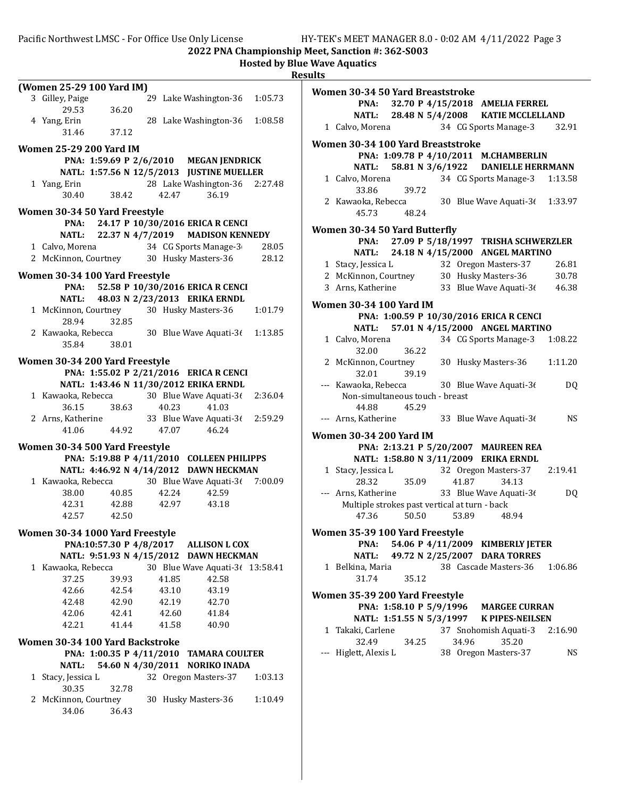|                                       |                |                                                 |         | <b>Hosted by Blue Wave Aquatics</b><br><b>Results</b> |
|---------------------------------------|----------------|-------------------------------------------------|---------|-------------------------------------------------------|
| (Women 25-29 100 Yard IM)             |                |                                                 |         | <b>Women 30-34</b>                                    |
| 3 Gilley, Paige                       |                | 29 Lake Washington-36                           | 1:05.73 | PNA:                                                  |
| 29.53                                 | 36.20          |                                                 |         | <b>NATL:</b>                                          |
| 4 Yang, Erin                          |                | 28 Lake Washington-36                           | 1:08.58 | 1 Calvo, More                                         |
| 31.46                                 | 37.12          |                                                 |         |                                                       |
| <b>Women 25-29 200 Yard IM</b>        |                |                                                 |         | <b>Women 30-34</b>                                    |
|                                       |                | PNA: 1:59.69 P 2/6/2010 MEGAN JENDRICK          |         | PNA:                                                  |
|                                       |                | NATL: 1:57.56 N 12/5/2013 JUSTINE MUELLER       |         | <b>NATL:</b>                                          |
| 1 Yang, Erin                          |                | 28 Lake Washington-36                           | 2:27.48 | 1 Calvo, More                                         |
| 30.40                                 | 38.42          | 42.47<br>36.19                                  |         | 33.86                                                 |
|                                       |                |                                                 |         | 2 Kawaoka, F<br>45.73                                 |
| Women 30-34 50 Yard Freestyle<br>PNA: |                | 24.17 P 10/30/2016 ERICA R CENCI                |         |                                                       |
| <b>NATL:</b>                          |                | 22.37 N 4/7/2019<br><b>MADISON KENNEDY</b>      |         | <b>Women 30-34</b>                                    |
| 1 Calvo, Morena                       |                | 34 CG Sports Manage-3                           | 28.05   | PNA:                                                  |
|                                       |                | 2 McKinnon, Courtney 30 Husky Masters-36        | 28.12   | <b>NATL:</b>                                          |
|                                       |                |                                                 |         | 1 Stacy, Jessi                                        |
| Women 30-34 100 Yard Freestyle        |                |                                                 |         | 2 McKinnon,                                           |
| PNA:                                  |                | 52.58 P 10/30/2016 ERICA R CENCI                |         | 3 Arns, Kathe                                         |
| <b>NATL:</b>                          |                | 48.03 N 2/23/2013 ERIKA ERNDL                   |         | <b>Women 30-34</b>                                    |
| 1 McKinnon, Courtney                  |                | 30 Husky Masters-36                             | 1:01.79 | PNA:                                                  |
| 28.94                                 | 32.85          |                                                 |         | <b>NATL:</b>                                          |
| 2 Kawaoka, Rebecca                    |                | 30 Blue Wave Aquati-3( 1:13.85                  |         | 1 Calvo, More                                         |
| 35.84                                 | 38.01          |                                                 |         | 32.00                                                 |
| Women 30-34 200 Yard Freestyle        |                |                                                 |         | 2 McKinnon,                                           |
|                                       |                | PNA: 1:55.02 P 2/21/2016 ERICA R CENCI          |         | 32.01                                                 |
|                                       |                | NATL: 1:43.46 N 11/30/2012 ERIKA ERNDL          |         | --- Kawaoka, F                                        |
| 1 Kawaoka, Rebecca                    |                | 30 Blue Wave Aquati-36                          | 2:36.04 | Non-simu                                              |
| 36.15                                 | 38.63          | 40.23<br>41.03                                  |         | 44.88                                                 |
| 36.15 38.63<br>2 Arns, Katherine      |                | 33 Blue Wave Aquati-3(2:59.29                   |         | --- Arns, Kathe                                       |
| 41.06                                 | 44.92          | 47.07<br>46.24                                  |         | <b>Women 30-34</b>                                    |
| Women 30-34 500 Yard Freestyle        |                |                                                 |         | PNA:                                                  |
|                                       |                | PNA: 5:19.88 P 4/11/2010 COLLEEN PHILIPPS       |         | <b>NATL:</b>                                          |
|                                       |                | NATL: 4:46.92 N 4/14/2012 DAWN HECKMAN          |         | 1 Stacy, Jessi                                        |
|                                       |                | 1 Kawaoka, Rebecca 30 Blue Wave Aquati-36       | 7:00.09 | 28.32                                                 |
| 38.00                                 | 40.85          | 42.24<br>42.59                                  |         | --- Arns, Kathe                                       |
| 42.31                                 | 42.88          | 42.97<br>43.18                                  |         | Multiple s                                            |
| 42.57                                 | 42.50          |                                                 |         | 47.36                                                 |
|                                       |                |                                                 |         |                                                       |
| Women 30-34 1000 Yard Freestyle       |                |                                                 |         | <b>Women 35-39</b>                                    |
|                                       |                | PNA:10:57.30 P 4/8/2017<br><b>ALLISON L COX</b> |         | PNA:                                                  |
|                                       |                | NATL: 9:51.93 N 4/15/2012 DAWN HECKMAN          |         | <b>NATL:</b>                                          |
| 1 Kawaoka, Rebecca                    |                | 30 Blue Wave Aquati-3( 13:58.41<br>42.58        |         | 1 Belkina, Ma<br>31.74                                |
| 37.25                                 | 39.93          | 41.85                                           |         |                                                       |
| 42.66<br>42.48                        | 42.54<br>42.90 | 43.10<br>43.19<br>42.19                         |         | <b>Women 35-39</b>                                    |
|                                       |                | 42.70                                           |         | PNA:                                                  |
| 42.06<br>42.21                        | 42.41<br>41.44 | 42.60<br>41.84<br>41.58                         |         | <b>NATL:</b>                                          |
|                                       |                | 40.90                                           |         | 1 Takaki, Car                                         |
| Women 30-34 100 Yard Backstroke       |                |                                                 |         | 32.49                                                 |
|                                       |                | PNA: 1:00.35 P 4/11/2010 TAMARA COULTER         |         | --- Higlett, Ale:                                     |
| <b>NATL:</b>                          |                | 54.60 N 4/30/2011 NORIKO INADA                  |         |                                                       |
| 1 Stacy, Jessica L                    |                | 32 Oregon Masters-37                            | 1:03.13 |                                                       |
| 30.35                                 | 32.78          |                                                 |         |                                                       |
| 2 McKinnon, Courtney                  |                | 30 Husky Masters-36                             | 1:10.49 |                                                       |
| 34.06                                 | 36.43          |                                                 |         |                                                       |
|                                       |                |                                                 |         |                                                       |

| Women 30-34 50 Yard Breaststroke              |       |       |                                                                |           |
|-----------------------------------------------|-------|-------|----------------------------------------------------------------|-----------|
|                                               |       |       | PNA: 32.70 P 4/15/2018 AMELIA FERREL                           |           |
|                                               |       |       | NATL: 28.48 N 5/4/2008 KATIE MCCLELLAND                        |           |
| 1 Calvo, Morena                               |       |       | 34 CG Sports Manage-3                                          | 32.91     |
| Women 30-34 100 Yard Breaststroke             |       |       |                                                                |           |
|                                               |       |       | PNA: 1:09.78 P 4/10/2011 M.CHAMBERLIN                          |           |
|                                               |       |       | NATL: 58.81 N 3/6/1922 DANIELLE HERRMANN                       |           |
| 1 Calvo, Morena                               |       |       | 34 CG Sports Manage-3                                          | 1:13.58   |
| 33.86                                         | 39.72 |       |                                                                |           |
| 2 Kawaoka, Rebecca                            |       |       | 30 Blue Wave Aquati-3( 1:33.97                                 |           |
| 45.73                                         | 48.24 |       |                                                                |           |
| Women 30-34 50 Yard Butterfly                 |       |       |                                                                |           |
|                                               |       |       | PNA: 27.09 P 5/18/1997 TRISHA SCHWERZLER                       |           |
|                                               |       |       | NATL: 24.18 N 4/15/2000 ANGEL MARTINO                          |           |
| 1 Stacy, Jessica L                            |       |       | 32 Oregon Masters-37                                           | 26.81     |
| 2 McKinnon, Courtney 30 Husky Masters-36      |       |       |                                                                | 30.78     |
| 3 Arns, Katherine                             |       |       | 33 Blue Wave Aquati-36 46.38                                   |           |
|                                               |       |       |                                                                |           |
| Women 30-34 100 Yard IM                       |       |       |                                                                |           |
|                                               |       |       | PNA: 1:00.59 P 10/30/2016 ERICA R CENCI                        |           |
|                                               |       |       | NATL: 57.01 N 4/15/2000 ANGEL MARTINO<br>34 CG Sports Manage-3 |           |
| 1 Calvo, Morena<br>32.00                      | 36.22 |       |                                                                | 1:08.22   |
|                                               |       |       | 30 Husky Masters-36                                            | 1:11.20   |
| 2 McKinnon, Courtney<br>32.01 39.19           |       |       |                                                                |           |
| --- Kawaoka, Rebecca 30 Blue Wave Aquati-36   |       |       |                                                                | DQ        |
| Non-simultaneous touch - breast               |       |       |                                                                |           |
| 44.88                                         | 45.29 |       |                                                                |           |
| --- Arns, Katherine                           |       |       | 33 Blue Wave Aquati-36                                         | <b>NS</b> |
|                                               |       |       |                                                                |           |
| <b>Women 30-34 200 Yard IM</b>                |       |       |                                                                |           |
|                                               |       |       | PNA: 2:13.21 P 5/20/2007 MAUREEN REA                           |           |
|                                               |       |       | NATL: 1:58.80 N 3/11/2009 ERIKA ERNDL                          |           |
| 1 Stacy, Jessica L                            | 35.09 |       | 32 Oregon Masters-37 2:19.41<br>34.13                          |           |
| 28.32<br>--- Arns, Katherine                  |       | 41.87 | 33 Blue Wave Aquati-36                                         | <b>DQ</b> |
| Multiple strokes past vertical at turn - back |       |       |                                                                |           |
| 47.36                                         | 50.50 | 53.89 | 48.94                                                          |           |
|                                               |       |       |                                                                |           |
| Women 35-39 100 Yard Freestyle                |       |       |                                                                |           |
| PNA:                                          |       |       | 54.06 P 4/11/2009 KIMBERLY JETER                               |           |
| <b>NATL:</b>                                  |       |       | 49.72 N 2/25/2007 DARA TORRES                                  |           |
| 1 Belkina, Maria                              |       |       | 38 Cascade Masters-36                                          | 1:06.86   |
| 31.74                                         | 35.12 |       |                                                                |           |
| Women 35-39 200 Yard Freestyle                |       |       |                                                                |           |
|                                               |       |       | PNA: 1:58.10 P 5/9/1996 MARGEE CURRAN                          |           |
|                                               |       |       | NATL: 1:51.55 N 5/3/1997 K PIPES-NEILSEN                       |           |
| 1 Takaki, Carlene                             |       |       | 37 Snohomish Aquati-3 2:16.90                                  |           |
| 32.49                                         | 34.25 | 34.96 | 35.20                                                          |           |

Higlett, Alexis L 38 Oregon Masters-37 NS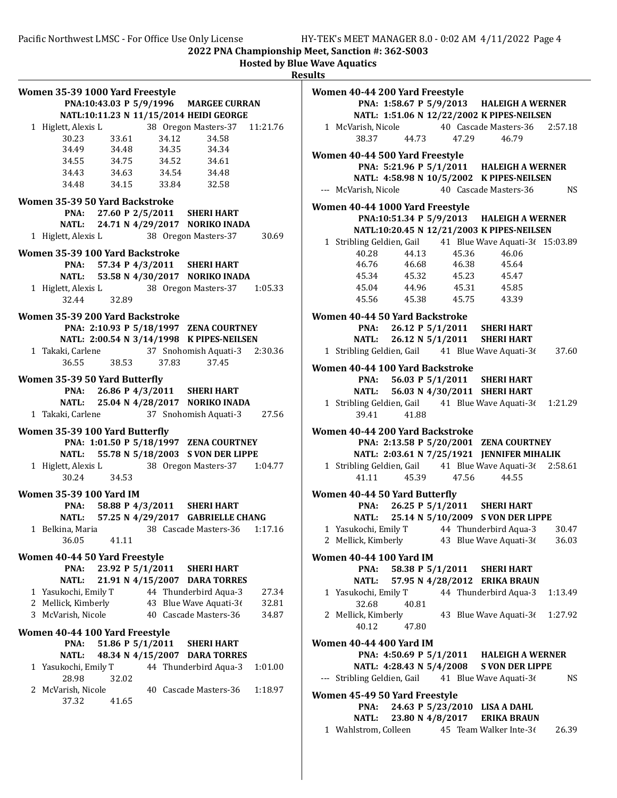| PNA:10:43.03 P 5/9/1996 MARGEE CURRAN<br>NATL:10:11.23 N 11/15/2014 HEIDI GEORGE<br>38 Oregon Masters-37 11:21.76<br>1 Higlett, Alexis L<br>30.23 33.61<br>34.49 34.48<br>34.12 34.58<br>34.35 34.34<br>$34.55$ $34.75$<br>$34.52$ $34.61$<br>34.43 34.63 34.54 34.48<br>34.48 34.15 33.84 32.58<br>Women 35-39 50 Yard Backstroke<br>PNA: 27.60 P 2/5/2011 SHERI HART<br>NATL: 24.71 N 4/29/2017 NORIKO INADA<br>1 Higlett, Alexis L 38 Oregon Masters-37 30.69<br>Women 35-39 100 Yard Backstroke<br>PNA: 57.34 P 4/3/2011 SHERI HART<br>NATL: 53.58 N 4/30/2017 NORIKO INADA<br>1 Higlett, Alexis L 38 Oregon Masters-37 1:05.33<br>32.89<br>32.44<br>Women 35-39 200 Yard Backstroke<br>PNA: 2:10.93 P 5/18/1997 ZENA COURTNEY<br>NATL: 2:00.54 N 3/14/1998 K PIPES-NEILSEN<br>1 Takaki, Carlene 37 Snohomish Aquati-3 2:30.36<br>36.55 38.53 37.83<br>37.45<br>Women 35-39 50 Yard Butterfly<br>PNA: 26.86 P 4/3/2011 SHERI HART<br>NATL: 25.04 N 4/28/2017 NORIKO INADA<br>1 Takaki, Carlene 37 Snohomish Aquati-3 27.56<br>Women 35-39 100 Yard Butterfly<br>PNA: 1:01.50 P 5/18/1997 ZENA COURTNEY<br>NATL: 55.78 N 5/18/2003 S VON DER LIPPE<br>1 Higlett, Alexis L 38 Oregon Masters-37 1:04.77<br>30.24 34.53 |
|--------------------------------------------------------------------------------------------------------------------------------------------------------------------------------------------------------------------------------------------------------------------------------------------------------------------------------------------------------------------------------------------------------------------------------------------------------------------------------------------------------------------------------------------------------------------------------------------------------------------------------------------------------------------------------------------------------------------------------------------------------------------------------------------------------------------------------------------------------------------------------------------------------------------------------------------------------------------------------------------------------------------------------------------------------------------------------------------------------------------------------------------------------------------------------------------------------------------------|
|                                                                                                                                                                                                                                                                                                                                                                                                                                                                                                                                                                                                                                                                                                                                                                                                                                                                                                                                                                                                                                                                                                                                                                                                                          |
|                                                                                                                                                                                                                                                                                                                                                                                                                                                                                                                                                                                                                                                                                                                                                                                                                                                                                                                                                                                                                                                                                                                                                                                                                          |
|                                                                                                                                                                                                                                                                                                                                                                                                                                                                                                                                                                                                                                                                                                                                                                                                                                                                                                                                                                                                                                                                                                                                                                                                                          |
|                                                                                                                                                                                                                                                                                                                                                                                                                                                                                                                                                                                                                                                                                                                                                                                                                                                                                                                                                                                                                                                                                                                                                                                                                          |
|                                                                                                                                                                                                                                                                                                                                                                                                                                                                                                                                                                                                                                                                                                                                                                                                                                                                                                                                                                                                                                                                                                                                                                                                                          |
|                                                                                                                                                                                                                                                                                                                                                                                                                                                                                                                                                                                                                                                                                                                                                                                                                                                                                                                                                                                                                                                                                                                                                                                                                          |
|                                                                                                                                                                                                                                                                                                                                                                                                                                                                                                                                                                                                                                                                                                                                                                                                                                                                                                                                                                                                                                                                                                                                                                                                                          |
|                                                                                                                                                                                                                                                                                                                                                                                                                                                                                                                                                                                                                                                                                                                                                                                                                                                                                                                                                                                                                                                                                                                                                                                                                          |
|                                                                                                                                                                                                                                                                                                                                                                                                                                                                                                                                                                                                                                                                                                                                                                                                                                                                                                                                                                                                                                                                                                                                                                                                                          |
|                                                                                                                                                                                                                                                                                                                                                                                                                                                                                                                                                                                                                                                                                                                                                                                                                                                                                                                                                                                                                                                                                                                                                                                                                          |
|                                                                                                                                                                                                                                                                                                                                                                                                                                                                                                                                                                                                                                                                                                                                                                                                                                                                                                                                                                                                                                                                                                                                                                                                                          |
|                                                                                                                                                                                                                                                                                                                                                                                                                                                                                                                                                                                                                                                                                                                                                                                                                                                                                                                                                                                                                                                                                                                                                                                                                          |
|                                                                                                                                                                                                                                                                                                                                                                                                                                                                                                                                                                                                                                                                                                                                                                                                                                                                                                                                                                                                                                                                                                                                                                                                                          |
|                                                                                                                                                                                                                                                                                                                                                                                                                                                                                                                                                                                                                                                                                                                                                                                                                                                                                                                                                                                                                                                                                                                                                                                                                          |
|                                                                                                                                                                                                                                                                                                                                                                                                                                                                                                                                                                                                                                                                                                                                                                                                                                                                                                                                                                                                                                                                                                                                                                                                                          |
|                                                                                                                                                                                                                                                                                                                                                                                                                                                                                                                                                                                                                                                                                                                                                                                                                                                                                                                                                                                                                                                                                                                                                                                                                          |
|                                                                                                                                                                                                                                                                                                                                                                                                                                                                                                                                                                                                                                                                                                                                                                                                                                                                                                                                                                                                                                                                                                                                                                                                                          |
|                                                                                                                                                                                                                                                                                                                                                                                                                                                                                                                                                                                                                                                                                                                                                                                                                                                                                                                                                                                                                                                                                                                                                                                                                          |
|                                                                                                                                                                                                                                                                                                                                                                                                                                                                                                                                                                                                                                                                                                                                                                                                                                                                                                                                                                                                                                                                                                                                                                                                                          |
|                                                                                                                                                                                                                                                                                                                                                                                                                                                                                                                                                                                                                                                                                                                                                                                                                                                                                                                                                                                                                                                                                                                                                                                                                          |
|                                                                                                                                                                                                                                                                                                                                                                                                                                                                                                                                                                                                                                                                                                                                                                                                                                                                                                                                                                                                                                                                                                                                                                                                                          |
|                                                                                                                                                                                                                                                                                                                                                                                                                                                                                                                                                                                                                                                                                                                                                                                                                                                                                                                                                                                                                                                                                                                                                                                                                          |
|                                                                                                                                                                                                                                                                                                                                                                                                                                                                                                                                                                                                                                                                                                                                                                                                                                                                                                                                                                                                                                                                                                                                                                                                                          |
|                                                                                                                                                                                                                                                                                                                                                                                                                                                                                                                                                                                                                                                                                                                                                                                                                                                                                                                                                                                                                                                                                                                                                                                                                          |
|                                                                                                                                                                                                                                                                                                                                                                                                                                                                                                                                                                                                                                                                                                                                                                                                                                                                                                                                                                                                                                                                                                                                                                                                                          |
|                                                                                                                                                                                                                                                                                                                                                                                                                                                                                                                                                                                                                                                                                                                                                                                                                                                                                                                                                                                                                                                                                                                                                                                                                          |
|                                                                                                                                                                                                                                                                                                                                                                                                                                                                                                                                                                                                                                                                                                                                                                                                                                                                                                                                                                                                                                                                                                                                                                                                                          |
|                                                                                                                                                                                                                                                                                                                                                                                                                                                                                                                                                                                                                                                                                                                                                                                                                                                                                                                                                                                                                                                                                                                                                                                                                          |
|                                                                                                                                                                                                                                                                                                                                                                                                                                                                                                                                                                                                                                                                                                                                                                                                                                                                                                                                                                                                                                                                                                                                                                                                                          |
|                                                                                                                                                                                                                                                                                                                                                                                                                                                                                                                                                                                                                                                                                                                                                                                                                                                                                                                                                                                                                                                                                                                                                                                                                          |
| <b>Women 35-39 100 Yard IM</b>                                                                                                                                                                                                                                                                                                                                                                                                                                                                                                                                                                                                                                                                                                                                                                                                                                                                                                                                                                                                                                                                                                                                                                                           |
| PNA: 58.88 P 4/3/2011 SHERI HART                                                                                                                                                                                                                                                                                                                                                                                                                                                                                                                                                                                                                                                                                                                                                                                                                                                                                                                                                                                                                                                                                                                                                                                         |
| NATL: 57.25 N 4/29/2017 GABRIELLE CHANG                                                                                                                                                                                                                                                                                                                                                                                                                                                                                                                                                                                                                                                                                                                                                                                                                                                                                                                                                                                                                                                                                                                                                                                  |
| 1 Belkina, Maria 38 Cascade Masters-36 1:17.16                                                                                                                                                                                                                                                                                                                                                                                                                                                                                                                                                                                                                                                                                                                                                                                                                                                                                                                                                                                                                                                                                                                                                                           |
| 36.05<br>41.11                                                                                                                                                                                                                                                                                                                                                                                                                                                                                                                                                                                                                                                                                                                                                                                                                                                                                                                                                                                                                                                                                                                                                                                                           |
| Women 40-44 50 Yard Freestyle                                                                                                                                                                                                                                                                                                                                                                                                                                                                                                                                                                                                                                                                                                                                                                                                                                                                                                                                                                                                                                                                                                                                                                                            |
| 23.92 P 5/1/2011 SHERI HART<br>PNA:                                                                                                                                                                                                                                                                                                                                                                                                                                                                                                                                                                                                                                                                                                                                                                                                                                                                                                                                                                                                                                                                                                                                                                                      |
| 21.91 N 4/15/2007 DARA TORRES<br><b>NATL:</b>                                                                                                                                                                                                                                                                                                                                                                                                                                                                                                                                                                                                                                                                                                                                                                                                                                                                                                                                                                                                                                                                                                                                                                            |
| 44 Thunderbird Aqua-3<br>1 Yasukochi, Emily T<br>27.34                                                                                                                                                                                                                                                                                                                                                                                                                                                                                                                                                                                                                                                                                                                                                                                                                                                                                                                                                                                                                                                                                                                                                                   |
| 43 Blue Wave Aquati-36<br>2 Mellick, Kimberly<br>32.81                                                                                                                                                                                                                                                                                                                                                                                                                                                                                                                                                                                                                                                                                                                                                                                                                                                                                                                                                                                                                                                                                                                                                                   |
| 3 McVarish, Nicole<br>40 Cascade Masters-36<br>34.87                                                                                                                                                                                                                                                                                                                                                                                                                                                                                                                                                                                                                                                                                                                                                                                                                                                                                                                                                                                                                                                                                                                                                                     |
| Women 40-44 100 Yard Freestyle                                                                                                                                                                                                                                                                                                                                                                                                                                                                                                                                                                                                                                                                                                                                                                                                                                                                                                                                                                                                                                                                                                                                                                                           |
| PNA:<br>51.86 P 5/1/2011<br><b>SHERI HART</b>                                                                                                                                                                                                                                                                                                                                                                                                                                                                                                                                                                                                                                                                                                                                                                                                                                                                                                                                                                                                                                                                                                                                                                            |
| 48.34 N 4/15/2007 DARA TORRES<br>NATL:                                                                                                                                                                                                                                                                                                                                                                                                                                                                                                                                                                                                                                                                                                                                                                                                                                                                                                                                                                                                                                                                                                                                                                                   |
| 44 Thunderbird Aqua-3<br>1 Yasukochi, Emily T<br>1:01.00                                                                                                                                                                                                                                                                                                                                                                                                                                                                                                                                                                                                                                                                                                                                                                                                                                                                                                                                                                                                                                                                                                                                                                 |
| 28.98<br>32.02                                                                                                                                                                                                                                                                                                                                                                                                                                                                                                                                                                                                                                                                                                                                                                                                                                                                                                                                                                                                                                                                                                                                                                                                           |
| 2 McVarish, Nicole<br>40 Cascade Masters-36<br>1:18.97                                                                                                                                                                                                                                                                                                                                                                                                                                                                                                                                                                                                                                                                                                                                                                                                                                                                                                                                                                                                                                                                                                                                                                   |
| 37.32<br>41.65                                                                                                                                                                                                                                                                                                                                                                                                                                                                                                                                                                                                                                                                                                                                                                                                                                                                                                                                                                                                                                                                                                                                                                                                           |
|                                                                                                                                                                                                                                                                                                                                                                                                                                                                                                                                                                                                                                                                                                                                                                                                                                                                                                                                                                                                                                                                                                                                                                                                                          |

| . |                                 |                                                             |  |                                                           |         |
|---|---------------------------------|-------------------------------------------------------------|--|-----------------------------------------------------------|---------|
|   | Women 40-44 200 Yard Freestyle  |                                                             |  |                                                           |         |
|   |                                 |                                                             |  | PNA: 1:58.67 P 5/9/2013 HALEIGH A WERNER                  |         |
|   |                                 |                                                             |  | NATL: 1:51.06 N 12/22/2002 K PIPES-NEILSEN                |         |
|   |                                 |                                                             |  | 1 McVarish, Nicole 40 Cascade Masters-36 2:57.18          |         |
|   |                                 |                                                             |  | 38.37 44.73 47.29 46.79                                   |         |
|   | Women 40-44 500 Yard Freestyle  |                                                             |  |                                                           |         |
|   |                                 |                                                             |  | PNA: 5:21.96 P 5/1/2011 HALEIGH A WERNER                  |         |
|   |                                 |                                                             |  | NATL: 4:58.98 N 10/5/2002 K PIPES-NEILSEN                 |         |
|   |                                 |                                                             |  | --- McVarish, Nicole 40 Cascade Masters-36 NS             |         |
|   |                                 |                                                             |  |                                                           |         |
|   | Women 40-44 1000 Yard Freestyle |                                                             |  |                                                           |         |
|   |                                 |                                                             |  | PNA:10:51.34 P 5/9/2013 HALEIGH A WERNER                  |         |
|   |                                 |                                                             |  | NATL:10:20.45 N 12/21/2003 K PIPES-NEILSEN                |         |
|   |                                 |                                                             |  | 1 Stribling Geldien, Gail 41 Blue Wave Aquati-36 15:03.89 |         |
|   |                                 | 40.28 44.13 45.36                                           |  | 46.06                                                     |         |
|   | 46.76                           | 46.76 46.68 46.38<br>45.34 45.32 45.23<br>45.04 44.96 45.31 |  | 45.64<br>45.47                                            |         |
|   |                                 |                                                             |  | 45.85                                                     |         |
|   |                                 |                                                             |  | 45.56 45.38 45.75 43.39                                   |         |
|   |                                 |                                                             |  |                                                           |         |
|   | Women 40-44 50 Yard Backstroke  |                                                             |  |                                                           |         |
|   |                                 |                                                             |  | PNA: 26.12 P 5/1/2011 SHERI HART                          |         |
|   |                                 |                                                             |  | NATL: 26.12 N 5/1/2011 SHERI HART                         |         |
|   |                                 |                                                             |  | 1 Stribling Geldien, Gail 41 Blue Wave Aquati-36 37.60    |         |
|   | Women 40-44 100 Yard Backstroke |                                                             |  |                                                           |         |
|   |                                 |                                                             |  | PNA: 56.03 P 5/1/2011 SHERI HART                          |         |
|   |                                 |                                                             |  | NATL: 56.03 N 4/30/2011 SHERI HART                        |         |
|   |                                 |                                                             |  | 1 Stribling Geldien, Gail 41 Blue Wave Aquati-36 1:21.29  |         |
|   |                                 | 39.41 41.88                                                 |  |                                                           |         |
|   |                                 |                                                             |  |                                                           |         |
|   | Women 40-44 200 Yard Backstroke |                                                             |  | PNA: 2:13.58 P 5/20/2001 ZENA COURTNEY                    |         |
|   |                                 |                                                             |  | NATL: 2:03.61 N 7/25/1921 JENNIFER MIHALIK                |         |
|   |                                 |                                                             |  | 1 Stribling Geldien, Gail 41 Blue Wave Aquati-3(2:58.61   |         |
|   |                                 | 41.11 45.39 47.56                                           |  | 44.55                                                     |         |
|   |                                 |                                                             |  |                                                           |         |
|   | Women 40-44 50 Yard Butterfly   |                                                             |  |                                                           |         |
|   |                                 |                                                             |  | PNA: 26.25 P 5/1/2011 SHERI HART                          |         |
|   |                                 |                                                             |  | NATL: 25.14 N 5/10/2009 S VON DER LIPPE                   |         |
|   |                                 |                                                             |  | 1 Yasukochi, Emily T 44 Thunderbird Aqua-3 30.47          |         |
|   |                                 |                                                             |  | 2 Mellick, Kimberly $43$ Blue Wave Aquati-36              | 36.03   |
|   | Women 40-44 100 Yard IM         |                                                             |  |                                                           |         |
|   |                                 |                                                             |  | PNA: 58.38 P 5/1/2011 SHERI HART                          |         |
|   |                                 |                                                             |  | NATL: 57.95 N 4/28/2012 ERIKA BRAUN                       |         |
|   |                                 |                                                             |  | 1 Yasukochi, Emily T 44 Thunderbird Aqua-3                | 1:13.49 |
|   | 32.68                           | 40.81                                                       |  |                                                           |         |
|   | 2 Mellick, Kimberly             |                                                             |  | 43 Blue Wave Aquati-36 1:27.92                            |         |
|   |                                 | 40.12 47.80                                                 |  |                                                           |         |
|   | Women 40-44 400 Yard IM         |                                                             |  |                                                           |         |
|   |                                 |                                                             |  | PNA: 4:50.69 P 5/1/2011 HALEIGH A WERNER                  |         |
|   |                                 |                                                             |  | NATL: 4:28.43 N 5/4/2008 S VON DER LIPPE                  |         |
|   |                                 |                                                             |  | --- Stribling Geldien, Gail 41 Blue Wave Aquati-36        | NS.     |
|   |                                 |                                                             |  |                                                           |         |
|   | Women 45-49 50 Yard Freestyle   |                                                             |  |                                                           |         |
|   |                                 |                                                             |  | PNA: 24.63 P 5/23/2010 LISA A DAHL                        |         |
|   |                                 |                                                             |  | NATL: 23.80 N 4/8/2017 ERIKA BRAUN                        |         |
|   |                                 |                                                             |  | 1 Wahlstrom, Colleen 45 Team Walker Inte-36               | 26.39   |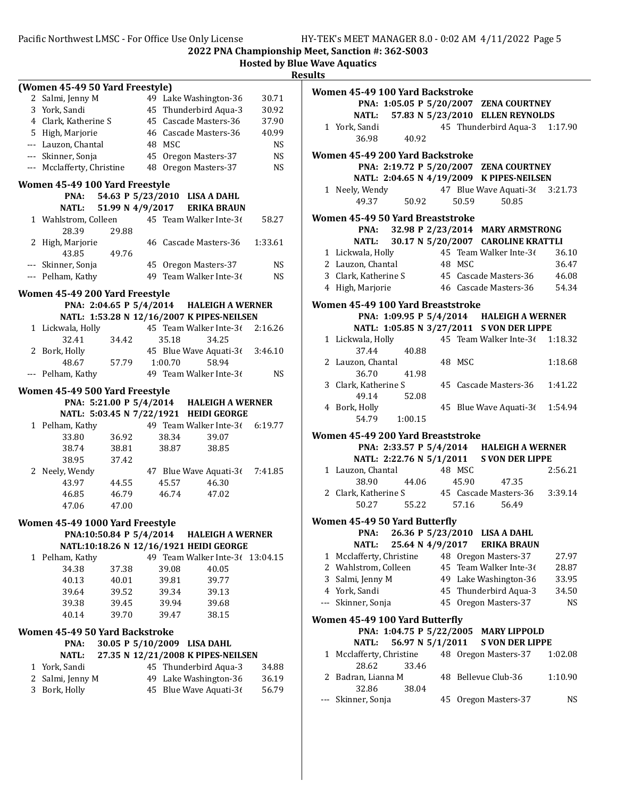|   | (Women 45-49 50 Yard Freestyle) |                         |    |         |                                            |           |
|---|---------------------------------|-------------------------|----|---------|--------------------------------------------|-----------|
|   | 2 Salmi, Jenny M                |                         |    |         | 49 Lake Washington-36                      | 30.71     |
|   | 3 York, Sandi                   |                         |    |         | 45 Thunderbird Aqua-3                      | 30.92     |
|   | 4 Clark, Katherine S            |                         |    |         | 45 Cascade Masters-36                      | 37.90     |
|   | 5 High, Marjorie                |                         |    |         | 46 Cascade Masters-36                      | 40.99     |
|   | --- Lauzon, Chantal             |                         |    | 48 MSC  |                                            | <b>NS</b> |
|   | --- Skinner, Sonja              |                         |    |         | 45 Oregon Masters-37                       | <b>NS</b> |
|   | --- Mcclafferty, Christine      |                         |    |         | 48 Oregon Masters-37                       | NS        |
|   |                                 |                         |    |         |                                            |           |
|   | Women 45-49 100 Yard Freestyle  |                         |    |         |                                            |           |
|   | PNA:                            |                         |    |         | 54.63 P 5/23/2010 LISA A DAHL              |           |
|   | <b>NATL:</b>                    |                         |    |         | 51.99 N 4/9/2017 ERIKA BRAUN               |           |
|   | 1 Wahlstrom, Colleen            |                         |    |         | 45 Team Walker Inte-36                     | 58.27     |
|   | 28.39                           | 29.88                   |    |         |                                            |           |
| 2 | High, Marjorie                  |                         |    |         | 46 Cascade Masters-36                      | 1:33.61   |
|   | 43.85                           | 49.76                   |    |         |                                            |           |
|   | --- Skinner, Sonja              |                         |    |         | 45 Oregon Masters-37                       | NS        |
|   | --- Pelham, Kathy               |                         |    |         | 49 Team Walker Inte-36                     | NS        |
|   |                                 |                         |    |         |                                            |           |
|   | Women 45-49 200 Yard Freestyle  |                         |    |         |                                            |           |
|   |                                 |                         |    |         | PNA: 2:04.65 P 5/4/2014 HALEIGH A WERNER   |           |
|   |                                 |                         |    |         | NATL: 1:53.28 N 12/16/2007 K PIPES-NEILSEN |           |
|   | 1 Lickwala, Holly               |                         |    |         | 45 Team Walker Inte-36                     | 2:16.26   |
|   | 32.41                           | 34.42                   |    | 35.18   | 34.25                                      |           |
| 2 | Bork, Holly                     |                         |    |         | 45 Blue Wave Aquati-3 $\ell$               | 3:46.10   |
|   | 48.67                           | 57.79                   |    | 1:00.70 | 58.94                                      |           |
|   | --- Pelham, Kathy               |                         |    |         | 49 Team Walker Inte-36                     | NS.       |
|   |                                 |                         |    |         |                                            |           |
|   | Women 45-49 500 Yard Freestyle  |                         |    |         |                                            |           |
|   |                                 |                         |    |         | PNA: 5:21.00 P 5/4/2014 HALEIGH A WERNER   |           |
|   |                                 |                         |    |         | NATL: 5:03.45 N 7/22/1921 HEIDI GEORGE     |           |
|   | 1 Pelham, Kathy                 |                         |    |         | 49 Team Walker Inte-36 6:19.77             |           |
|   | 33.80                           | 36.92                   |    | 38.34   | 39.07                                      |           |
|   | 38.74                           | 38.81                   |    | 38.87   | 38.85                                      |           |
|   | 38.95                           | 37.42                   |    |         |                                            |           |
|   | 2 Neely, Wendy                  |                         |    |         | 47 Blue Wave Aquati-36                     | 7:41.85   |
|   | 43.97                           | 44.55                   |    | 45.57   | 46.30                                      |           |
|   | 46.85                           | 46.79                   |    | 46.74   | 47.02                                      |           |
|   | 47.06                           | 47.00                   |    |         |                                            |           |
|   | Women 45-49 1000 Yard Freestyle |                         |    |         |                                            |           |
|   |                                 | PNA:10:50.84 P 5/4/2014 |    |         | <b>HALEIGH A WERNER</b>                    |           |
|   |                                 |                         |    |         | NATL:10:18.26 N 12/16/1921 HEIDI GEORGE    |           |
|   |                                 |                         |    |         | 49 Team Walker Inte-3( 13:04.15            |           |
|   | 1 Pelham, Kathy                 |                         |    |         |                                            |           |
|   | 34.38                           | 37.38                   |    | 39.08   | 40.05                                      |           |
|   | 40.13                           | 40.01                   |    | 39.81   | 39.77                                      |           |
|   | 39.64                           | 39.52                   |    | 39.34   | 39.13                                      |           |
|   | 39.38                           | 39.45                   |    | 39.94   | 39.68                                      |           |
|   | 40.14                           | 39.70                   |    | 39.47   | 38.15                                      |           |
|   | Women 45-49 50 Yard Backstroke  |                         |    |         |                                            |           |
|   | PNA:                            | 30.05 P 5/10/2009       |    |         | <b>LISA DAHL</b>                           |           |
|   | <b>NATL:</b>                    |                         |    |         | 27.35 N 12/21/2008 K PIPES-NEILSEN         |           |
|   |                                 |                         | 45 |         | Thunderbird Aqua-3                         |           |
| 1 | York, Sandi                     |                         |    |         |                                            | 34.88     |
| 2 | Salmi, Jenny M                  |                         |    |         | 49 Lake Washington-36                      | 36.19     |
| 3 | Bork, Holly                     |                         |    |         | 45 Blue Wave Aquati-36                     | 56.79     |
|   |                                 |                         |    |         |                                            |           |
|   |                                 |                         |    |         |                                            |           |

|                               | Women 45-49 100 Yard Backstroke                                    |    |                                           |         |  |
|-------------------------------|--------------------------------------------------------------------|----|-------------------------------------------|---------|--|
|                               |                                                                    |    | PNA: 1:05.05 P 5/20/2007 ZENA COURTNEY    |         |  |
|                               |                                                                    |    | NATL: 57.83 N 5/23/2010 ELLEN REYNOLDS    |         |  |
|                               | 1 York, Sandi                                                      |    | 45 Thunderbird Aqua-3                     | 1:17.90 |  |
|                               | 36.98<br>40.92                                                     |    |                                           |         |  |
|                               | Women 45-49 200 Yard Backstroke                                    |    |                                           |         |  |
|                               |                                                                    |    | PNA: 2:19.72 P 5/20/2007 ZENA COURTNEY    |         |  |
|                               |                                                                    |    | NATL: 2:04.65 N 4/19/2009 K PIPES-NEILSEN |         |  |
|                               | 1 Neely, Wendy                                                     |    | 47 Blue Wave Aquati-3( 3:21.73            |         |  |
|                               | 49.37<br>50.92                                                     |    | 50.59<br>50.85                            |         |  |
|                               |                                                                    |    |                                           |         |  |
|                               | Women 45-49 50 Yard Breaststroke                                   |    |                                           |         |  |
|                               |                                                                    |    | PNA: 32.98 P 2/23/2014 MARY ARMSTRONG     |         |  |
|                               |                                                                    |    | NATL: 30.17 N 5/20/2007 CAROLINE KRATTLI  |         |  |
|                               | 1 Lickwala, Holly                                                  |    | 45 Team Walker Inte-36                    | 36.10   |  |
|                               | 2 Lauzon, Chantal                                                  |    | 48 MSC                                    | 36.47   |  |
|                               | 3 Clark, Katherine S                                               |    | 45 Cascade Masters-36 46.08               |         |  |
|                               | 4 High, Marjorie                                                   |    | 46 Cascade Masters-36 54.34               |         |  |
|                               |                                                                    |    |                                           |         |  |
|                               | Women 45-49 100 Yard Breaststroke                                  |    |                                           |         |  |
|                               |                                                                    |    | PNA: 1:09.95 P 5/4/2014 HALEIGH A WERNER  |         |  |
|                               |                                                                    |    | NATL: 1:05.85 N 3/27/2011 S VON DER LIPPE |         |  |
|                               | 1 Lickwala, Holly                                                  |    | 45 Team Walker Inte-36 1:18.32            |         |  |
|                               | 37.44<br>40.88                                                     |    |                                           |         |  |
|                               | 2 Lauzon, Chantal                                                  |    | 48 MSC                                    | 1:18.68 |  |
|                               | 36.70<br>41.98                                                     |    |                                           |         |  |
|                               | 3 Clark, Katherine S                                               |    | 45 Cascade Masters-36                     | 1:41.22 |  |
|                               | 49.14<br>52.08                                                     |    |                                           |         |  |
|                               | 4 Bork, Holly                                                      |    | 45 Blue Wave Aquati-3 $\ell$              | 1:54.94 |  |
|                               | 54.79 1:00.15                                                      |    |                                           |         |  |
|                               | Women 45-49 200 Yard Breaststroke                                  |    |                                           |         |  |
|                               |                                                                    |    | PNA: 2:33.57 P 5/4/2014 HALEIGH A WERNER  |         |  |
|                               |                                                                    |    | NATL: 2:22.76 N 5/1/2011 S VON DER LIPPE  |         |  |
|                               | 1 Lauzon, Chantal                                                  |    | 48 MSC                                    | 2:56.21 |  |
|                               | 38.90                                                              |    | 45.90<br>47.35                            |         |  |
|                               | 44.06                                                              |    |                                           | 3:39.14 |  |
|                               | 2 Clark, Katherine S 45 Cascade Masters-36<br>50.27<br>55.22 57.16 |    |                                           |         |  |
|                               |                                                                    |    | 56.49                                     |         |  |
| Women 45-49 50 Yard Butterfly |                                                                    |    |                                           |         |  |
|                               | PNA: 26.36 P 5/23/2010                                             |    | <b>LISA A DAHL</b>                        |         |  |
|                               | 25.64 N 4/9/2017<br>NATL:                                          |    | <b>ERIKA BRAUN</b>                        |         |  |
|                               | 1 Mcclafferty, Christine                                           |    | 48 Oregon Masters-37                      | 27.97   |  |
|                               | 2 Wahlstrom, Colleen                                               |    | 45 Team Walker Inte-36                    | 28.87   |  |
|                               | 3 Salmi, Jenny M                                                   |    | 49 Lake Washington-36                     | 33.95   |  |
|                               | 4 York, Sandi                                                      |    | 45 Thunderbird Aqua-3                     | 34.50   |  |
| $---$                         | Skinner, Sonja                                                     | 45 | Oregon Masters-37                         | NS      |  |
|                               |                                                                    |    |                                           |         |  |
|                               | Women 45-49 100 Yard Butterfly                                     |    |                                           |         |  |
|                               |                                                                    |    | PNA: 1:04.75 P 5/22/2005 MARY LIPPOLD     |         |  |
|                               | 56.97 N 5/1/2011<br>NATL:                                          |    | <b>S VON DER LIPPE</b>                    |         |  |
| 1                             | Mcclafferty, Christine                                             |    | 48 Oregon Masters-37                      | 1:02.08 |  |
|                               | 28.62<br>33.46                                                     |    |                                           |         |  |
|                               | 2 Badran, Lianna M                                                 | 48 | Bellevue Club-36                          | 1:10.90 |  |
|                               | 32.86<br>38.04                                                     |    |                                           |         |  |
|                               | Skinner, Sonja                                                     | 45 | Oregon Masters-37                         | NS.     |  |
|                               |                                                                    |    |                                           |         |  |
|                               |                                                                    |    |                                           |         |  |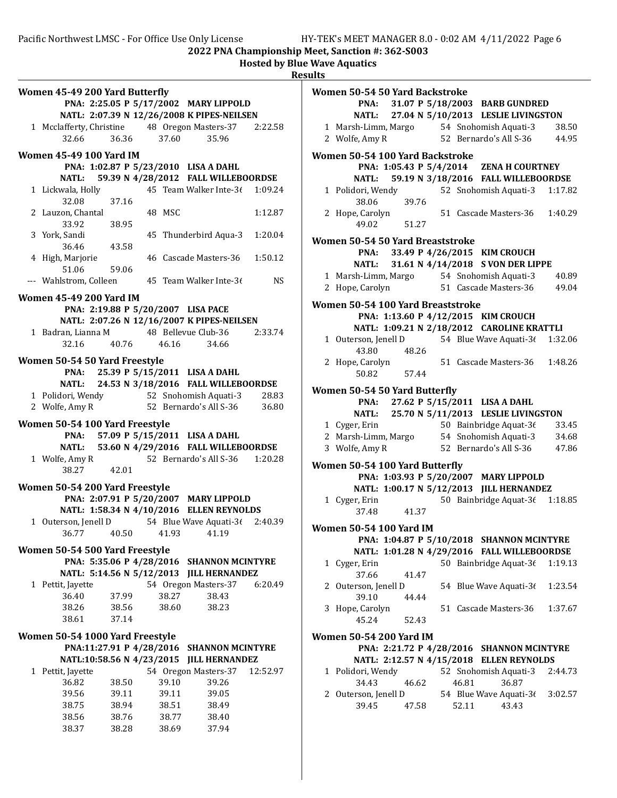2022 PNA Championship Meet, Sanction #: 362-S003 Hosted by Blue Wave Aquatics

| Women 50-54 50 Yard Backstroke<br>PNA: 31.07 P 5/18/2003 BARB GUNDRED<br>27.04 N 5/10/2013 LESLIE LIVINGSTON<br><b>NATL:</b><br>54 Snohomish Aquati-3<br>38.50                                     |
|----------------------------------------------------------------------------------------------------------------------------------------------------------------------------------------------------|
| 1 Marsh-Limm, Margo<br>2 Wolfe, Amy R<br>52 Bernardo's All S-36<br>44.95                                                                                                                           |
| Women 50-54 100 Yard Backstroke<br>PNA: 1:05.43 P 5/4/2014 ZENA H COURTNEY<br>59.19 N 3/18/2016 FALL WILLEBOORDSE<br><b>NATL:</b>                                                                  |
| 52 Snohomish Aquati-3<br>1 Polidori, Wendy<br>1:17.82<br>38.06<br>39.76                                                                                                                            |
| 1:40.29<br>2 Hope, Carolyn<br>51 Cascade Masters-36<br>49.02<br>51.27                                                                                                                              |
| Women 50-54 50 Yard Breaststroke                                                                                                                                                                   |
| 33.49 P 4/26/2015 KIM CROUCH<br>PNA:<br>31.61 N 4/14/2018 S VON DER LIPPE<br><b>NATL:</b>                                                                                                          |
| 1 Marsh-Limm, Margo<br>54 Snohomish Aquati-3<br>40.89<br>2 Hope, Carolyn<br>51 Cascade Masters-36<br>49.04                                                                                         |
| Women 50-54 100 Yard Breaststroke<br>PNA: 1:13.60 P 4/12/2015 KIM CROUCH<br>NATL: 1:09.21 N 2/18/2012 CAROLINE KRATTLI<br>1 Outerson, Jenell D<br>54 Blue Wave Aquati-36 1:32.06<br>43.80<br>48.26 |
| 1:48.26<br>2 Hope, Carolyn<br>51 Cascade Masters-36<br>50.82<br>57.44                                                                                                                              |
| Women 50-54 50 Yard Butterfly<br>27.62 P 5/15/2011 LISA A DAHL<br>PNA:<br><b>NATL:</b><br>25.70 N 5/11/2013 LESLIE LIVINGSTON                                                                      |
| 1 Cyger, Erin<br>50 Bainbridge Aquat-36<br>33.45<br>54 Snohomish Aquati-3<br>2 Marsh-Limm, Margo<br>34.68<br>3 Wolfe, Amy R<br>52 Bernardo's All S-36<br>47.86<br>Women 50-54 100 Yard Butterfly   |
| PNA: 1:03.93 P 5/20/2007 MARY LIPPOLD<br>NATL: 1:00.17 N 5/12/2013 JILL HERNANDEZ                                                                                                                  |
| 50 Bainbridge Aquat-36 1:18.85<br>1 Cyger, Erin<br>37.48<br>41.37                                                                                                                                  |
| <b>Women 50-54 100 Yard IM</b><br>PNA: 1:04.87 P 5/10/2018 SHANNON MCINTYRE                                                                                                                        |
| NATL: 1:01.28 N 4/29/2016 FALL WILLEBOORDSE                                                                                                                                                        |
| 50 Bainbridge Aquat-36 1:19.13<br>1 Cyger, Erin<br>37.66<br>41.47                                                                                                                                  |
| 2 Outerson, Jenell D<br>54 Blue Wave Aquati-36<br>1:23.54<br>39.10<br>44.44                                                                                                                        |
| 1:37.67<br>3 Hope, Carolyn<br>51 Cascade Masters-36<br>45.24<br>52.43                                                                                                                              |
| <b>Women 50-54 200 Yard IM</b><br>PNA: 2:21.72 P 4/28/2016 SHANNON MCINTYRE<br>NATL: 2:12.57 N 4/15/2018 ELLEN REYNOLDS                                                                            |
| 1 Polidori, Wendy<br>52 Snohomish Aquati-3<br>2:44.73<br>34.43<br>46.62<br>46.81<br>36.87<br>2 Outerson, Jenell D<br>54 Blue Wave Aquati-36<br>3:02.57                                             |
| 39.45<br>52.11<br>43.43<br>47.58                                                                                                                                                                   |
|                                                                                                                                                                                                    |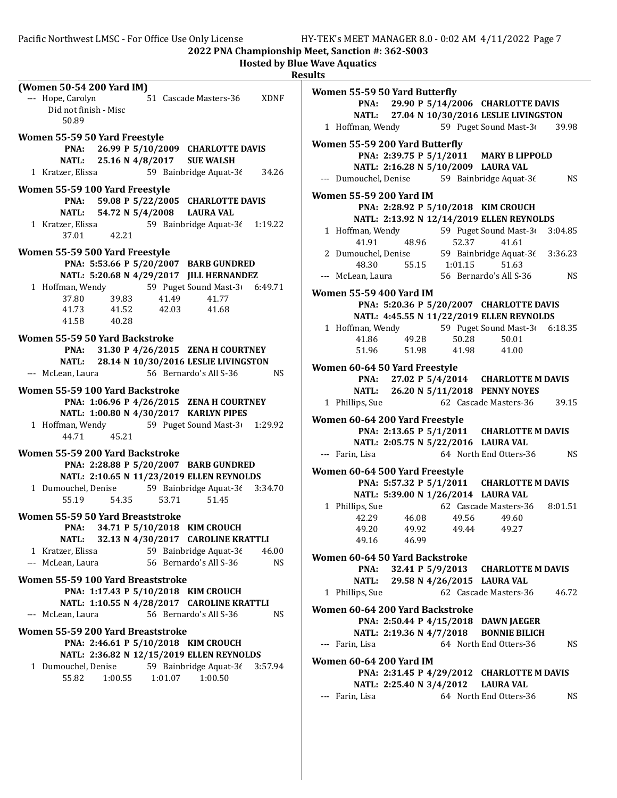Pacific Northwest LMSC - For Office Use Only License HY-TEK's MEET MANAGER 8.0 - 0:02 AM 4/11/2022 Page 7

2022 PNA Championship Meet, Sanction #: 362-S003

|                                                                                                                                                                                                                                                                                                                                                                                                                                                                                                                                                                                                                                                              | <b>Hosted by Blue Wave Aquatics</b><br><b>Results</b>                                                                                                                                                                                                                                                                                                                                                                                                                                                                                                                                                                                   |
|--------------------------------------------------------------------------------------------------------------------------------------------------------------------------------------------------------------------------------------------------------------------------------------------------------------------------------------------------------------------------------------------------------------------------------------------------------------------------------------------------------------------------------------------------------------------------------------------------------------------------------------------------------------|-----------------------------------------------------------------------------------------------------------------------------------------------------------------------------------------------------------------------------------------------------------------------------------------------------------------------------------------------------------------------------------------------------------------------------------------------------------------------------------------------------------------------------------------------------------------------------------------------------------------------------------------|
| (Women 50-54 200 Yard IM)<br>--- Hope, Carolyn<br>51 Cascade Masters-36<br><b>XDNF</b><br>Did not finish - Misc<br>50.89                                                                                                                                                                                                                                                                                                                                                                                                                                                                                                                                     | Women 55-59 50 Yard Butterfly<br>PNA: 29.90 P 5/14/2006 CHARLOTTE DAVIS<br>NATL: 27.04 N 10/30/2016 LESLIE LIVINGSTON<br>59 Puget Sound Mast-3<br>1 Hoffman, Wendy<br>39.98                                                                                                                                                                                                                                                                                                                                                                                                                                                             |
| Women 55-59 50 Yard Freestyle<br>26.99 P 5/10/2009 CHARLOTTE DAVIS<br>PNA:<br>25.16 N 4/8/2017<br><b>NATL:</b><br><b>SUE WALSH</b><br>59 Bainbridge Aquat-36<br>1 Kratzer, Elissa<br>34.26                                                                                                                                                                                                                                                                                                                                                                                                                                                                   | Women 55-59 200 Yard Butterfly<br>PNA: 2:39.75 P 5/1/2011 MARY B LIPPOLD<br>NATL: 2:16.28 N 5/10/2009 LAURA VAL<br><b>NS</b><br>--- Dumouchel, Denise 59 Bainbridge Aquat-36                                                                                                                                                                                                                                                                                                                                                                                                                                                            |
| Women 55-59 100 Yard Freestyle<br>59.08 P 5/22/2005 CHARLOTTE DAVIS<br>PNA:<br><b>NATL:</b><br>54.72 N 5/4/2008<br><b>LAURA VAL</b><br>59 Bainbridge Aquat-36 1:19.22<br>1 Kratzer, Elissa<br>37.01<br>42.21<br>Women 55-59 500 Yard Freestyle<br>PNA: 5:53.66 P 5/20/2007 BARB GUNDRED<br>NATL: 5:20.68 N 4/29/2017 JILL HERNANDEZ                                                                                                                                                                                                                                                                                                                          | <b>Women 55-59 200 Yard IM</b><br>PNA: 2:28.92 P 5/10/2018 KIM CROUCH<br>NATL: 2:13.92 N 12/14/2019 ELLEN REYNOLDS<br>1 Hoffman, Wendy<br>59 Puget Sound Mast-3<br>3:04.85<br>52.37<br>41.91<br>48.96<br>41.61<br>2 Dumouchel, Denise<br>59 Bainbridge Aquat-36<br>3:36.23<br>55.15 1:01.15<br>48.30<br>51.63<br><b>NS</b><br>--- McLean, Laura<br>56 Bernardo's All S-36                                                                                                                                                                                                                                                               |
| 59 Puget Sound Mast-3<br>1 Hoffman, Wendy<br>6:49.71<br>39.83<br>41.49<br>41.77<br>37.80<br>41.73<br>42.03<br>41.68<br>41.52<br>41.58<br>40.28                                                                                                                                                                                                                                                                                                                                                                                                                                                                                                               | <b>Women 55-59 400 Yard IM</b><br>PNA: 5:20.36 P 5/20/2007 CHARLOTTE DAVIS<br>NATL: 4:45.55 N 11/22/2019 ELLEN REYNOLDS<br>59 Puget Sound Mast-3<br>1 Hoffman, Wendy<br>6:18.35                                                                                                                                                                                                                                                                                                                                                                                                                                                         |
| Women 55-59 50 Yard Backstroke<br>31.30 P 4/26/2015 ZENA H COURTNEY<br>PNA:<br>28.14 N 10/30/2016 LESLIE LIVINGSTON<br><b>NATL:</b><br>56 Bernardo's All S-36<br><b>NS</b><br>--- McLean, Laura<br>Women 55-59 100 Yard Backstroke<br>PNA: 1:06.96 P 4/26/2015 ZENA H COURTNEY<br>NATL: 1:00.80 N 4/30/2017 KARLYN PIPES<br>59 Puget Sound Mast-3<br>1 Hoffman, Wendy<br>1:29.92<br>44.71<br>45.21<br>Women 55-59 200 Yard Backstroke<br>PNA: 2:28.88 P 5/20/2007 BARB GUNDRED<br>NATL: 2:10.65 N 11/23/2019 ELLEN REYNOLDS<br>1 Dumouchel, Denise 59 Bainbridge Aquat-36<br>3:34.70<br>55.19<br>54.35<br>53.71<br>51.45<br>Women 55-59 50 Yard Breaststroke | 50.28<br>41.86<br>49.28<br>50.01<br>51.96<br>51.98<br>41.98<br>41.00<br>Women 60-64 50 Yard Freestyle<br>PNA: 27.02 P 5/4/2014 CHARLOTTE M DAVIS<br>NATL: 26.20 N 5/11/2018 PENNY NOYES<br>62 Cascade Masters-36<br>39.15<br>1 Phillips, Sue<br>Women 60-64 200 Yard Freestyle<br>PNA: 2:13.65 P 5/1/2011 CHARLOTTE M DAVIS<br>NATL: 2:05.75 N 5/22/2016 LAURA VAL<br>--- Farin, Lisa<br>64 North End Otters-36<br><b>NS</b><br>Women 60-64 500 Yard Freestyle<br>PNA: 5:57.32 P 5/1/2011 CHARLOTTE M DAVIS<br>NATL: 5:39.00 N 1/26/2014 LAURA VAL<br>1 Phillips, Sue 62 Cascade Masters-36 8:01.51<br>42.29<br>49.56<br>49.60<br>46.08 |
| 34.71 P 5/10/2018 KIM CROUCH<br>PNA:<br><b>NATL:</b><br>32.13 N 4/30/2017 CAROLINE KRATTLI<br>1 Kratzer, Elissa<br>59 Bainbridge Aquat-36<br>46.00<br>--- McLean, Laura<br>56 Bernardo's All S-36<br><b>NS</b><br>Women 55-59 100 Yard Breaststroke<br>PNA: 1:17.43 P 5/10/2018 KIM CROUCH<br>NATL: 1:10.55 N 4/28/2017 CAROLINE KRATTLI<br>56 Bernardo's All S-36<br><b>NS</b><br>--- McLean, Laura<br>Women 55-59 200 Yard Breaststroke<br>PNA: 2:46.61 P 5/10/2018 KIM CROUCH<br>NATL: 2:36.82 N 12/15/2019 ELLEN REYNOLDS<br>59 Bainbridge Aquat-36<br>1 Dumouchel, Denise<br>3:57.94<br>55.82<br>1:00.55<br>1:01.07<br>1:00.50                          | 49.20<br>49.92<br>49.44<br>49.27<br>46.99<br>49.16<br>Women 60-64 50 Yard Backstroke<br>PNA:<br>32.41 P 5/9/2013<br><b>CHARLOTTE M DAVIS</b><br><b>NATL:</b><br>29.58 N 4/26/2015 LAURA VAL<br>1 Phillips, Sue<br>62 Cascade Masters-36<br>46.72<br>Women 60-64 200 Yard Backstroke<br>PNA: 2:50.44 P 4/15/2018 DAWN JAEGER<br>NATL: 2:19.36 N 4/7/2018<br><b>BONNIE BILICH</b><br>--- Farin, Lisa<br>64 North End Otters-36<br><b>NS</b><br><b>Women 60-64 200 Yard IM</b><br>PNA: 2:31.45 P 4/29/2012 CHARLOTTE M DAVIS<br><b>LAURA VAL</b><br>NATL: 2:25.40 N 3/4/2012<br>64 North End Otters-36<br>--- Farin, Lisa<br>NS            |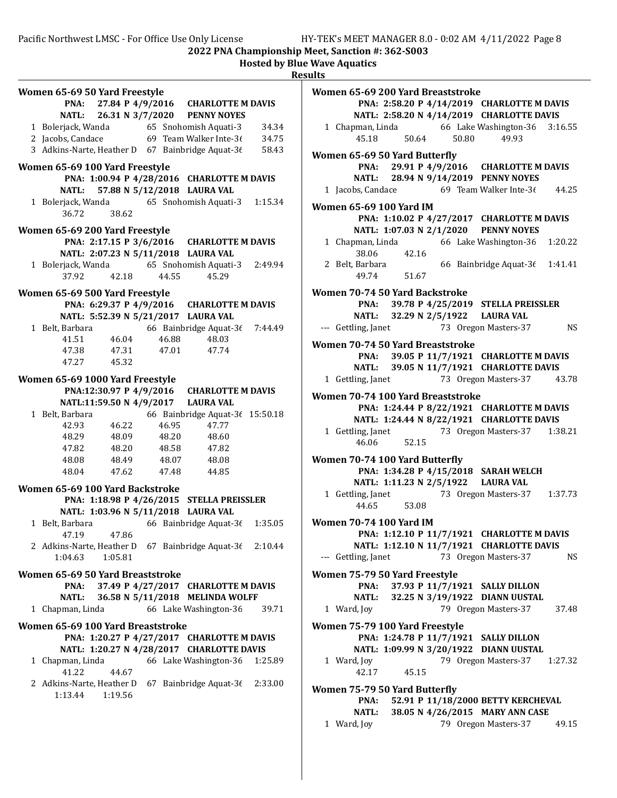|                                                   |                                     |       |                                            |         | <b>Hosted by Blue Wave Aquatics</b><br><b>Results</b> |
|---------------------------------------------------|-------------------------------------|-------|--------------------------------------------|---------|-------------------------------------------------------|
| Women 65-69 50 Yard Freestyle                     |                                     |       | PNA: 27.84 P 4/9/2016 CHARLOTTE M DAVIS    |         | <b>Women 65-69</b><br>PNA:                            |
| <b>NATL:</b>                                      |                                     |       | 26.31 N 3/7/2020 PENNY NOYES               |         | <b>NATL:</b>                                          |
| 1 Bolerjack, Wanda 65 Snohomish Aquati-3          |                                     |       |                                            | 34.34   | 1 Chapman, l                                          |
| 2 Jacobs, Candace                                 |                                     |       | 69 Team Walker Inte-36                     | 34.75   | 45.18                                                 |
| 3 Adkins-Narte, Heather D 67 Bainbridge Aquat-36  |                                     |       |                                            | 58.43   | <b>Women 65-69</b>                                    |
| Women 65-69 100 Yard Freestyle                    |                                     |       |                                            |         | PNA:                                                  |
|                                                   |                                     |       | PNA: 1:00.94 P 4/28/2016 CHARLOTTE M DAVIS |         | <b>NATL:</b>                                          |
| <b>NATL:</b>                                      |                                     |       | 57.88 N 5/12/2018 LAURA VAL                |         | 1 Jacobs, Can                                         |
| 1 Bolerjack, Wanda 65 Snohomish Aquati-3<br>36.72 | 38.62                               |       |                                            | 1:15.34 | <b>Women 65-69</b><br>PNA:                            |
| Women 65-69 200 Yard Freestyle                    |                                     |       |                                            |         | <b>NATL:</b>                                          |
|                                                   |                                     |       | PNA: 2:17.15 P 3/6/2016 CHARLOTTE M DAVIS  |         | 1 Chapman, l                                          |
|                                                   | NATL: 2:07.23 N 5/11/2018 LAURA VAL |       |                                            |         | 38.06                                                 |
| 1 Bolerjack, Wanda 65 Snohomish Aquati-3          |                                     |       |                                            | 2:49.94 | 2 Belt, Barba                                         |
| 37.92                                             | 42.18                               | 44.55 | 45.29                                      |         | 49.74                                                 |
| Women 65-69 500 Yard Freestyle                    |                                     |       |                                            |         | <b>Women 70-74</b>                                    |
|                                                   |                                     |       | PNA: 6:29.37 P 4/9/2016 CHARLOTTE M DAVIS  |         | PNA:                                                  |
|                                                   | NATL: 5:52.39 N 5/21/2017 LAURA VAL |       |                                            |         | <b>NATL:</b>                                          |
| 1 Belt, Barbara                                   |                                     |       | 66 Bainbridge Aquat-36                     | 7:44.49 | --- Gettling, Ja                                      |
| 41.51                                             | 46.04                               | 46.88 | 48.03                                      |         | <b>Women 70-74</b>                                    |
|                                                   | 47.38 47.31                         | 47.01 | 47.74                                      |         | PNA:                                                  |
|                                                   | 47.27 45.32                         |       |                                            |         | <b>NATL:</b>                                          |
| Women 65-69 1000 Yard Freestyle                   |                                     |       |                                            |         | 1 Gettling, Ja                                        |
|                                                   | PNA:12:30.97 P 4/9/2016             |       | <b>CHARLOTTE M DAVIS</b>                   |         |                                                       |
|                                                   | NATL:11:59.50 N 4/9/2017            |       | <b>LAURA VAL</b>                           |         | <b>Women 70-74</b><br>PNA:                            |
| 1 Belt, Barbara                                   |                                     |       | 66 Bainbridge Aquat-3( 15:50.18            |         | <b>NATL:</b>                                          |
| 42.93                                             | 46.22                               | 46.95 | 47.77                                      |         | 1 Gettling, Ja                                        |
| 48.29                                             | 48.09                               | 48.20 | 48.60                                      |         | 46.06                                                 |
| 47.82                                             | 48.20                               | 48.58 | 47.82                                      |         |                                                       |
|                                                   | 48.08 48.49                         | 48.07 | 48.08                                      |         | <b>Women 70-74</b>                                    |
| 48.04                                             | 47.62                               | 47.48 | 44.85                                      |         | PNA:                                                  |
| Women 65-69 100 Yard Backstroke                   |                                     |       |                                            |         | <b>NATL:</b>                                          |
|                                                   |                                     |       | PNA: 1:18.98 P 4/26/2015 STELLA PREISSLER  |         | 1 Gettling, Ja<br>44.65                               |
|                                                   | NATL: 1:03.96 N 5/11/2018 LAURA VAL |       |                                            |         |                                                       |
| 1 Belt, Barbara                                   |                                     |       | 66 Bainbridge Aquat-3 $\ell$               | 1:35.05 | <b>Women 70-74</b>                                    |
| 47.19                                             | 47.86                               |       |                                            |         | PNA:                                                  |
| 2 Adkins-Narte, Heather D 67 Bainbridge Aquat-36  |                                     |       |                                            | 2:10.44 | <b>NATL:</b>                                          |
| 1:04.63                                           | 1:05.81                             |       |                                            |         | --- Gettling, Ja                                      |
| Women 65-69 50 Yard Breaststroke                  |                                     |       |                                            |         | <b>Women 75-79</b>                                    |
| PNA:                                              |                                     |       | 37.49 P 4/27/2017 CHARLOTTE M DAVIS        |         | PNA:                                                  |
| <b>NATL:</b>                                      |                                     |       | 36.58 N 5/11/2018 MELINDA WOLFF            |         | <b>NATL:</b>                                          |
| 1 Chapman, Linda                                  |                                     |       | 66 Lake Washington-36                      | 39.71   | 1 Ward, Joy                                           |
| Women 65-69 100 Yard Breaststroke                 |                                     |       |                                            |         | <b>Women 75-79</b>                                    |
|                                                   |                                     |       | PNA: 1:20.27 P 4/27/2017 CHARLOTTE M DAVIS |         | PNA:                                                  |
|                                                   |                                     |       | NATL: 1:20.27 N 4/28/2017 CHARLOTTE DAVIS  |         | <b>NATL:</b>                                          |
| 1 Chapman, Linda                                  |                                     |       | 66 Lake Washington-36                      | 1:25.89 | 1 Ward, Joy                                           |
| 41.22                                             | 44.67                               |       |                                            |         | 42.17                                                 |
| 2 Adkins-Narte, Heather D 67 Bainbridge Aquat-36  |                                     |       |                                            | 2:33.00 | <b>Women 75-79</b>                                    |
| 1:13.44                                           | 1:19.56                             |       |                                            |         | PNA:                                                  |
|                                                   |                                     |       |                                            |         | <b>NATL:</b>                                          |
|                                                   |                                     |       |                                            |         | 1 Ward, Joy                                           |
|                                                   |                                     |       |                                            |         |                                                       |

| Women 65-69 200 Yard Breaststroke |             |  |                                                |       |
|-----------------------------------|-------------|--|------------------------------------------------|-------|
|                                   |             |  | PNA: 2:58.20 P 4/14/2019 CHARLOTTE M DAVIS     |       |
|                                   |             |  | NATL: 2:58.20 N 4/14/2019 CHARLOTTE DAVIS      |       |
|                                   |             |  | 1 Chapman, Linda 66 Lake Washington-36 3:16.55 |       |
| 45.18                             |             |  | 50.64 50.80 49.93                              |       |
|                                   |             |  |                                                |       |
| Women 65-69 50 Yard Butterfly     |             |  |                                                |       |
|                                   |             |  | PNA: 29.91 P 4/9/2016 CHARLOTTE M DAVIS        |       |
|                                   |             |  | NATL: 28.94 N 9/14/2019 PENNY NOYES            |       |
|                                   |             |  | 1 Jacobs, Candace 69 Team Walker Inte-36 44.25 |       |
|                                   |             |  |                                                |       |
| Women 65-69 100 Yard IM           |             |  |                                                |       |
|                                   |             |  | PNA: 1:10.02 P 4/27/2017 CHARLOTTE M DAVIS     |       |
|                                   |             |  | NATL: 1:07.03 N 2/1/2020 PENNY NOYES           |       |
|                                   |             |  | 1 Chapman, Linda 66 Lake Washington-36 1:20.22 |       |
| 38.06                             | 42.16       |  |                                                |       |
|                                   |             |  | 2 Belt, Barbara 66 Bainbridge Aquat-36 1:41.41 |       |
|                                   | 49.74 51.67 |  |                                                |       |
|                                   |             |  |                                                |       |
| Women 70-74 50 Yard Backstroke    |             |  |                                                |       |
|                                   |             |  | PNA: 39.78 P 4/25/2019 STELLA PREISSLER        |       |
|                                   |             |  | NATL: 32.29 N 2/5/1922 LAURA VAL               |       |
|                                   |             |  | --- Gettling, Janet 73 Oregon Masters-37       | NS.   |
| Women 70-74 50 Yard Breaststroke  |             |  |                                                |       |
|                                   |             |  | PNA: 39.05 P 11/7/1921 CHARLOTTE M DAVIS       |       |
|                                   |             |  | NATL: 39.05 N 11/7/1921 CHARLOTTE DAVIS        |       |
|                                   |             |  | 73 Oregon Masters-37 43.78                     |       |
| 1 Gettling, Janet                 |             |  |                                                |       |
| Women 70-74 100 Yard Breaststroke |             |  |                                                |       |
|                                   |             |  | PNA: 1:24.44 P 8/22/1921 CHARLOTTE M DAVIS     |       |
|                                   |             |  | NATL: 1:24.44 N 8/22/1921 CHARLOTTE DAVIS      |       |
|                                   |             |  | 73 Oregon Masters-37 1:38.21                   |       |
| 1 Gettling, Janet<br>46.06 52.15  |             |  |                                                |       |
|                                   |             |  |                                                |       |
| Women 70-74 100 Yard Butterfly    |             |  |                                                |       |
|                                   |             |  | PNA: 1:34.28 P 4/15/2018 SARAH WELCH           |       |
|                                   |             |  | NATL: 1:11.23 N 2/5/1922 LAURA VAL             |       |
|                                   |             |  | 1 Gettling, Janet 73 Oregon Masters-37 1:37.73 |       |
|                                   | 44.65 53.08 |  |                                                |       |
| Women 70-74 100 Yard IM           |             |  |                                                |       |
|                                   |             |  | PNA: 1:12.10 P 11/7/1921 CHARLOTTE M DAVIS     |       |
|                                   |             |  |                                                |       |
|                                   |             |  | NATL: 1:12.10 N 11/7/1921 CHARLOTTE DAVIS      |       |
| --- Gettling, Janet               |             |  | 73 Oregon Masters-37                           | NS.   |
| Women 75-79 50 Yard Freestyle     |             |  |                                                |       |
| PNA:                              |             |  | 37.93 P 11/7/1921 SALLY DILLON                 |       |
|                                   |             |  | NATL: 32.25 N 3/19/1922 DIANN UUSTAL           |       |
| 1 Ward, Joy                       |             |  | 79 Oregon Masters-37                           | 37.48 |
|                                   |             |  |                                                |       |
| Women 75-79 100 Yard Freestyle    |             |  |                                                |       |
|                                   |             |  | PNA: 1:24.78 P 11/7/1921 SALLY DILLON          |       |
|                                   |             |  | NATL: 1:09.99 N 3/20/1922 DIANN UUSTAL         |       |
| 1 Ward, Joy                       |             |  | 79 Oregon Masters-37 1:27.32                   |       |
| 42.17                             | 45.15       |  |                                                |       |
|                                   |             |  |                                                |       |
| Women 75-79 50 Yard Butterfly     |             |  |                                                |       |
| PNA:                              |             |  | 52.91 P 11/18/2000 BETTY KERCHEVAL             |       |

NATL: 38.05 N 4/26/2015 MARY ANN CASE I Joy 79 Oregon Masters-37 49.15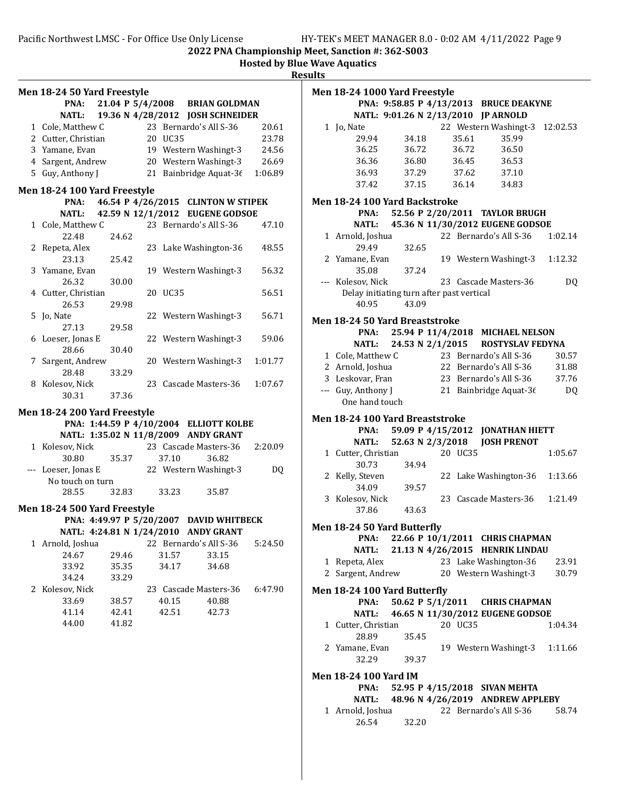Hosted by Blue Wave Aquatics

**Results** 

| Men 18-24 50 Yard Freestyle  |       |         |                                         |         |
|------------------------------|-------|---------|-----------------------------------------|---------|
| PNA:                         |       |         | 21.04 P 5/4/2008 BRIAN GOLDMAN          |         |
| <b>NATL:</b>                 |       |         | 19.36 N 4/28/2012 JOSH SCHNEIDER        |         |
| 1 Cole, Matthew C            |       |         | 23 Bernardo's All S-36                  | 20.61   |
| 2 Cutter, Christian          |       | 20 UC35 |                                         | 23.78   |
| 3 Yamane, Evan               |       |         | 19 Western Washingt-3                   | 24.56   |
| 4 Sargent, Andrew            |       |         | 20 Western Washingt-3 26.69             |         |
| 5 Guy, Anthony J             |       |         | 21 Bainbridge Aquat-3 $(1:06.89)$       |         |
|                              |       |         |                                         |         |
| Men 18-24 100 Yard Freestyle |       |         |                                         |         |
| PNA:                         |       |         | 46.54 P 4/26/2015 CLINTON W STIPEK      |         |
|                              |       |         | NATL: 42.59 N 12/1/2012 EUGENE GODSOE   |         |
| 1 Cole, Matthew C            |       |         | 23 Bernardo's All S-36                  | 47.10   |
| 22.48                        | 24.62 |         |                                         |         |
| 2 Repeta, Alex               |       |         | 23 Lake Washington-36                   | 48.55   |
| 23.13                        | 25.42 |         |                                         |         |
| 3 Yamane, Evan               |       |         | 19 Western Washingt-3                   | 56.32   |
| 26.32                        | 30.00 |         |                                         | 56.51   |
| 4 Cutter, Christian<br>26.53 |       | 20 UC35 |                                         |         |
|                              | 29.98 |         |                                         |         |
| 5 Jo, Nate                   |       |         | 22 Western Washingt-3                   | 56.71   |
| 27.13                        | 29.58 |         |                                         |         |
| 6 Loeser, Jonas E            |       |         | 22 Western Washingt-3                   | 59.06   |
| 28.66                        | 30.40 |         |                                         |         |
| 7 Sargent, Andrew            |       |         | 20 Western Washingt-3                   | 1:01.77 |
| 28.48                        | 33.29 |         |                                         |         |
| 8 Kolesov, Nick              |       |         | 23 Cascade Masters-36                   | 1:07.67 |
| 30.31                        | 37.36 |         |                                         |         |
| Men 18-24 200 Yard Freestyle |       |         |                                         |         |
|                              |       |         | PNA: 1:44.59 P 4/10/2004 ELLIOTT KOLBE  |         |
|                              |       |         | NATL: 1:35.02 N 11/8/2009 ANDY GRANT    |         |
| 1 Kolesov, Nick              |       |         | 23 Cascade Masters-36 2:20.09           |         |
| 30.80                        | 35.37 | 37.10   | 36.82                                   |         |
| --- Loeser, Jonas E          |       |         | 22 Western Washingt-3                   | DQ      |
| No touch on turn             |       |         |                                         |         |
| 28.55                        | 32.83 | 33.23   | 35.87                                   |         |
| Men 18-24 500 Yard Freestyle |       |         |                                         |         |
|                              |       |         | PNA: 4:49.97 P 5/20/2007 DAVID WHITBECK |         |
|                              |       |         | NATL: 4:24.81 N 1/24/2010 ANDY GRANT    |         |
| 1 Arnold, Joshua             |       |         | 22 Bernardo's All S-36                  | 5:24.50 |
| 24.67                        | 29.46 | 31.57   | 33.15                                   |         |
| 33.92                        | 35.35 | 34.17   | 34.68                                   |         |
| 34.24                        | 33.29 |         |                                         |         |
| 2 Kolesov, Nick              |       |         | 23 Cascade Masters-36                   | 6:47.90 |
| 33.69                        | 38.57 | 40.15   | 40.88                                   |         |
| 41.14                        | 42.41 | 42.51   | 42.73                                   |         |
|                              |       |         |                                         |         |
| 44.00                        | 41.82 |         |                                         |         |
|                              |       |         |                                         |         |
|                              |       |         |                                         |         |
|                              |       |         |                                         |         |
|                              |       |         |                                         |         |
|                              |       |         |                                         |         |
|                              |       |         |                                         |         |
|                              |       |         |                                         |         |
|                              |       |         |                                         |         |

| Men 18-24 1000 Yard Freestyle             |       |         |                                        |          |
|-------------------------------------------|-------|---------|----------------------------------------|----------|
|                                           |       |         | PNA: 9:58.85 P 4/13/2013 BRUCE DEAKYNE |          |
|                                           |       |         | NATL: 9:01.26 N 2/13/2010 JP ARNOLD    |          |
| 1 Jo, Nate                                |       |         | 22 Western Washingt-3                  | 12:02.53 |
| 29.94                                     | 34.18 | 35.61   | 35.99                                  |          |
| 36.25                                     | 36.72 | 36.72   | 36.50                                  |          |
| 36.36                                     | 36.80 | 36.45   | 36.53                                  |          |
| 36.93                                     | 37.29 | 37.62   | 37.10                                  |          |
| 37.42                                     | 37.15 | 36.14   | 34.83                                  |          |
|                                           |       |         |                                        |          |
| Men 18-24 100 Yard Backstroke             |       |         |                                        |          |
| PNA:                                      |       |         | 52.56 P 2/20/2011 TAYLOR BRUGH         |          |
| <b>NATL:</b>                              |       |         | 45.36 N 11/30/2012 EUGENE GODSOE       |          |
| 1 Arnold, Joshua                          |       |         | 22 Bernardo's All S-36                 | 1:02.14  |
| 29.49                                     | 32.65 |         |                                        |          |
| 2 Yamane, Evan                            |       |         | 19 Western Washingt-3                  | 1:12.32  |
| 35.08                                     | 37.24 |         |                                        |          |
| --- Kolesov, Nick                         |       |         | 23 Cascade Masters-36                  | DQ       |
| Delay initiating turn after past vertical |       |         |                                        |          |
| 40.95                                     | 43.09 |         |                                        |          |
| <b>Men 18-24 50 Yard Breaststroke</b>     |       |         |                                        |          |
| PNA:                                      |       |         | 25.94 P 11/4/2018 MICHAEL NELSON       |          |
| <b>NATL:</b>                              |       |         | 24.53 N 2/1/2015 ROSTYSLAV FEDYNA      |          |
| 1 Cole, Matthew C                         |       |         | 23 Bernardo's All S-36                 | 30.57    |
| 2 Arnold, Joshua                          |       |         | 22 Bernardo's All S-36                 | 31.88    |
| 3 Leskovar, Fran                          |       |         | 23 Bernardo's All S-36                 | 37.76    |
| --- Guy, Anthony J                        |       |         | 21 Bainbridge Aquat-36                 | DQ       |
| One hand touch                            |       |         |                                        |          |
|                                           |       |         |                                        |          |
| Men 18-24 100 Yard Breaststroke           |       |         |                                        |          |
|                                           |       |         |                                        |          |
| PNA:                                      |       |         | 59.09 P 4/15/2012 JONATHAN HIETT       |          |
| NATL:                                     |       |         | 52.63 N 2/3/2018 JOSH PRENOT           |          |
| 1 Cutter, Christian                       |       | 20 UC35 |                                        | 1:05.67  |
| 30.73                                     | 34.94 |         |                                        |          |
| 2 Kelly, Steven                           |       |         | 22 Lake Washington-36                  | 1:13.66  |
| 34.09                                     | 39.57 |         |                                        |          |
| 3 Kolesov, Nick                           |       |         | 23 Cascade Masters-36                  | 1:21.49  |
| 37.86                                     | 43.63 |         |                                        |          |
|                                           |       |         |                                        |          |
| Men 18-24 50 Yard Butterfly               |       |         |                                        |          |
|                                           |       |         | PNA: 22.66 P 10/1/2011 CHRIS CHAPMAN   |          |
|                                           |       |         | NATL: 21.13 N 4/26/2015 HENRIK LINDAU  |          |
| 1 Repeta, Alex                            |       |         | 23 Lake Washington-36                  | 23.91    |
| 2 Sargent, Andrew                         |       |         | 20 Western Washingt-3                  | 30.79    |
| Men 18-24 100 Yard Butterfly              |       |         |                                        |          |
| PNA:                                      |       |         | 50.62 P 5/1/2011 CHRIS CHAPMAN         |          |
| NATL:                                     |       |         | 46.65 N 11/30/2012 EUGENE GODSOE       |          |
| 1 Cutter, Christian                       |       | 20 UC35 |                                        | 1:04.34  |
| 28.89                                     |       |         |                                        |          |
|                                           | 35.45 |         |                                        | 1:11.66  |
| 2 Yamane, Evan<br>32.29                   | 39.37 |         | 19 Western Washingt-3                  |          |
|                                           |       |         |                                        |          |
| <b>Men 18-24 100 Yard IM</b>              |       |         |                                        |          |
| PNA:                                      |       |         | 52.95 P 4/15/2018 SIVAN MEHTA          |          |
| <b>NATL:</b>                              |       |         | 48.96 N 4/26/2019 ANDREW APPLEBY       |          |
| 1 Arnold, Joshua<br>26.54                 | 32.20 |         | 22 Bernardo's All S-36                 | 58.74    |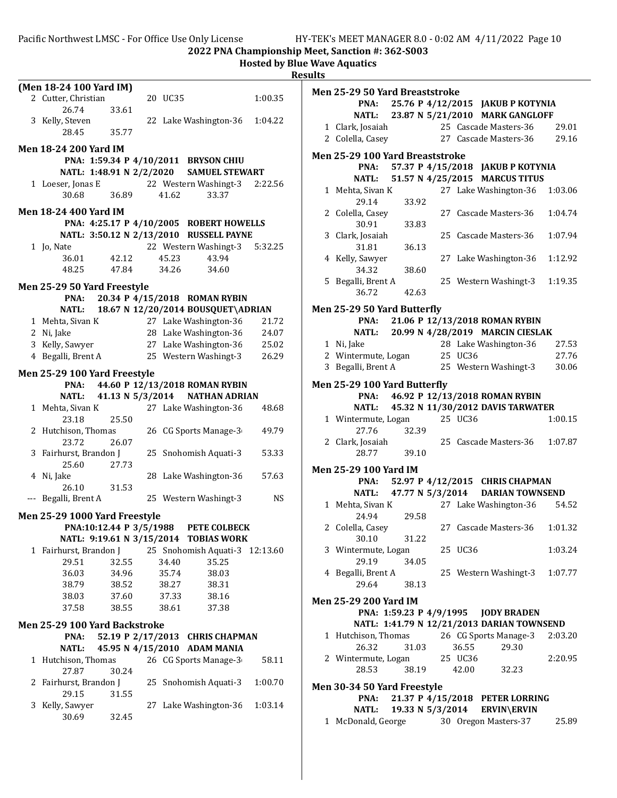|   |                               |                  |         |                                         |           | <b>Hosted by Blue Wave Aquatics</b><br><b>Results</b> |
|---|-------------------------------|------------------|---------|-----------------------------------------|-----------|-------------------------------------------------------|
|   | (Men 18-24 100 Yard IM)       |                  |         |                                         |           |                                                       |
|   | 2 Cutter, Christian           |                  | 20 UC35 |                                         | 1:00.35   | Men 25-29 50 \                                        |
|   | 26.74                         | 33.61            |         |                                         |           | PNA:                                                  |
|   | 3 Kelly, Steven               |                  |         | 22 Lake Washington-36                   | 1:04.22   | <b>NATL:</b>                                          |
|   | 28.45                         | 35.77            |         |                                         |           | 1 Clark, Josai                                        |
|   |                               |                  |         |                                         |           | 2 Colella, Cas                                        |
|   | <b>Men 18-24 200 Yard IM</b>  |                  |         |                                         |           | Men 25-29 100                                         |
|   |                               |                  |         | PNA: 1:59.34 P 4/10/2011 BRYSON CHIU    |           |                                                       |
|   | NATL: 1:48.91 N 2/2/2020      |                  |         | <b>SAMUEL STEWART</b>                   |           | PNA:                                                  |
|   | 1 Loeser, Jonas E             |                  |         | 22 Western Washingt-3                   | 2:22.56   | <b>NATL:</b>                                          |
|   | 30.68                         | 36.89            | 41.62   | 33.37                                   |           | 1 Mehta, Siva                                         |
|   |                               |                  |         |                                         |           | 29.14                                                 |
|   | <b>Men 18-24 400 Yard IM</b>  |                  |         |                                         |           | 2 Colella, Cas                                        |
|   |                               |                  |         | PNA: 4:25.17 P 4/10/2005 ROBERT HOWELLS |           | 30.91                                                 |
|   |                               |                  |         | NATL: 3:50.12 N 2/13/2010 RUSSELL PAYNE |           | 3 Clark, Josai                                        |
|   | 1 Jo, Nate                    |                  |         | 22 Western Washingt-3                   | 5:32.25   | 31.81                                                 |
|   | 36.01                         | 42.12            | 45.23   | 43.94                                   |           | 4 Kelly, Sawy                                         |
|   | 48.25                         | 47.84            | 34.26   | 34.60                                   |           | 34.32                                                 |
|   |                               |                  |         |                                         |           | 5 Begalli, Bre                                        |
|   | Men 25-29 50 Yard Freestyle   |                  |         |                                         |           |                                                       |
|   | PNA:                          |                  |         | 20.34 P 4/15/2018 ROMAN RYBIN           |           | 36.72                                                 |
|   | <b>NATL:</b>                  |                  |         | 18.67 N 12/20/2014 BOUSQUET\ADRIAN      |           | Men 25-29 50                                          |
|   | 1 Mehta, Sivan K              |                  |         | 27 Lake Washington-36                   | 21.72     | PNA:                                                  |
|   | 2 Ni, Jake                    |                  |         | 28 Lake Washington-36                   | 24.07     | <b>NATL:</b>                                          |
|   | 3 Kelly, Sawyer               |                  |         | 27 Lake Washington-36                   | 25.02     | 1 Ni, Jake                                            |
|   |                               |                  |         | 25 Western Washingt-3                   |           | 2 Wintermut                                           |
|   | 4 Begalli, Brent A            |                  |         |                                         | 26.29     |                                                       |
|   | Men 25-29 100 Yard Freestyle  |                  |         |                                         |           | 3 Begalli, Bre                                        |
|   | PNA:                          |                  |         | 44.60 P 12/13/2018 ROMAN RYBIN          |           | Men 25-29 100                                         |
|   | <b>NATL:</b>                  | 41.13 N 5/3/2014 |         | <b>NATHAN ADRIAN</b>                    |           | PNA:                                                  |
|   | 1 Mehta, Sivan K              |                  |         | 27 Lake Washington-36                   | 48.68     | <b>NATL:</b>                                          |
|   |                               |                  |         |                                         |           | 1 Wintermut                                           |
|   | 23.18                         | 25.50            |         |                                         |           |                                                       |
|   | 2 Hutchison, Thomas           |                  |         | 26 CG Sports Manage-3                   | 49.79     | 27.76                                                 |
|   | 23.72                         | 26.07            |         |                                         |           | 2 Clark, Josai                                        |
|   | 3 Fairhurst, Brandon J        |                  |         | 25 Snohomish Aquati-3                   | 53.33     | 28.77                                                 |
|   | 25.60                         | 27.73            |         |                                         |           | Men 25-29 100                                         |
|   | 4 Ni, Jake                    |                  |         | 28 Lake Washington-36                   | 57.63     | PNA:                                                  |
|   | 26.10                         | 31.53            |         |                                         |           | <b>NATL:</b>                                          |
|   | --- Begalli, Brent A          |                  |         | 25 Western Washingt-3                   | <b>NS</b> |                                                       |
|   |                               |                  |         |                                         |           | 1 Mehta, Siva                                         |
|   | Men 25-29 1000 Yard Freestyle |                  |         |                                         |           | 24.94                                                 |
|   |                               |                  |         | PNA:10:12.44 P 3/5/1988 PETE COLBECK    |           | 2 Colella, Cas                                        |
|   |                               |                  |         | NATL: 9:19.61 N 3/15/2014 TOBIAS WORK   |           | 30.10                                                 |
|   | 1 Fairhurst, Brandon J        |                  |         | 25 Snohomish Aquati-3 12:13.60          |           | 3 Wintermut                                           |
|   | 29.51                         | 32.55            | 34.40   | 35.25                                   |           | 29.19                                                 |
|   | 36.03                         | 34.96            | 35.74   | 38.03                                   |           | 4 Begalli, Bre                                        |
|   | 38.79                         | 38.52            | 38.27   | 38.31                                   |           | 29.64                                                 |
|   | 38.03                         | 37.60            | 37.33   | 38.16                                   |           |                                                       |
|   | 37.58                         | 38.55            | 38.61   | 37.38                                   |           | Men 25-29 200                                         |
|   |                               |                  |         |                                         |           | PNA:                                                  |
|   | Men 25-29 100 Yard Backstroke |                  |         |                                         |           | <b>NATL:</b>                                          |
|   | PNA:                          |                  |         | 52.19 P 2/17/2013 CHRIS CHAPMAN         |           | 1 Hutchison,                                          |
|   | NATL:                         |                  |         | 45.95 N 4/15/2010 ADAM MANIA            |           | 26.32                                                 |
|   | 1 Hutchison, Thomas           |                  |         | 26 CG Sports Manage-3                   | 58.11     | 2 Wintermut                                           |
|   | 27.87                         | 30.24            |         |                                         |           | 28.53                                                 |
|   | 2 Fairhurst, Brandon J        |                  |         | 25 Snohomish Aquati-3                   | 1:00.70   |                                                       |
|   |                               |                  |         |                                         |           | Men 30-34 50                                          |
|   | 29.15                         | 31.55            |         |                                         |           | PNA:                                                  |
| 3 | Kelly, Sawyer                 |                  |         | 27 Lake Washington-36                   | 1:03.14   | <b>NATL:</b>                                          |
|   | 30.69                         | 32.45            |         |                                         |           | 1 McDonald,                                           |
|   |                               |                  |         |                                         |           |                                                       |

| <b>Men 25-29 50 Yard Breaststroke</b>            |       |       |                  |         |                                            |         |
|--------------------------------------------------|-------|-------|------------------|---------|--------------------------------------------|---------|
|                                                  |       |       |                  |         | PNA: 25.76 P 4/12/2015 JAKUB P KOTYNIA     |         |
|                                                  |       |       |                  |         | NATL: 23.87 N 5/21/2010 MARK GANGLOFF      |         |
| 1 Clark, Josaiah                                 |       |       |                  |         | 25 Cascade Masters-36                      | 29.01   |
| 2 Colella, Casey                                 |       |       |                  |         | 27 Cascade Masters-36 29.16                |         |
| Men 25-29 100 Yard Breaststroke                  |       |       |                  |         |                                            |         |
|                                                  |       |       |                  |         | PNA: 57.37 P 4/15/2018 JAKUB P KOTYNIA     |         |
|                                                  |       |       |                  |         | NATL: 51.57 N 4/25/2015 MARCUS TITUS       |         |
| 1 Mehta, Sivan K                                 |       |       |                  |         | 27 Lake Washington-36                      | 1:03.06 |
| 29.14                                            |       | 33.92 |                  |         |                                            |         |
| 2 Colella, Casey                                 |       |       |                  |         | 27 Cascade Masters-36                      | 1:04.74 |
| 30.91                                            |       | 33.83 |                  |         |                                            |         |
| 3 Clark, Josaiah                                 |       |       |                  |         | 25 Cascade Masters-36                      | 1:07.94 |
| 31.81                                            | 36.13 |       |                  |         |                                            |         |
| 4 Kelly, Sawyer                                  |       |       |                  |         | 27 Lake Washington-36                      | 1:12.92 |
| 34.32                                            |       | 38.60 |                  |         |                                            |         |
| 5 Begalli, Brent A                               |       |       |                  |         | 25 Western Washingt-3                      | 1:19.35 |
| 36.72                                            |       | 42.63 |                  |         |                                            |         |
| <b>Men 25-29 50 Yard Butterfly</b>               |       |       |                  |         |                                            |         |
|                                                  |       |       |                  |         | PNA: 21.06 P 12/13/2018 ROMAN RYBIN        |         |
|                                                  |       |       |                  |         | NATL: 20.99 N 4/28/2019 MARCIN CIESLAK     |         |
| 1 Ni, Jake                                       |       |       |                  |         | 28 Lake Washington-36                      | 27.53   |
| 2 Wintermute, Logan                              |       |       |                  | 25 UC36 |                                            | 27.76   |
| 3 Begalli, Brent A                               |       |       |                  |         | 25 Western Washingt-3                      | 30.06   |
|                                                  |       |       |                  |         |                                            |         |
| Men 25-29 100 Yard Butterfly                     |       |       |                  |         | PNA: 46.92 P 12/13/2018 ROMAN RYBIN        |         |
| <b>NATL:</b>                                     |       |       |                  |         | 45.32 N 11/30/2012 DAVIS TARWATER          |         |
| 1 Wintermute, Logan                              |       |       |                  | 25 UC36 |                                            | 1:00.15 |
| 27.76                                            |       | 32.39 |                  |         |                                            |         |
| 2 Clark, Josaiah                                 |       |       |                  |         | 25 Cascade Masters-36                      | 1:07.87 |
| 28.77                                            | 39.10 |       |                  |         |                                            |         |
|                                                  |       |       |                  |         |                                            |         |
| Men 25-29 100 Yard IM                            |       |       |                  |         | PNA: 52.97 P 4/12/2015 CHRIS CHAPMAN       |         |
|                                                  |       |       |                  |         |                                            |         |
|                                                  |       |       |                  |         | NATL: 47.77 N 5/3/2014 DARIAN TOWNSEND     |         |
| 1 Mehta, Sivan K<br>24.94                        |       | 29.58 |                  |         | 27 Lake Washington-36 54.52                |         |
| 2 Colella, Casey                                 |       |       |                  |         | 27 Cascade Masters-36 1:01.32              |         |
| 30.10                                            |       | 31.22 |                  |         |                                            |         |
| 3 Wintermute, Logan                              |       |       |                  | 25 UC36 |                                            | 1:03.24 |
| 29.19                                            |       | 34.05 |                  |         |                                            |         |
| 4 Begalli, Brent A                               |       |       |                  |         | 25 Western Washingt-3                      | 1:07.77 |
| 29.64                                            |       | 38.13 |                  |         |                                            |         |
|                                                  |       |       |                  |         |                                            |         |
| Men 25-29 200 Yard IM<br>PNA: 1:59.23 P 4/9/1995 |       |       |                  |         | <b>JODY BRADEN</b>                         |         |
|                                                  |       |       |                  |         | NATL: 1:41.79 N 12/21/2013 DARIAN TOWNSEND |         |
| 1 Hutchison, Thomas                              |       |       |                  |         | 26 CG Sports Manage-3                      | 2:03.20 |
| 26.32                                            |       | 31.03 |                  | 36.55   | 29.30                                      |         |
| 2 Wintermute, Logan                              |       |       |                  | 25 UC36 |                                            | 2:20.95 |
| 28.53                                            |       | 38.19 |                  | 42.00   | 32.23                                      |         |
|                                                  |       |       |                  |         |                                            |         |
| Men 30-34 50 Yard Freestyle                      |       |       |                  |         |                                            |         |
| PNA:                                             |       |       |                  |         | 21.37 P 4/15/2018 PETER LORRING            |         |
| <b>NATL:</b>                                     |       |       | 19.33 N 5/3/2014 |         | <b>ERVIN\ERVIN</b>                         |         |
| 1 McDonald, George                               |       |       |                  |         | 30 Oregon Masters-37                       | 25.89   |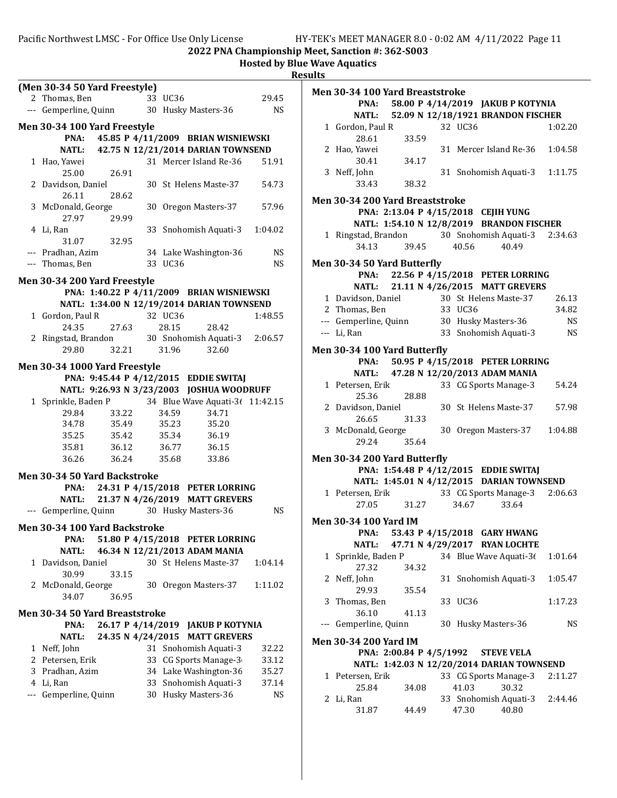Pacific Northwest LMSC - For Office Use Only License HY-TEK's MEET MANAGER 8.0 - 0:02 AM 4/11/2022 Page 11

2022 PNA Championship Meet, Sanction #: 362-S003

| (Men 30-34 50 Yard Freestyle)                                                                      | Men 30-34 100 Yard Breaststroke                                         |
|----------------------------------------------------------------------------------------------------|-------------------------------------------------------------------------|
| 33 UC36<br>29.45<br>2 Thomas, Ben                                                                  | 58.00 P 4/14/2019 JAKUB P KOTYNIA<br>PNA:                               |
| --- Gemperline, Quinn<br><b>NS</b><br>30 Husky Masters-36                                          | 52.09 N 12/18/1921 BRANDON FISCHER<br><b>NATL:</b>                      |
| Men 30-34 100 Yard Freestyle                                                                       | 1 Gordon, Paul R<br>32 UC36<br>1:02.20                                  |
| PNA: 45.85 P 4/11/2009 BRIAN WISNIEWSKI                                                            | 28.61<br>33.59                                                          |
| 42.75 N 12/21/2014 DARIAN TOWNSEND<br><b>NATL:</b>                                                 | 2 Hao, Yawei<br>31 Mercer Island Re-36<br>1:04.58                       |
| 1 Hao, Yawei<br>31 Mercer Island Re-36<br>51.91                                                    | 30.41<br>34.17                                                          |
| 25.00<br>26.91                                                                                     | 3 Neff, John<br>31 Snohomish Aquati-3<br>1:11.75                        |
| 2 Davidson, Daniel<br>54.73<br>30 St Helens Maste-37                                               | 38.32<br>33.43                                                          |
| 26.11<br>28.62                                                                                     | Men 30-34 200 Yard Breaststroke                                         |
| 57.96<br>3 McDonald, George<br>30 Oregon Masters-37                                                | PNA: 2:13.04 P 4/15/2018 CEJIH YUNG                                     |
| 27.97<br>29.99                                                                                     | NATL: 1:54.10 N 12/8/2019 BRANDON FISCHER                               |
| 4 Li, Ran<br>33 Snohomish Aquati-3<br>1:04.02                                                      | 30 Snohomish Aquati-3<br>1 Ringstad, Brandon<br>2:34.63                 |
| 32.95<br>31.07                                                                                     | 34.13<br>40.56<br>40.49<br>39.45                                        |
| --- Pradhan, Azim<br>34 Lake Washington-36<br><b>NS</b><br>--- Thomas, Ben<br>33 UC36<br><b>NS</b> | Men 30-34 50 Yard Butterfly                                             |
|                                                                                                    | 22.56 P 4/15/2018 PETER LORRING<br>PNA:                                 |
| Men 30-34 200 Yard Freestyle                                                                       | 21.11 N 4/26/2015 MATT GREVERS<br><b>NATL:</b>                          |
| PNA: 1:40.22 P 4/11/2009 BRIAN WISNIEWSKI                                                          | 1 Davidson, Daniel<br>30 St Helens Maste-37<br>26.13                    |
| NATL: 1:34.00 N 12/19/2014 DARIAN TOWNSEND                                                         | 2 Thomas, Ben<br>33 UC36<br>34.82                                       |
| 1 Gordon, Paul R<br>32 UC36<br>1:48.55                                                             | --- Gemperline, Quinn<br>30 Husky Masters-36<br><b>NS</b>               |
| 24.35<br>27.63<br>28.15<br>28.42                                                                   | <b>NS</b><br>33 Snohomish Aquati-3<br>--- Li, Ran                       |
| 30 Snohomish Aquati-3<br>2 Ringstad, Brandon<br>2:06.57                                            |                                                                         |
| 32.21<br>29.80<br>31.96<br>32.60                                                                   | Men 30-34 100 Yard Butterfly<br>50.95 P 4/15/2018 PETER LORRING<br>PNA: |
| Men 30-34 1000 Yard Freestyle                                                                      | <b>NATL:</b><br>47.28 N 12/20/2013 ADAM MANIA                           |
| PNA: 9:45.44 P 4/12/2015 EDDIE SWITAJ                                                              | 1 Petersen, Erik<br>33 CG Sports Manage-3<br>54.24                      |
| NATL: 9:26.93 N 3/23/2003 JOSHUA WOODRUFF                                                          | 28.88<br>25.36                                                          |
| 34 Blue Wave Aquati-3( 11:42.15<br>1 Sprinkle, Baden P                                             | 2 Davidson, Daniel<br>30 St Helens Maste-37<br>57.98                    |
| 29.84<br>33.22<br>34.59<br>34.71                                                                   | 26.65<br>31.33                                                          |
| 34.78<br>35.49<br>35.20<br>35.23                                                                   | 30 Oregon Masters-37<br>3 McDonald, George<br>1:04.88                   |
| 35.25<br>35.42<br>36.19<br>35.34                                                                   | 35.64<br>29.24                                                          |
| 35.81<br>36.12<br>36.77<br>36.15<br>36.26<br>36.24<br>35.68<br>33.86                               | Men 30-34 200 Yard Butterfly                                            |
|                                                                                                    | PNA: 1:54.48 P 4/12/2015 EDDIE SWITAJ                                   |
| Men 30-34 50 Yard Backstroke                                                                       | NATL: 1:45.01 N 4/12/2015 DARIAN TOWNSEND                               |
| PNA:<br>24.31 P 4/15/2018 PETER LORRING                                                            | 33 CG Sports Manage-3<br>1 Petersen, Erik<br>2:06.63                    |
| <b>NATL:</b><br>21.37 N 4/26/2019 MATT GREVERS                                                     | 31.27<br>27.05<br>34.67<br>33.64                                        |
| <b>NS</b><br>--- Gemperline, Quinn<br>30 Husky Masters-36                                          |                                                                         |
| Men 30-34 100 Yard Backstroke                                                                      | <b>Men 30-34 100 Yard IM</b><br>53.43 P 4/15/2018 GARY HWANG            |
| PNA:<br>51.80 P 4/15/2018 PETER LORRING                                                            | PNA:<br><b>NATL:</b><br>47.71 N 4/29/2017 RYAN LOCHTE                   |
| <b>NATL:</b><br>46.34 N 12/21/2013 ADAM MANIA                                                      | 1 Sprinkle, Baden P<br>34 Blue Wave Aquati-36<br>1:01.64                |
| 1 Davidson, Daniel<br>30 St Helens Maste-37<br>1:04.14                                             | 27.32<br>34.32                                                          |
| 30.99<br>33.15                                                                                     | 2 Neff, John<br>31 Snohomish Aquati-3<br>1:05.47                        |
| 1:11.02<br>2 McDonald, George<br>30 Oregon Masters-37                                              | 29.93<br>35.54                                                          |
| 34.07<br>36.95                                                                                     | 33 UC36<br>3 Thomas, Ben<br>1:17.23                                     |
| Men 30-34 50 Yard Breaststroke                                                                     | 36.10<br>41.13                                                          |
| PNA:<br>26.17 P 4/14/2019 JAKUB P KOTYNIA                                                          | --- Gemperline, Quinn<br>30 Husky Masters-36<br><b>NS</b>               |
| <b>NATL:</b><br>24.35 N 4/24/2015 MATT GREVERS                                                     | <b>Men 30-34 200 Yard IM</b>                                            |
| 1 Neff, John<br>31 Snohomish Aquati-3<br>32.22                                                     | PNA: 2:00.84 P 4/5/1992<br><b>STEVE VELA</b>                            |
| 33 CG Sports Manage-3<br>2 Petersen, Erik<br>33.12                                                 | NATL: 1:42.03 N 12/20/2014 DARIAN TOWNSEND                              |
| 34 Lake Washington-36<br>3 Pradhan, Azim<br>35.27                                                  | 33 CG Sports Manage-3<br>1 Petersen, Erik<br>2:11.27                    |
| 4 Li, Ran<br>33 Snohomish Aquati-3<br>37.14                                                        | 25.84<br>41.03<br>30.32<br>34.08                                        |
| 30 Husky Masters-36<br>Gemperline, Quinn<br><b>NS</b><br>---                                       | 2 Li, Ran<br>33 Snohomish Aquati-3<br>2:44.46                           |
|                                                                                                    | 47.30<br>40.80<br>31.87<br>44.49                                        |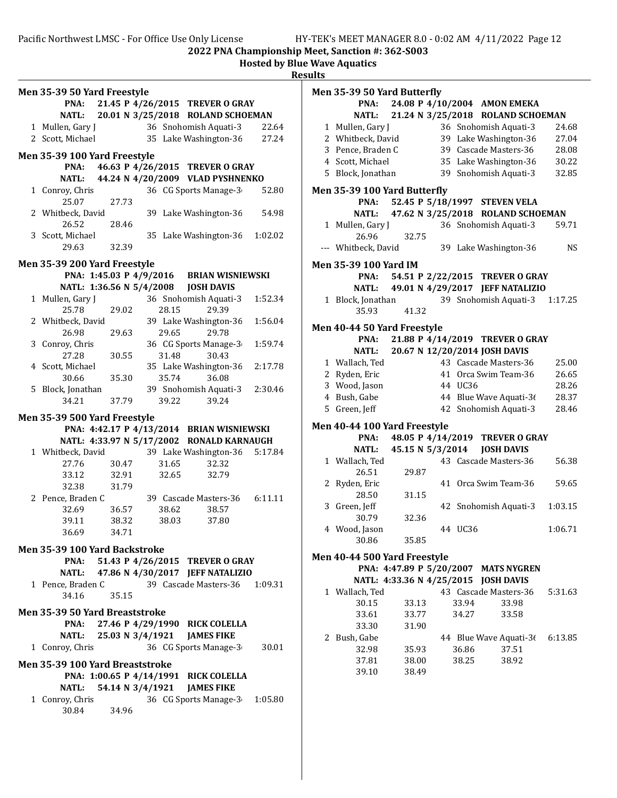2022 PNA Championship Meet, Sanction #: 362-S003

Hosted by Blue Wave Aquatics

|                                                                                                                                                                                                                                                                                                                                                                                                               | <b>Results</b>                                                                                                                                                                                                                                                                                                                                                                                             |
|---------------------------------------------------------------------------------------------------------------------------------------------------------------------------------------------------------------------------------------------------------------------------------------------------------------------------------------------------------------------------------------------------------------|------------------------------------------------------------------------------------------------------------------------------------------------------------------------------------------------------------------------------------------------------------------------------------------------------------------------------------------------------------------------------------------------------------|
| Men 35-39 50 Yard Freestyle<br>PNA:<br>21.45 P 4/26/2015 TREVER O GRAY<br><b>NATL:</b><br>20.01 N 3/25/2018 ROLAND SCHOEMAN<br>36 Snohomish Aquati-3<br>1 Mullen, Gary J<br>22.64<br>2 Scott, Michael<br>35 Lake Washington-36<br>27.24                                                                                                                                                                       | Men 35-39 50 Yard Butterfly<br>PNA:<br>24.08 P 4/10/2004 AMON EMEKA<br><b>NATL:</b><br>21.24 N 3/25/2018 ROLAND SCHOEMAN<br>24.68<br>1 Mullen, Gary J<br>36 Snohomish Aquati-3<br>39 Lake Washington-36<br>27.04<br>2 Whitbeck, David<br>39 Cascade Masters-36<br>28.08<br>3 Pence, Braden C                                                                                                               |
| Men 35-39 100 Yard Freestyle<br>46.63 P 4/26/2015 TREVER O GRAY<br>PNA:<br>44.24 N 4/20/2009 VLAD PYSHNENKO<br><b>NATL:</b>                                                                                                                                                                                                                                                                                   | 30.22<br>4 Scott, Michael<br>35 Lake Washington-36<br>32.85<br>5 Block, Jonathan<br>39 Snohomish Aquati-3                                                                                                                                                                                                                                                                                                  |
| 36 CG Sports Manage-3<br>1 Conroy, Chris<br>52.80<br>25.07<br>27.73<br>54.98<br>2 Whitbeck, David<br>39 Lake Washington-36<br>26.52<br>28.46<br>3 Scott, Michael<br>35 Lake Washington-36<br>1:02.02<br>29.63<br>32.39<br>Men 35-39 200 Yard Freestyle                                                                                                                                                        | Men 35-39 100 Yard Butterfly<br>PNA:<br>52.45 P 5/18/1997 STEVEN VELA<br>47.62 N 3/25/2018 ROLAND SCHOEMAN<br><b>NATL:</b><br>36 Snohomish Aquati-3<br>1 Mullen, Gary J<br>59.71<br>26.96<br>32.75<br><b>NS</b><br>--- Whitbeck, David<br>39 Lake Washington-36<br>Men 35-39 100 Yard IM                                                                                                                   |
| PNA: 1:45.03 P 4/9/2016<br><b>BRIAN WISNIEWSKI</b><br>NATL: 1:36.56 N 5/4/2008<br><b>JOSH DAVIS</b>                                                                                                                                                                                                                                                                                                           | PNA:<br>54.51 P 2/22/2015 TREVER O GRAY<br>NATL:<br>49.01 N 4/29/2017 JEFF NATALIZIO                                                                                                                                                                                                                                                                                                                       |
| 1 Mullen, Gary J<br>36 Snohomish Aquati-3<br>1:52.34<br>25.78<br>29.02<br>28.15<br>29.39                                                                                                                                                                                                                                                                                                                      | 39 Snohomish Aquati-3<br>1:17.25<br>1 Block, Jonathan<br>41.32<br>35.93                                                                                                                                                                                                                                                                                                                                    |
| 2 Whitbeck, David<br>39 Lake Washington-36<br>1:56.04<br>29.78<br>26.98<br>29.63<br>29.65<br>36 CG Sports Manage-3<br>1:59.74<br>3 Conroy, Chris<br>27.28<br>30.43<br>30.55<br>31.48<br>4 Scott, Michael<br>35 Lake Washington-36<br>2:17.78<br>30.66<br>35.30<br>35.74<br>36.08<br>39 Snohomish Aquati-3<br>5 Block, Jonathan<br>2:30.46<br>39.22<br>34.21<br>37.79<br>39.24<br>Men 35-39 500 Yard Freestyle | Men 40-44 50 Yard Freestyle<br>21.88 P 4/14/2019 TREVER O GRAY<br>PNA:<br>20.67 N 12/20/2014 JOSH DAVIS<br><b>NATL:</b><br>25.00<br>1 Wallach, Ted<br>43 Cascade Masters-36<br>26.65<br>2 Ryden, Eric<br>41 Orca Swim Team-36<br>28.26<br>3 Wood, Jason<br>44 UC36<br>28.37<br>4 Bush, Gabe<br>44 Blue Wave Aquati-36<br>28.46<br>5 Green, Jeff<br>42 Snohomish Aquati-3                                   |
| PNA: 4:42.17 P 4/13/2014 BRIAN WISNIEWSKI<br>NATL: 4:33.97 N 5/17/2002 RONALD KARNAUGH<br>1 Whitbeck, David<br>39 Lake Washington-36<br>5:17.84<br>27.76<br>30.47<br>31.65<br>32.32<br>33.12<br>32.91<br>32.65<br>32.79<br>32.38<br>31.79<br>6:11.11<br>2 Pence, Braden C<br>39 Cascade Masters-36<br>32.69<br>36.57<br>38.62<br>38.57<br>38.32<br>38.03<br>37.80<br>39.11<br>36.69<br>34.71                  | Men 40-44 100 Yard Freestyle<br>48.05 P 4/14/2019 TREVER O GRAY<br>PNA:<br><b>NATL:</b><br>45.15 N 5/3/2014<br><b>JOSH DAVIS</b><br>43 Cascade Masters-36<br>56.38<br>1 Wallach, Ted<br>26.51<br>29.87<br>2 Ryden, Eric<br>41 Orca Swim Team-36<br>59.65<br>31.15<br>28.50<br>3 Green, Jeff<br>42 Snohomish Aquati-3<br>1:03.15<br>32.36<br>30.79<br>1:06.71<br>4 Wood, Jason<br>44 UC36<br>30.86<br>35.85 |
| Men 35-39 100 Yard Backstroke<br>PNA:<br>51.43 P 4/26/2015 TREVER O GRAY<br><b>NATL:</b><br>47.86 N 4/30/2017 JEFF NATALIZIO<br>1 Pence, Braden C<br>39 Cascade Masters-36<br>1:09.31<br>34.16<br>35.15<br>Men 35-39 50 Yard Breaststroke<br>27.46 P 4/29/1990 RICK COLELLA<br>PNA:<br><b>NATL:</b><br>25.03 N 3/4/1921<br><b>JAMES FIKE</b><br>1 Conroy, Chris<br>36 CG Sports Manage-3<br>30.01             | Men 40-44 500 Yard Freestyle<br>PNA: 4:47.89 P 5/20/2007 MATS NYGREN<br>NATL: 4:33.36 N 4/25/2015 JOSH DAVIS<br>43 Cascade Masters-36<br>1 Wallach, Ted<br>5:31.63<br>30.15<br>33.13<br>33.94<br>33.98<br>33.61<br>33.77<br>34.27<br>33.58<br>33.30<br>31.90<br>2 Bush, Gabe<br>44 Blue Wave Aquati-36<br>6:13.85<br>32.98<br>35.93<br>36.86<br>37.51                                                      |
| Men 35-39 100 Yard Breaststroke<br>PNA: 1:00.65 P 4/14/1991 RICK COLELLA<br><b>NATL:</b><br>54.14 N 3/4/1921<br><b>JAMES FIKE</b><br>1 Conroy, Chris<br>36 CG Sports Manage-3<br>1:05.80<br>30.84<br>34.96                                                                                                                                                                                                    | 38.25<br>38.92<br>37.81<br>38.00<br>39.10<br>38.49                                                                                                                                                                                                                                                                                                                                                         |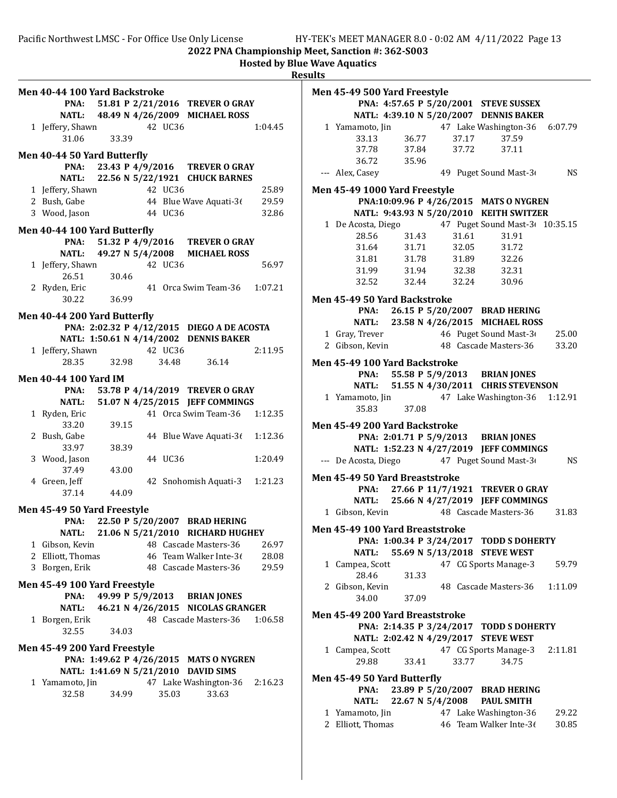| Men 40-44 100 Yard Backstroke |                        |         |                                            |         |
|-------------------------------|------------------------|---------|--------------------------------------------|---------|
| PNA:                          |                        |         | 51.81 P 2/21/2016 TREVER O GRAY            |         |
|                               |                        |         | NATL: 48.49 N 4/26/2009 MICHAEL ROSS       |         |
|                               |                        |         |                                            |         |
| 1 Jeffery, Shawn              |                        | 42 UC36 |                                            | 1:04.45 |
| 31.06                         | 33.39                  |         |                                            |         |
| Men 40-44 50 Yard Butterfly   |                        |         |                                            |         |
|                               |                        |         | PNA: 23.43 P 4/9/2016 TREVER O GRAY        |         |
|                               |                        |         | NATL: 22.56 N 5/22/1921 CHUCK BARNES       |         |
|                               |                        | 42 UC36 |                                            |         |
| 1 Jeffery, Shawn              |                        |         |                                            | 25.89   |
| 2 Bush, Gabe                  |                        |         | 44 Blue Wave Aquati-36                     | 29.59   |
| 3 Wood, Jason                 |                        | 44 UC36 |                                            | 32.86   |
| Men 40-44 100 Yard Butterfly  |                        |         |                                            |         |
|                               | PNA: 51.32 P 4/9/2016  |         | <b>TREVER O GRAY</b>                       |         |
|                               | NATL: 49.27 N 5/4/2008 |         | <b>MICHAEL ROSS</b>                        |         |
| 1 Jeffery, Shawn              |                        | 42 UC36 |                                            | 56.97   |
| 26.51                         | 30.46                  |         |                                            |         |
|                               |                        |         |                                            | 1:07.21 |
| 2 Ryden, Eric                 |                        |         | 41 Orca Swim Team-36                       |         |
| 30.22                         | 36.99                  |         |                                            |         |
| Men 40-44 200 Yard Butterfly  |                        |         |                                            |         |
|                               |                        |         | PNA: 2:02.32 P 4/12/2015 DIEGO A DE ACOSTA |         |
|                               |                        |         | NATL: 1:50.61 N 4/14/2002 DENNIS BAKER     |         |
| 1 Jeffery, Shawn              |                        | 42 UC36 |                                            | 2:11.95 |
| 28.35                         | 32.98                  | 34.48   | 36.14                                      |         |
|                               |                        |         |                                            |         |
| <b>Men 40-44 100 Yard IM</b>  |                        |         |                                            |         |
| PNA:                          |                        |         | 53.78 P 4/14/2019 TREVER O GRAY            |         |
|                               |                        |         | NATL: 51.07 N 4/25/2015 JEFF COMMINGS      |         |
| 1 Ryden, Eric                 |                        |         | 41 Orca Swim Team-36                       | 1:12.35 |
| 33.20                         | 39.15                  |         |                                            |         |
| 2 Bush, Gabe                  |                        |         | 44 Blue Wave Aquati-36                     | 1:12.36 |
| 33.97                         | 38.39                  |         |                                            |         |
| 3 Wood, Jason                 |                        | 44 UC36 |                                            | 1:20.49 |
| 37.49                         | 43.00                  |         |                                            |         |
| 4 Green, Jeff                 |                        |         | 42 Snohomish Aquati-3                      | 1:21.23 |
| 37.14                         | 44.09                  |         |                                            |         |
|                               |                        |         |                                            |         |
| Men 45-49 50 Yard Freestyle   |                        |         |                                            |         |
| PNA:                          | 22.50 P 5/20/2007      |         | <b>BRAD HERING</b>                         |         |
| <b>NATL:</b>                  |                        |         | 21.06 N 5/21/2010 RICHARD HUGHEY           |         |
| 1 Gibson, Kevin               |                        |         | 48 Cascade Masters-36                      | 26.97   |
| 2 Elliott, Thomas             |                        |         | 46 Team Walker Inte-36                     | 28.08   |
| 3 Borgen, Erik                |                        |         | 48 Cascade Masters-36                      | 29.59   |
|                               |                        |         |                                            |         |
| Men 45-49 100 Yard Freestyle  |                        |         |                                            |         |
|                               | PNA: 49.99 P 5/9/2013  |         | <b>BRIAN JONES</b>                         |         |
|                               |                        |         | NATL: 46.21 N 4/26/2015 NICOLAS GRANGER    |         |
| 1 Borgen, Erik                |                        |         | 48 Cascade Masters-36                      | 1:06.58 |
| 32.55                         | 34.03                  |         |                                            |         |
| Men 45-49 200 Yard Freestyle  |                        |         |                                            |         |
|                               |                        |         | PNA: 1:49.62 P 4/26/2015 MATS O NYGREN     |         |
|                               |                        |         | NATL: 1:41.69 N 5/21/2010 DAVID SIMS       |         |
|                               |                        |         |                                            |         |
| 1 Yamamoto, Jin               |                        |         | 47 Lake Washington-36 2:16.23              |         |
| 32.58                         | 34.99                  | 35.03   | 33.63                                      |         |
|                               |                        |         |                                            |         |
|                               |                        |         |                                            |         |

| Men 45-49 500 Yard Freestyle    |                            |       |                                                                                                     |         |
|---------------------------------|----------------------------|-------|-----------------------------------------------------------------------------------------------------|---------|
|                                 |                            |       | PNA: 4:57.65 P 5/20/2001 STEVE SUSSEX                                                               |         |
|                                 |                            |       | NATL: 4:39.10 N 5/20/2007 DENNIS BAKER                                                              |         |
|                                 |                            |       | 1 Yamamoto, Jin 47 Lake Washington-36 6:07.79<br>33.13 36.77 37.17 37.59<br>37.78 37.84 37.72 37.11 |         |
|                                 |                            |       |                                                                                                     |         |
|                                 | 36.72 35.96                |       |                                                                                                     |         |
| --- Alex, Casey                 |                            |       | 49 Puget Sound Mast-3                                                                               | NS.     |
|                                 |                            |       |                                                                                                     |         |
| Men 45-49 1000 Yard Freestyle   |                            |       |                                                                                                     |         |
|                                 |                            |       | PNA:10:09.96 P 4/26/2015 MATS O NYGREN                                                              |         |
|                                 |                            |       | NATL: 9:43.93 N 5/20/2010 KEITH SWITZER                                                             |         |
|                                 |                            | 31.61 | 1 De Acosta, Diego 47 Puget Sound Mast-3+ 10:35.15<br>31.91                                         |         |
|                                 | 28.56 31.43                | 32.05 | 31.72                                                                                               |         |
|                                 | 31.64 31.71<br>31.81 31.78 | 31.89 | 32.26                                                                                               |         |
|                                 | 31.99 31.94 32.38          |       | 32.31                                                                                               |         |
|                                 | 32.52 32.44 32.24 30.96    |       |                                                                                                     |         |
|                                 |                            |       |                                                                                                     |         |
| Men 45-49 50 Yard Backstroke    |                            |       |                                                                                                     |         |
|                                 |                            |       | PNA: 26.15 P 5/20/2007 BRAD HERING<br>NATL: 23.58 N 4/26/2015 MICHAEL ROSS                          |         |
|                                 |                            |       |                                                                                                     |         |
|                                 |                            |       | 1 Gray, Trever 46 Puget Sound Mast-3 25.00<br>2 Gibson, Kevin 48 Cascade Masters-36 33.20           |         |
|                                 |                            |       |                                                                                                     |         |
| Men 45-49 100 Yard Backstroke   |                            |       |                                                                                                     |         |
|                                 |                            |       | PNA: 55.58 P 5/9/2013 BRIAN JONES                                                                   |         |
|                                 |                            |       | NATL: 51.55 N 4/30/2011 CHRIS STEVENSON                                                             |         |
| 1 Yamamoto, Jin                 | $35.83$ $37.08$            |       | 47 Lake Washington-36 1:12.91                                                                       |         |
|                                 |                            |       |                                                                                                     |         |
| Men 45-49 200 Yard Backstroke   |                            |       |                                                                                                     |         |
|                                 |                            |       | PNA: 2:01.71 P 5/9/2013 BRIAN JONES                                                                 |         |
|                                 |                            |       | NATL: 1:52.23 N 4/27/2019 JEFF COMMINGS                                                             |         |
|                                 |                            |       | --- De Acosta, Diego 47 Puget Sound Mast-3                                                          | NS.     |
| Men 45-49 50 Yard Breaststroke  |                            |       |                                                                                                     |         |
|                                 |                            |       | PNA: 27.66 P 11/7/1921 TREVER O GRAY                                                                |         |
|                                 |                            |       | NATL: 25.66 N 4/27/2019 JEFF COMMINGS                                                               |         |
| 1 Gibson, Kevin                 |                            |       | 48 Cascade Masters-36                                                                               | 31.83   |
| Men 45-49 100 Yard Breaststroke |                            |       |                                                                                                     |         |
|                                 |                            |       | PNA: 1:00.34 P 3/24/2017 TODD S DOHERTY                                                             |         |
| <b>NATL:</b>                    |                            |       | 55.69 N 5/13/2018 STEVE WEST                                                                        |         |
| 1 Campea, Scott                 |                            |       | 47 CG Sports Manage-3                                                                               | 59.79   |
| 28.46                           | 31.33                      |       |                                                                                                     |         |
| 2 Gibson, Kevin                 |                            |       | 48 Cascade Masters-36                                                                               | 1:11.09 |
| 34.00                           | 37.09                      |       |                                                                                                     |         |
| Men 45-49 200 Yard Breaststroke |                            |       |                                                                                                     |         |
|                                 | PNA: 2:14.35 P 3/24/2017   |       | <b>TODD S DOHERTY</b>                                                                               |         |
|                                 | NATL: 2:02.42 N 4/29/2017  |       | <b>STEVE WEST</b>                                                                                   |         |
| 1 Campea, Scott                 |                            |       | 47 CG Sports Manage-3 2:11.81                                                                       |         |
| 29.88                           | 33.41                      | 33.77 | 34.75                                                                                               |         |
| Men 45-49 50 Yard Butterfly     |                            |       |                                                                                                     |         |
| PNA:                            |                            |       | 23.89 P 5/20/2007 BRAD HERING                                                                       |         |
| <b>NATL:</b>                    |                            |       | 22.67 N 5/4/2008 PAUL SMITH                                                                         |         |
| 1 Yamamoto, Jin                 |                            |       | 47 Lake Washington-36                                                                               | 29.22   |
| 2 Elliott, Thomas               |                            |       | 46 Team Walker Inte-36                                                                              | 30.85   |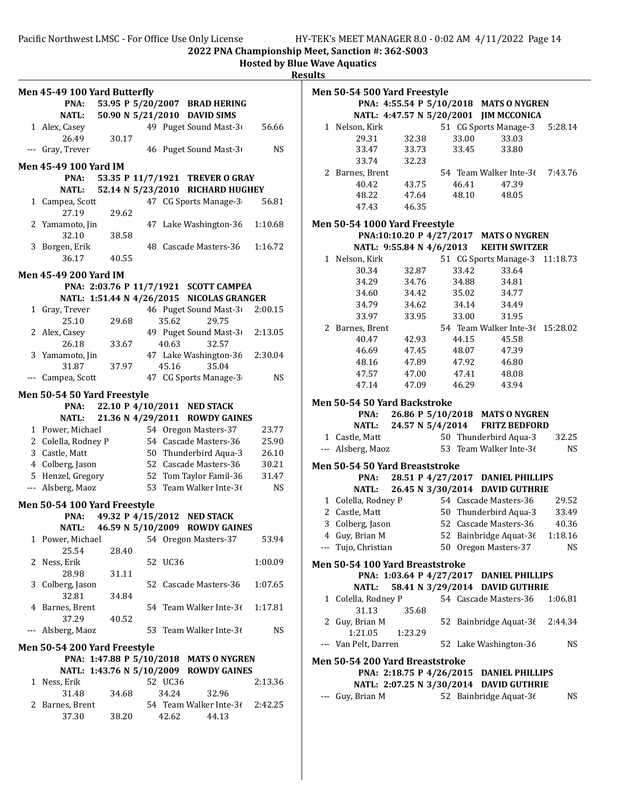Hosted by Blue Wave Aquatics

**Results** 

|   | Men 45-49 100 Yard Butterfly |                   |         |                                           |           |
|---|------------------------------|-------------------|---------|-------------------------------------------|-----------|
|   | PNA:                         |                   |         | 53.95 P 5/20/2007 BRAD HERING             |           |
|   | <b>NATL:</b>                 |                   |         | 50.90 N 5/21/2010 DAVID SIMS              |           |
|   | 1 Alex, Casey                |                   |         | 49 Puget Sound Mast-3                     | 56.66     |
|   | 26.49                        | 30.17             |         |                                           |           |
|   | --- Gray, Trever             |                   |         | 46 Puget Sound Mast-3                     | <b>NS</b> |
|   | <b>Men 45-49 100 Yard IM</b> |                   |         |                                           |           |
|   | PNA:                         |                   |         | 53.35 P 11/7/1921 TREVER O GRAY           |           |
|   | <b>NATL:</b>                 |                   |         | 52.14 N 5/23/2010 RICHARD HUGHEY          |           |
|   | 1 Campea, Scott              |                   |         | 47 CG Sports Manage-3                     | 56.81     |
|   | 27.19                        | 29.62             |         |                                           |           |
|   | 2 Yamamoto, Jin              |                   |         | 47 Lake Washington-36                     | 1:10.68   |
|   | 32.10                        | 38.58             |         |                                           |           |
|   | 3 Borgen, Erik               |                   |         | 48 Cascade Masters-36                     | 1:16.72   |
|   | 36.17                        | 40.55             |         |                                           |           |
|   |                              |                   |         |                                           |           |
|   | Men 45-49 200 Yard IM        |                   |         |                                           |           |
|   |                              |                   |         | PNA: 2:03.76 P 11/7/1921 SCOTT CAMPEA     |           |
|   |                              |                   |         | NATL: 1:51.44 N 4/26/2015 NICOLAS GRANGER |           |
|   | 1 Gray, Trever               |                   |         | 46 Puget Sound Mast-3                     | 2:00.15   |
|   | 25.10                        | 29.68             | 35.62   | 29.75                                     |           |
|   | 2 Alex, Casey<br>26.18       |                   | 40.63   | 49 Puget Sound Mast-3<br>32.57            | 2:13.05   |
|   | 3 Yamamoto, Jin              | 33.67             |         | 47 Lake Washington-36                     | 2:30.04   |
|   | 31.87                        | 37.97             | 45.16   | 35.04                                     |           |
|   | --- Campea, Scott            |                   |         | 47 CG Sports Manage-3                     | <b>NS</b> |
|   |                              |                   |         |                                           |           |
|   | Men 50-54 50 Yard Freestyle  |                   |         |                                           |           |
|   | PNA:                         |                   |         | 22.10 P 4/10/2011 NED STACK               |           |
|   | <b>NATL:</b>                 | 21.36 N 4/29/2011 |         | <b>ROWDY GAINES</b>                       |           |
|   | 1 Power, Michael             |                   |         | 54 Oregon Masters-37                      | 23.77     |
|   | 2 Colella, Rodney P          |                   |         | 54 Cascade Masters-36                     | 25.90     |
|   | 3 Castle, Matt               |                   |         | 50 Thunderbird Aqua-3                     | 26.10     |
|   | 4 Colberg, Jason             |                   |         | 52 Cascade Masters-36                     | 30.21     |
|   | 5 Henzel, Gregory            |                   |         | 52 Tom Taylor Famil-36                    | 31.47     |
|   | --- Alsberg, Maoz            |                   |         | 53 Team Walker Inte-36                    | <b>NS</b> |
|   | Men 50-54 100 Yard Freestyle |                   |         |                                           |           |
|   | PNA:                         |                   |         | 49.32 P 4/15/2012 NED STACK               |           |
|   | NATL:                        | 46.59 N 5/10/2009 |         | <b>ROWDY GAINES</b>                       |           |
|   | 1 Power, Michael             |                   |         | 54 Oregon Masters-37                      | 53.94     |
|   | 25.54                        | 28.40             |         |                                           |           |
| 2 | Ness, Erik                   |                   | 52 UC36 |                                           | 1:00.09   |
|   | 28.98                        | 31.11             |         |                                           |           |
| 3 | Colberg, Jason               |                   |         | 52 Cascade Masters-36                     | 1:07.65   |
|   | 32.81                        | 34.84             |         |                                           |           |
|   | 4 Barnes, Brent              |                   |         | 54 Team Walker Inte-36                    | 1:17.81   |
|   | 37.29                        | 40.52             |         |                                           |           |
|   | --- Alsberg, Maoz            |                   |         | 53 Team Walker Inte-36                    | <b>NS</b> |
|   | Men 50-54 200 Yard Freestyle |                   |         |                                           |           |
|   |                              |                   |         | PNA: 1:47.88 P 5/10/2018 MATS O NYGREN    |           |
|   |                              |                   |         | NATL: 1:43.76 N 5/10/2009 ROWDY GAINES    |           |
|   | 1 Ness, Erik                 |                   | 52 UC36 |                                           | 2:13.36   |
|   | 31.48                        | 34.68             | 34.24   | 32.96                                     |           |
| 2 | Barnes, Brent                |                   |         | 54 Team Walker Inte-36                    | 2:42.25   |
|   | 37.30                        | 38.20             | 42.62   | 44.13                                     |           |

| <b>Men 50-54 500 Yard Freestyle</b>    |                      |  |       |                                          |           |  |  |  |  |
|----------------------------------------|----------------------|--|-------|------------------------------------------|-----------|--|--|--|--|
|                                        |                      |  |       | PNA: 4:55.54 P 5/10/2018 MATS O NYGREN   |           |  |  |  |  |
|                                        |                      |  |       | NATL: 4:47.57 N 5/20/2001 JIM MCCONICA   |           |  |  |  |  |
| 1 Nelson, Kirk                         |                      |  |       | 51 CG Sports Manage-3 5:28.14            |           |  |  |  |  |
| 29.31                                  | 32.38                |  | 33.00 | 33.03                                    |           |  |  |  |  |
| 33.47                                  | 33.73                |  | 33.45 | 33.80                                    |           |  |  |  |  |
| 33.74                                  | 32.23                |  |       |                                          |           |  |  |  |  |
| 2 Barnes, Brent                        |                      |  |       | 54 Team Walker Inte-36 7:43.76           |           |  |  |  |  |
| 40.42                                  | 43.75                |  | 46.41 | 47.39                                    |           |  |  |  |  |
| 48.22                                  | 47.64                |  | 48.10 | 48.05                                    |           |  |  |  |  |
| 47.43                                  | 46.35                |  |       |                                          |           |  |  |  |  |
| <b>Men 50-54 1000 Yard Freestyle</b>   |                      |  |       |                                          |           |  |  |  |  |
| PNA:10:10.20 P 4/27/2017 MATS O NYGREN |                      |  |       |                                          |           |  |  |  |  |
|                                        |                      |  |       | NATL: 9:55.84 N 4/6/2013 KEITH SWITZER   |           |  |  |  |  |
| 1 Nelson, Kirk                         |                      |  |       | 51 CG Sports Manage-3                    | 11:18.73  |  |  |  |  |
| 30.34                                  | 32.87                |  | 33.42 | 33.64                                    |           |  |  |  |  |
| 34.29                                  | 34.76                |  | 34.88 | 34.81                                    |           |  |  |  |  |
| 34.60                                  | 34.42                |  | 35.02 | 34.77                                    |           |  |  |  |  |
| 34.79                                  | 34.62                |  | 34.14 | 34.49                                    |           |  |  |  |  |
| 33.97                                  | 33.95                |  | 33.00 | 31.95                                    |           |  |  |  |  |
| 2 Barnes, Brent                        |                      |  |       | 54 Team Walker Inte-36 15:28.02          |           |  |  |  |  |
|                                        |                      |  | 44.15 |                                          |           |  |  |  |  |
| 40.47                                  | 42.93<br>46.69 47.45 |  | 48.07 | 45.58<br>47.39                           |           |  |  |  |  |
|                                        |                      |  |       |                                          |           |  |  |  |  |
| 48.16                                  | 47.89                |  | 47.92 | 46.80                                    |           |  |  |  |  |
| 47.57                                  | 47.00                |  | 47.41 | 48.08                                    |           |  |  |  |  |
| 47.14                                  | 47.09 46.29          |  |       | 43.94                                    |           |  |  |  |  |
| <b>Men 50-54 50 Yard Backstroke</b>    |                      |  |       |                                          |           |  |  |  |  |
|                                        |                      |  |       | PNA: 26.86 P 5/10/2018 MATS O NYGREN     |           |  |  |  |  |
| <b>NATL:</b>                           |                      |  |       | 24.57 N 5/4/2014 FRITZ BEDFORD           |           |  |  |  |  |
| 1 Castle, Matt                         |                      |  |       | 50 Thunderbird Aqua-3                    | 32.25     |  |  |  |  |
| --- Alsberg, Maoz                      |                      |  |       | 53 Team Walker Inte-36                   | <b>NS</b> |  |  |  |  |
| <b>Men 50-54 50 Yard Breaststroke</b>  |                      |  |       |                                          |           |  |  |  |  |
| PNA:                                   |                      |  |       | 28.51 P 4/27/2017 DANIEL PHILLIPS        |           |  |  |  |  |
| <b>NATL:</b>                           |                      |  |       | 26.45 N 3/30/2014 DAVID GUTHRIE          |           |  |  |  |  |
| 1 Colella, Rodney P                    |                      |  |       | 54 Cascade Masters-36 29.52              |           |  |  |  |  |
| 2 Castle, Matt                         |                      |  |       | 50 Thunderbird Aqua-3 33.49              |           |  |  |  |  |
| 3 Colberg, Jason                       |                      |  |       | 52 Cascade Masters-36                    | 40.36     |  |  |  |  |
| 4 Guy, Brian M                         |                      |  |       | 52 Bainbridge Aquat-36 1:18.16           |           |  |  |  |  |
| --- Tujo, Christian                    |                      |  |       | 50 Oregon Masters-37                     | NS        |  |  |  |  |
|                                        |                      |  |       |                                          |           |  |  |  |  |
| Men 50-54 100 Yard Breaststroke        |                      |  |       |                                          |           |  |  |  |  |
|                                        |                      |  |       | PNA: 1:03.64 P 4/27/2017 DANIEL PHILLIPS |           |  |  |  |  |
| <b>NATL:</b>                           |                      |  |       | 58.41 N 3/29/2014 DAVID GUTHRIE          |           |  |  |  |  |
| 1 Colella, Rodney P                    |                      |  |       | 54 Cascade Masters-36                    | 1:06.81   |  |  |  |  |
| 31.13                                  | 35.68                |  |       |                                          |           |  |  |  |  |
| 2 Guy, Brian M                         |                      |  |       | 52 Bainbridge Aquat-36 2:44.34           |           |  |  |  |  |
| 1:21.05                                | 1:23.29              |  |       |                                          |           |  |  |  |  |
| --- Van Pelt, Darren                   |                      |  |       | 52 Lake Washington-36                    | NS        |  |  |  |  |
| Men 50-54 200 Yard Breaststroke        |                      |  |       |                                          |           |  |  |  |  |
|                                        |                      |  |       | PNA: 2:18.75 P 4/26/2015 DANIEL PHILLIPS |           |  |  |  |  |
|                                        |                      |  |       | NATL: 2:07.25 N 3/30/2014 DAVID GUTHRIE  |           |  |  |  |  |
|                                        |                      |  |       | --- Guy, Brian M 52 Bainbridge Aquat-36  | <b>NS</b> |  |  |  |  |
|                                        |                      |  |       |                                          |           |  |  |  |  |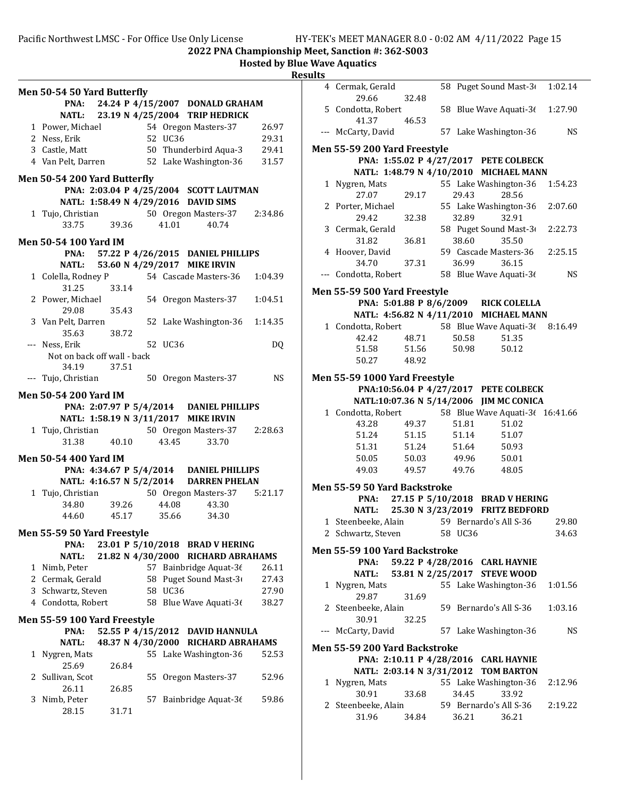| Men 50-54 50 Yard Butterfly<br>PNA: 24.24 P 4/15/2007 DONALD GRAHAM<br>NATL: 23.19 N 4/25/2004 TRIP HEDRICK<br>1 Power, Michael 54 Oregon Masters-37<br>2 Ness, Erik<br>52 UC36<br>3 Castle, Matt<br>50 Thunderbird Aqua-3<br>4 Van Pelt, Darren 52 Lake Washington-36<br>Men 50-54 200 Yard Butterfly<br>PNA: 2:03.04 P 4/25/2004 SCOTT LAUTMAN<br>NATL: 1:58.49 N 4/29/2016 DAVID SIMS<br>1 Tujo, Christian 50 Oregon Masters-37 2:34.86<br>33.75 39.36 41.01 40.74<br><b>Men 50-54 100 Yard IM</b><br>PNA: 57.22 P 4/26/2015 DANIEL PHILLIPS<br>NATL: 53.60 N 4/29/2017 MIKE IRVIN<br>54 Cascade Masters-36  1:04.39<br>1 Colella, Rodney P<br>31.25 33.14<br>2 Power, Michael<br>54 Oregon Masters-37  1:04.51<br>29.08<br>35.43<br>3 Van Pelt, Darren<br>52 Lake Washington-36 1:14.35<br>35.63 38.72<br>--- Ness, Erik<br>52 UC36<br>Not on back off wall - back<br>34.19 37.51<br>--- Tujo, Christian<br>50 Oregon Masters-37<br>Men 50-54 200 Yard IM<br>PNA: 2:07.97 P 5/4/2014 DANIEL PHILLIPS<br>NATL: 1:58.19 N 3/11/2017 MIKE IRVIN<br>1 Tujo, Christian 50 Oregon Masters-37 2:28.63<br>31.38<br>43.45<br>40.10<br>33.70<br>Men 50-54 400 Yard IM<br>PNA: 4:34.67 P 5/4/2014 DANIEL PHILLIPS<br>NATL: 4:16.57 N 5/2/2014 DARREN PHELAN<br>50 Oregon Masters-37   5:21.17<br>$1 \tTujo, Christian$<br>34.80 39.26<br>44.08<br>43.30<br>44.60<br>45.17<br>35.66<br>34.30<br>Men 55-59 50 Yard Freestyle | 26.97<br>29.31<br>29.41<br>31.57 |
|---------------------------------------------------------------------------------------------------------------------------------------------------------------------------------------------------------------------------------------------------------------------------------------------------------------------------------------------------------------------------------------------------------------------------------------------------------------------------------------------------------------------------------------------------------------------------------------------------------------------------------------------------------------------------------------------------------------------------------------------------------------------------------------------------------------------------------------------------------------------------------------------------------------------------------------------------------------------------------------------------------------------------------------------------------------------------------------------------------------------------------------------------------------------------------------------------------------------------------------------------------------------------------------------------------------------------------------------------------------------------------------------------------------------|----------------------------------|
|                                                                                                                                                                                                                                                                                                                                                                                                                                                                                                                                                                                                                                                                                                                                                                                                                                                                                                                                                                                                                                                                                                                                                                                                                                                                                                                                                                                                                     |                                  |
|                                                                                                                                                                                                                                                                                                                                                                                                                                                                                                                                                                                                                                                                                                                                                                                                                                                                                                                                                                                                                                                                                                                                                                                                                                                                                                                                                                                                                     |                                  |
|                                                                                                                                                                                                                                                                                                                                                                                                                                                                                                                                                                                                                                                                                                                                                                                                                                                                                                                                                                                                                                                                                                                                                                                                                                                                                                                                                                                                                     |                                  |
|                                                                                                                                                                                                                                                                                                                                                                                                                                                                                                                                                                                                                                                                                                                                                                                                                                                                                                                                                                                                                                                                                                                                                                                                                                                                                                                                                                                                                     |                                  |
|                                                                                                                                                                                                                                                                                                                                                                                                                                                                                                                                                                                                                                                                                                                                                                                                                                                                                                                                                                                                                                                                                                                                                                                                                                                                                                                                                                                                                     |                                  |
|                                                                                                                                                                                                                                                                                                                                                                                                                                                                                                                                                                                                                                                                                                                                                                                                                                                                                                                                                                                                                                                                                                                                                                                                                                                                                                                                                                                                                     |                                  |
|                                                                                                                                                                                                                                                                                                                                                                                                                                                                                                                                                                                                                                                                                                                                                                                                                                                                                                                                                                                                                                                                                                                                                                                                                                                                                                                                                                                                                     |                                  |
|                                                                                                                                                                                                                                                                                                                                                                                                                                                                                                                                                                                                                                                                                                                                                                                                                                                                                                                                                                                                                                                                                                                                                                                                                                                                                                                                                                                                                     |                                  |
|                                                                                                                                                                                                                                                                                                                                                                                                                                                                                                                                                                                                                                                                                                                                                                                                                                                                                                                                                                                                                                                                                                                                                                                                                                                                                                                                                                                                                     |                                  |
|                                                                                                                                                                                                                                                                                                                                                                                                                                                                                                                                                                                                                                                                                                                                                                                                                                                                                                                                                                                                                                                                                                                                                                                                                                                                                                                                                                                                                     |                                  |
|                                                                                                                                                                                                                                                                                                                                                                                                                                                                                                                                                                                                                                                                                                                                                                                                                                                                                                                                                                                                                                                                                                                                                                                                                                                                                                                                                                                                                     |                                  |
|                                                                                                                                                                                                                                                                                                                                                                                                                                                                                                                                                                                                                                                                                                                                                                                                                                                                                                                                                                                                                                                                                                                                                                                                                                                                                                                                                                                                                     |                                  |
|                                                                                                                                                                                                                                                                                                                                                                                                                                                                                                                                                                                                                                                                                                                                                                                                                                                                                                                                                                                                                                                                                                                                                                                                                                                                                                                                                                                                                     |                                  |
|                                                                                                                                                                                                                                                                                                                                                                                                                                                                                                                                                                                                                                                                                                                                                                                                                                                                                                                                                                                                                                                                                                                                                                                                                                                                                                                                                                                                                     |                                  |
|                                                                                                                                                                                                                                                                                                                                                                                                                                                                                                                                                                                                                                                                                                                                                                                                                                                                                                                                                                                                                                                                                                                                                                                                                                                                                                                                                                                                                     |                                  |
|                                                                                                                                                                                                                                                                                                                                                                                                                                                                                                                                                                                                                                                                                                                                                                                                                                                                                                                                                                                                                                                                                                                                                                                                                                                                                                                                                                                                                     |                                  |
|                                                                                                                                                                                                                                                                                                                                                                                                                                                                                                                                                                                                                                                                                                                                                                                                                                                                                                                                                                                                                                                                                                                                                                                                                                                                                                                                                                                                                     |                                  |
|                                                                                                                                                                                                                                                                                                                                                                                                                                                                                                                                                                                                                                                                                                                                                                                                                                                                                                                                                                                                                                                                                                                                                                                                                                                                                                                                                                                                                     |                                  |
|                                                                                                                                                                                                                                                                                                                                                                                                                                                                                                                                                                                                                                                                                                                                                                                                                                                                                                                                                                                                                                                                                                                                                                                                                                                                                                                                                                                                                     |                                  |
|                                                                                                                                                                                                                                                                                                                                                                                                                                                                                                                                                                                                                                                                                                                                                                                                                                                                                                                                                                                                                                                                                                                                                                                                                                                                                                                                                                                                                     |                                  |
|                                                                                                                                                                                                                                                                                                                                                                                                                                                                                                                                                                                                                                                                                                                                                                                                                                                                                                                                                                                                                                                                                                                                                                                                                                                                                                                                                                                                                     |                                  |
|                                                                                                                                                                                                                                                                                                                                                                                                                                                                                                                                                                                                                                                                                                                                                                                                                                                                                                                                                                                                                                                                                                                                                                                                                                                                                                                                                                                                                     |                                  |
|                                                                                                                                                                                                                                                                                                                                                                                                                                                                                                                                                                                                                                                                                                                                                                                                                                                                                                                                                                                                                                                                                                                                                                                                                                                                                                                                                                                                                     | DQ                               |
|                                                                                                                                                                                                                                                                                                                                                                                                                                                                                                                                                                                                                                                                                                                                                                                                                                                                                                                                                                                                                                                                                                                                                                                                                                                                                                                                                                                                                     |                                  |
|                                                                                                                                                                                                                                                                                                                                                                                                                                                                                                                                                                                                                                                                                                                                                                                                                                                                                                                                                                                                                                                                                                                                                                                                                                                                                                                                                                                                                     |                                  |
|                                                                                                                                                                                                                                                                                                                                                                                                                                                                                                                                                                                                                                                                                                                                                                                                                                                                                                                                                                                                                                                                                                                                                                                                                                                                                                                                                                                                                     | <b>NS</b>                        |
|                                                                                                                                                                                                                                                                                                                                                                                                                                                                                                                                                                                                                                                                                                                                                                                                                                                                                                                                                                                                                                                                                                                                                                                                                                                                                                                                                                                                                     |                                  |
|                                                                                                                                                                                                                                                                                                                                                                                                                                                                                                                                                                                                                                                                                                                                                                                                                                                                                                                                                                                                                                                                                                                                                                                                                                                                                                                                                                                                                     |                                  |
|                                                                                                                                                                                                                                                                                                                                                                                                                                                                                                                                                                                                                                                                                                                                                                                                                                                                                                                                                                                                                                                                                                                                                                                                                                                                                                                                                                                                                     |                                  |
|                                                                                                                                                                                                                                                                                                                                                                                                                                                                                                                                                                                                                                                                                                                                                                                                                                                                                                                                                                                                                                                                                                                                                                                                                                                                                                                                                                                                                     |                                  |
|                                                                                                                                                                                                                                                                                                                                                                                                                                                                                                                                                                                                                                                                                                                                                                                                                                                                                                                                                                                                                                                                                                                                                                                                                                                                                                                                                                                                                     |                                  |
|                                                                                                                                                                                                                                                                                                                                                                                                                                                                                                                                                                                                                                                                                                                                                                                                                                                                                                                                                                                                                                                                                                                                                                                                                                                                                                                                                                                                                     |                                  |
|                                                                                                                                                                                                                                                                                                                                                                                                                                                                                                                                                                                                                                                                                                                                                                                                                                                                                                                                                                                                                                                                                                                                                                                                                                                                                                                                                                                                                     |                                  |
|                                                                                                                                                                                                                                                                                                                                                                                                                                                                                                                                                                                                                                                                                                                                                                                                                                                                                                                                                                                                                                                                                                                                                                                                                                                                                                                                                                                                                     |                                  |
|                                                                                                                                                                                                                                                                                                                                                                                                                                                                                                                                                                                                                                                                                                                                                                                                                                                                                                                                                                                                                                                                                                                                                                                                                                                                                                                                                                                                                     |                                  |
|                                                                                                                                                                                                                                                                                                                                                                                                                                                                                                                                                                                                                                                                                                                                                                                                                                                                                                                                                                                                                                                                                                                                                                                                                                                                                                                                                                                                                     |                                  |
|                                                                                                                                                                                                                                                                                                                                                                                                                                                                                                                                                                                                                                                                                                                                                                                                                                                                                                                                                                                                                                                                                                                                                                                                                                                                                                                                                                                                                     |                                  |
|                                                                                                                                                                                                                                                                                                                                                                                                                                                                                                                                                                                                                                                                                                                                                                                                                                                                                                                                                                                                                                                                                                                                                                                                                                                                                                                                                                                                                     |                                  |
| 23.01 P 5/10/2018 BRAD V HERING<br>PNA:                                                                                                                                                                                                                                                                                                                                                                                                                                                                                                                                                                                                                                                                                                                                                                                                                                                                                                                                                                                                                                                                                                                                                                                                                                                                                                                                                                             |                                  |
| 21.82 N 4/30/2000                                                                                                                                                                                                                                                                                                                                                                                                                                                                                                                                                                                                                                                                                                                                                                                                                                                                                                                                                                                                                                                                                                                                                                                                                                                                                                                                                                                                   |                                  |
| <b>RICHARD ABRAHAMS</b><br>NATL:<br>57                                                                                                                                                                                                                                                                                                                                                                                                                                                                                                                                                                                                                                                                                                                                                                                                                                                                                                                                                                                                                                                                                                                                                                                                                                                                                                                                                                              | 26.11                            |
| Bainbridge Aquat-36<br>1 Nimb, Peter<br>2 Cermak, Gerald<br>58 Puget Sound Mast-3                                                                                                                                                                                                                                                                                                                                                                                                                                                                                                                                                                                                                                                                                                                                                                                                                                                                                                                                                                                                                                                                                                                                                                                                                                                                                                                                   | 27.43                            |
| 3 Schwartz, Steven<br>58 UC36                                                                                                                                                                                                                                                                                                                                                                                                                                                                                                                                                                                                                                                                                                                                                                                                                                                                                                                                                                                                                                                                                                                                                                                                                                                                                                                                                                                       | 27.90                            |
| 4 Condotta, Robert                                                                                                                                                                                                                                                                                                                                                                                                                                                                                                                                                                                                                                                                                                                                                                                                                                                                                                                                                                                                                                                                                                                                                                                                                                                                                                                                                                                                  |                                  |
| 58 Blue Wave Aquati-36                                                                                                                                                                                                                                                                                                                                                                                                                                                                                                                                                                                                                                                                                                                                                                                                                                                                                                                                                                                                                                                                                                                                                                                                                                                                                                                                                                                              | 38.27                            |
| Men 55-59 100 Yard Freestyle                                                                                                                                                                                                                                                                                                                                                                                                                                                                                                                                                                                                                                                                                                                                                                                                                                                                                                                                                                                                                                                                                                                                                                                                                                                                                                                                                                                        |                                  |
| 52.55 P 4/15/2012 DAVID HANNULA<br>PNA:                                                                                                                                                                                                                                                                                                                                                                                                                                                                                                                                                                                                                                                                                                                                                                                                                                                                                                                                                                                                                                                                                                                                                                                                                                                                                                                                                                             |                                  |
| 48.37 N 4/30/2000 RICHARD ABRAHAMS<br><b>NATL:</b>                                                                                                                                                                                                                                                                                                                                                                                                                                                                                                                                                                                                                                                                                                                                                                                                                                                                                                                                                                                                                                                                                                                                                                                                                                                                                                                                                                  |                                  |
| Nygren, Mats<br>55 Lake Washington-36<br>1                                                                                                                                                                                                                                                                                                                                                                                                                                                                                                                                                                                                                                                                                                                                                                                                                                                                                                                                                                                                                                                                                                                                                                                                                                                                                                                                                                          |                                  |
| 25.69<br>26.84                                                                                                                                                                                                                                                                                                                                                                                                                                                                                                                                                                                                                                                                                                                                                                                                                                                                                                                                                                                                                                                                                                                                                                                                                                                                                                                                                                                                      | 52.53                            |
| 2 Sullivan, Scot<br>55<br>Oregon Masters-37                                                                                                                                                                                                                                                                                                                                                                                                                                                                                                                                                                                                                                                                                                                                                                                                                                                                                                                                                                                                                                                                                                                                                                                                                                                                                                                                                                         |                                  |
| 26.11<br>26.85                                                                                                                                                                                                                                                                                                                                                                                                                                                                                                                                                                                                                                                                                                                                                                                                                                                                                                                                                                                                                                                                                                                                                                                                                                                                                                                                                                                                      | 52.96                            |
| Bainbridge Aquat-36<br>3<br>Nimb, Peter<br>57                                                                                                                                                                                                                                                                                                                                                                                                                                                                                                                                                                                                                                                                                                                                                                                                                                                                                                                                                                                                                                                                                                                                                                                                                                                                                                                                                                       |                                  |
| 28.15<br>31.71                                                                                                                                                                                                                                                                                                                                                                                                                                                                                                                                                                                                                                                                                                                                                                                                                                                                                                                                                                                                                                                                                                                                                                                                                                                                                                                                                                                                      | 59.86                            |

| படல  |                                      |       |                |                                                           |           |
|------|--------------------------------------|-------|----------------|-----------------------------------------------------------|-----------|
|      | 4 Cermak, Gerald                     |       |                | 58 Puget Sound Mast-3( 1:02.14                            |           |
|      | 29.66                                | 32.48 |                |                                                           |           |
|      | 5 Condotta, Robert                   |       |                | 58 Blue Wave Aquati-3( 1:27.90                            |           |
|      | 41.37<br>--- McCarty, David          | 46.53 |                | 57 Lake Washington-36                                     | <b>NS</b> |
|      |                                      |       |                |                                                           |           |
|      | <b>Men 55-59 200 Yard Freestyle</b>  |       |                |                                                           |           |
|      |                                      |       |                | PNA: 1:55.02 P 4/27/2017 PETE COLBECK                     |           |
|      |                                      |       |                | NATL: 1:48.79 N 4/10/2010 MICHAEL MANN                    |           |
|      | 1 Nygren, Mats<br>27.07              | 29.17 | 29.43          | 55 Lake Washington-36<br>28.56                            | 1:54.23   |
|      | 2 Porter, Michael                    |       |                | 55 Lake Washington-36                                     | 2:07.60   |
|      | 29.42                                | 32.38 | 32.89          | 32.91                                                     |           |
|      | 3 Cermak, Gerald                     |       |                | 58 Puget Sound Mast-3                                     | 2:22.73   |
|      | 31.82                                | 36.81 | 38.60          | 35.50                                                     |           |
|      | 4 Hoover, David                      |       |                | 59 Cascade Masters-36                                     | 2:25.15   |
|      | 34.70                                | 37.31 | 36.99          | 36.15                                                     |           |
|      | --- Condotta, Robert                 |       |                | 58 Blue Wave Aquati-36                                    | <b>NS</b> |
|      | Men 55-59 500 Yard Freestyle         |       |                |                                                           |           |
|      |                                      |       |                | PNA: 5:01.88 P 8/6/2009 RICK COLELLA                      |           |
|      |                                      |       |                | NATL: 4:56.82 N 4/11/2010 MICHAEL MANN                    |           |
|      | 1 Condotta, Robert                   |       |                | 58 Blue Wave Aquati-36 8:16.49                            |           |
|      | 42.42                                | 48.71 | 50.58          | 51.35                                                     |           |
|      | 51.58                                | 51.56 | 50.98          | 50.12                                                     |           |
|      | 50.27                                | 48.92 |                |                                                           |           |
|      | <b>Men 55-59 1000 Yard Freestyle</b> |       |                |                                                           |           |
|      |                                      |       |                | PNA:10:56.04 P 4/27/2017 PETE COLBECK                     |           |
|      |                                      |       |                | NATL:10:07.36 N 5/14/2006 JIM MC CONICA                   |           |
|      | 1 Condotta, Robert                   |       |                | 58 Blue Wave Aquati-3( 16:41.66                           |           |
|      | 43.28                                | 49.37 | 51.81          | 51.02                                                     |           |
|      | 51.24 51.15                          |       |                | 51.14<br>51.07                                            |           |
|      | 51.31 51.24<br>50.05                 | 50.03 | 51.64<br>49.96 | 50.93<br>50.01                                            |           |
|      | 49.03                                |       |                | 49.57 49.76 48.05                                         |           |
|      |                                      |       |                |                                                           |           |
|      | <b>Men 55-59 50 Yard Backstroke</b>  |       |                |                                                           |           |
|      | PNA:                                 |       |                | 27.15 P 5/10/2018 BRAD V HERING                           |           |
|      | NATL:<br>1 Steenbeeke, Alain         |       |                | 25.30 N 3/23/2019 FRITZ BEDFORD<br>59 Bernardo's All S-36 | 29.80     |
|      | 2 Schwartz, Steven                   |       | 58 UC36        |                                                           | 34.63     |
|      |                                      |       |                |                                                           |           |
|      | <b>Men 55-59 100 Yard Backstroke</b> |       |                |                                                           |           |
|      | PNA:                                 |       |                | 59.22 P 4/28/2016 CARL HAYNIE                             |           |
|      | <b>NATL:</b>                         |       |                | 53.81 N 2/25/2017 STEVE WOOD<br>55 Lake Washington-36     | 1:01.56   |
|      | 1 Nygren, Mats<br>29.87              | 31.69 |                |                                                           |           |
|      | 2 Steenbeeke, Alain                  |       |                | 59 Bernardo's All S-36                                    | 1:03.16   |
|      | 30.91                                | 32.25 |                |                                                           |           |
| $--$ | McCarty, David                       |       |                | 57 Lake Washington-36                                     | <b>NS</b> |
|      | Men 55-59 200 Yard Backstroke        |       |                |                                                           |           |
|      |                                      |       |                | PNA: 2:10.11 P 4/28/2016 CARL HAYNIE                      |           |
|      |                                      |       |                | NATL: 2:03.14 N 3/31/2012 TOM BARTON                      |           |
|      | 1 Nygren, Mats                       |       |                | 55 Lake Washington-36                                     | 2:12.96   |
|      | 30.91                                | 33.68 | 34.45          | 33.92                                                     |           |
|      | 2 Steenbeeke, Alain                  |       |                | 59 Bernardo's All S-36                                    | 2:19.22   |
|      | 31.96                                | 34.84 | 36.21          | 36.21                                                     |           |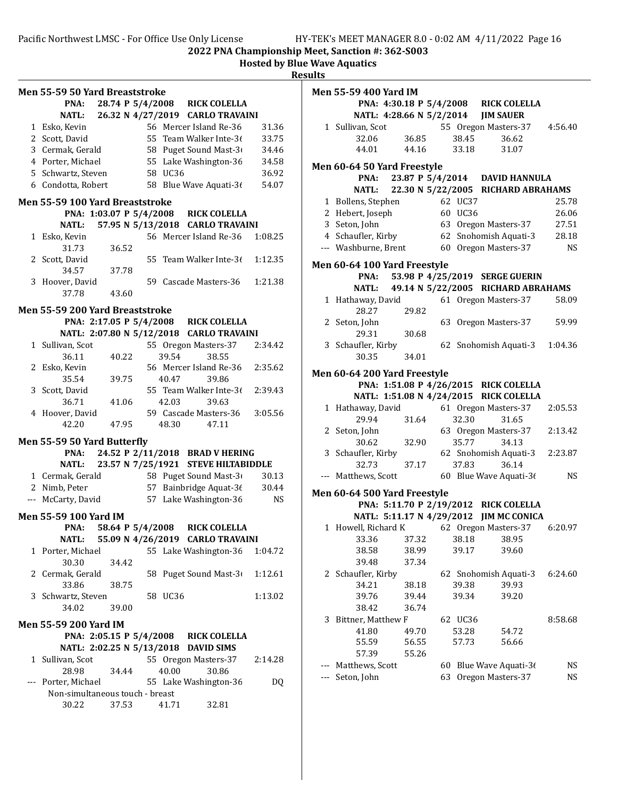|     | <b>Men 55-59 50 Yard Breaststroke</b> |       |                  |         |                                          |           |
|-----|---------------------------------------|-------|------------------|---------|------------------------------------------|-----------|
|     | PNA:                                  |       | 28.74 P 5/4/2008 |         | <b>RICK COLELLA</b>                      |           |
|     | <b>NATL:</b>                          |       |                  |         | 26.32 N 4/27/2019 CARLO TRAVAINI         |           |
|     | 1 Esko, Kevin                         |       |                  |         | 56 Mercer Island Re-36                   | 31.36     |
|     | 2 Scott, David                        |       |                  |         | 55 Team Walker Inte-36                   | 33.75     |
|     | 3 Cermak, Gerald                      |       |                  |         | 58 Puget Sound Mast-3                    | 34.46     |
|     | 4 Porter, Michael                     |       |                  |         | 55 Lake Washington-36                    |           |
|     |                                       |       |                  |         |                                          | 34.58     |
|     | 5 Schwartz, Steven                    |       |                  | 58 UC36 |                                          | 36.92     |
|     | 6 Condotta, Robert                    |       |                  |         | 58 Blue Wave Aquati-36                   | 54.07     |
|     | Men 55-59 100 Yard Breaststroke       |       |                  |         |                                          |           |
|     |                                       |       |                  |         | PNA: 1:03.07 P 5/4/2008 RICK COLELLA     |           |
|     | NATL:                                 |       |                  |         | 57.95 N 5/13/2018 CARLO TRAVAINI         |           |
|     | 1 Esko, Kevin                         |       |                  |         | 56 Mercer Island Re-36                   | 1:08.25   |
|     | 31.73                                 | 36.52 |                  |         |                                          |           |
|     | 2 Scott, David                        |       |                  |         | 55 Team Walker Inte-36                   | 1:12.35   |
|     | 34.57                                 | 37.78 |                  |         |                                          |           |
| 3   | Hoover, David                         |       |                  |         | 59 Cascade Masters-36                    | 1:21.38   |
|     | 37.78                                 | 43.60 |                  |         |                                          |           |
|     | Men 55-59 200 Yard Breaststroke       |       |                  |         |                                          |           |
|     |                                       |       |                  |         | PNA: 2:17.05 P 5/4/2008 RICK COLELLA     |           |
|     |                                       |       |                  |         | NATL: 2:07.80 N 5/12/2018 CARLO TRAVAINI |           |
|     | 1 Sullivan, Scot                      |       |                  |         | 55 Oregon Masters-37                     | 2:34.42   |
|     | 36.11                                 | 40.22 |                  | 39.54   | 38.55                                    |           |
|     | 2 Esko, Kevin                         |       |                  |         | 56 Mercer Island Re-36                   | 2:35.62   |
|     |                                       |       |                  |         |                                          |           |
|     | 35.54                                 | 39.75 |                  | 40.47   | 39.86                                    |           |
|     | 3 Scott, David                        |       |                  |         | 55 Team Walker Inte-36                   | 2:39.43   |
|     | 36.71                                 | 41.06 |                  | 42.03   | 39.63                                    |           |
|     | 4 Hoover, David                       |       |                  |         | 59 Cascade Masters-36                    | 3:05.56   |
|     | 42.20                                 | 47.95 |                  | 48.30   | 47.11                                    |           |
|     | Men 55-59 50 Yard Butterfly           |       |                  |         |                                          |           |
|     | PNA:                                  |       |                  |         | 24.52 P 2/11/2018 BRAD V HERING          |           |
|     | NATL:                                 |       |                  |         | 23.57 N 7/25/1921 STEVE HILTABIDDLE      |           |
|     | 1 Cermak, Gerald                      |       |                  |         | 58 Puget Sound Mast-3                    | 30.13     |
|     | 2 Nimb, Peter                         |       |                  |         | 57 Bainbridge Aquat-36                   | 30.44     |
|     |                                       |       |                  |         |                                          |           |
|     | --- McCarty, David                    |       |                  |         | 57 Lake Washington-36                    | <b>NS</b> |
|     | Men 55-59 100 Yard IM                 |       |                  |         |                                          |           |
|     | PNA: 58.64 P 5/4/2008                 |       |                  |         | <b>RICK COLELLA</b>                      |           |
|     | <b>NATL:</b>                          |       |                  |         | 55.09 N 4/26/2019 CARLO TRAVAINI         |           |
|     | 1 Porter, Michael                     |       |                  |         | 55 Lake Washington-36                    | 1:04.72   |
|     | 30.30                                 | 34.42 |                  |         |                                          |           |
|     | 2 Cermak, Gerald                      |       |                  |         | 58 Puget Sound Mast-3                    | 1:12.61   |
|     | 33.86                                 | 38.75 |                  |         |                                          |           |
| 3   | Schwartz, Steven                      |       |                  | 58 UC36 |                                          | 1:13.02   |
|     | 34.02                                 | 39.00 |                  |         |                                          |           |
|     | Men 55-59 200 Yard IM                 |       |                  |         |                                          |           |
|     |                                       |       |                  |         | PNA: 2:05.15 P 5/4/2008 RICK COLELLA     |           |
|     |                                       |       |                  |         | NATL: 2:02.25 N 5/13/2018 DAVID SIMS     |           |
|     |                                       |       |                  |         |                                          |           |
|     | 1 Sullivan, Scot                      |       |                  |         | 55 Oregon Masters-37                     | 2:14.28   |
|     | 28.98                                 | 34.44 |                  | 40.00   | 30.86                                    |           |
| --- | Porter, Michael                       |       |                  |         | 55 Lake Washington-36                    | DQ        |
|     | Non-simultaneous touch - breast       |       |                  |         |                                          |           |
|     | 30.22                                 | 37.53 |                  | 41.71   | 32.81                                    |           |
|     |                                       |       |                  |         |                                          |           |

| IITS |                                     |       |    |         |                                                                            |           |
|------|-------------------------------------|-------|----|---------|----------------------------------------------------------------------------|-----------|
|      | Men 55-59 400 Yard IM               |       |    |         |                                                                            |           |
|      |                                     |       |    |         |                                                                            |           |
|      |                                     |       |    |         | PNA: 4:30.18 P 5/4/2008 RICK COLELLA<br>NATL: 4:28.66 N 5/2/2014 JIM SAUER |           |
|      | 1 Sullivan, Scot                    |       |    |         | 55 Oregon Masters-37                                                       | 4:56.40   |
|      | 32.06                               | 36.85 |    | 38.45   | 36.62                                                                      |           |
|      | 44.01                               | 44.16 |    | 33.18   | 31.07                                                                      |           |
|      |                                     |       |    |         |                                                                            |           |
|      | <b>Men 60-64 50 Yard Freestyle</b>  |       |    |         |                                                                            |           |
|      |                                     |       |    |         | PNA: 23.87 P 5/4/2014 DAVID HANNULA                                        |           |
|      |                                     |       |    |         | NATL: 22.30 N 5/22/2005 RICHARD ABRAHAMS                                   |           |
|      | 1 Bollens, Stephen                  |       |    | 62 UC37 |                                                                            | 25.78     |
|      | 2 Hebert, Joseph                    |       |    | 60 UC36 |                                                                            | 26.06     |
|      | 3 Seton, John                       |       |    |         | 63 Oregon Masters-37                                                       | 27.51     |
|      | 4 Schaufler, Kirby                  |       |    |         | 62 Snohomish Aquati-3                                                      | 28.18     |
|      | --- Washburne, Brent                |       |    |         | 60 Oregon Masters-37                                                       | <b>NS</b> |
|      |                                     |       |    |         |                                                                            |           |
|      | <b>Men 60-64 100 Yard Freestyle</b> |       |    |         |                                                                            |           |
|      |                                     |       |    |         | PNA: 53.98 P 4/25/2019 SERGE GUERIN                                        |           |
|      |                                     |       |    |         | NATL: 49.14 N 5/22/2005 RICHARD ABRAHAMS                                   |           |
|      | 1 Hathaway, David                   |       |    |         | 61 Oregon Masters-37                                                       | 58.09     |
|      | 28.27                               | 29.82 |    |         |                                                                            |           |
|      | 2 Seton, John                       |       |    |         | 63 Oregon Masters-37                                                       | 59.99     |
|      | 29.31                               | 30.68 |    |         |                                                                            |           |
|      | 3 Schaufler, Kirby                  |       |    |         | 62 Snohomish Aquati-3                                                      | 1:04.36   |
|      | 30.35                               | 34.01 |    |         |                                                                            |           |
|      |                                     |       |    |         |                                                                            |           |
|      | <b>Men 60-64 200 Yard Freestyle</b> |       |    |         |                                                                            |           |
|      |                                     |       |    |         | PNA: 1:51.08 P 4/26/2015 RICK COLELLA                                      |           |
|      |                                     |       |    |         | NATL: 1:51.08 N 4/24/2015 RICK COLELLA                                     |           |
|      | 1 Hathaway, David                   |       |    |         | 61 Oregon Masters-37                                                       | 2:05.53   |
|      | 29.94                               | 31.64 |    | 32.30   | 31.65                                                                      |           |
|      | 2 Seton, John                       |       |    |         | 63 Oregon Masters-37                                                       | 2:13.42   |
|      | 30.62                               | 32.90 |    | 35.77   | 34.13                                                                      |           |
|      | 3 Schaufler, Kirby                  |       |    |         | 62 Snohomish Aquati-3                                                      | 2:23.87   |
|      | 32.73                               | 37.17 |    | 37.83   | 36.14                                                                      |           |
|      | --- Matthews, Scott                 |       |    |         | 60 Blue Wave Aquati-36                                                     | <b>NS</b> |
|      | Men 60-64 500 Yard Freestyle        |       |    |         |                                                                            |           |
|      |                                     |       |    |         | PNA: 5:11.70 P 2/19/2012 RICK COLELLA                                      |           |
|      |                                     |       |    |         | NATL: 5:11.17 N 4/29/2012 JIM MC CONICA                                    |           |
|      | 1 Howell, Richard K                 |       |    |         | 62 Oregon Masters-37                                                       | 6:20.97   |
|      |                                     |       |    |         |                                                                            |           |
|      | 33.36                               | 37.32 |    | 38.18   | 38.95                                                                      |           |
|      | 38.58                               | 38.99 |    | 39.17   | 39.60                                                                      |           |
|      | 39.48                               | 37.34 |    |         |                                                                            |           |
| 2    | Schaufler, Kirby                    |       | 62 |         | Snohomish Aquati-3                                                         | 6:24.60   |
|      | 34.21                               | 38.18 |    | 39.38   | 39.93                                                                      |           |
|      | 39.76                               | 39.44 |    | 39.34   | 39.20                                                                      |           |
|      | 38.42                               | 36.74 |    |         |                                                                            |           |
| 3    | Bittner, Matthew F                  |       |    | 62 UC36 |                                                                            | 8:58.68   |
|      | 41.80                               | 49.70 |    | 53.28   | 54.72                                                                      |           |
|      | 55.59                               | 56.55 |    | 57.73   | 56.66                                                                      |           |
|      | 57.39                               | 55.26 |    |         |                                                                            |           |
|      | Matthews, Scott                     |       |    |         | 60 Blue Wave Aquati-36                                                     | NS        |
|      | Seton, John                         |       | 63 |         | Oregon Masters-37                                                          | NS        |
|      |                                     |       |    |         |                                                                            |           |
|      |                                     |       |    |         |                                                                            |           |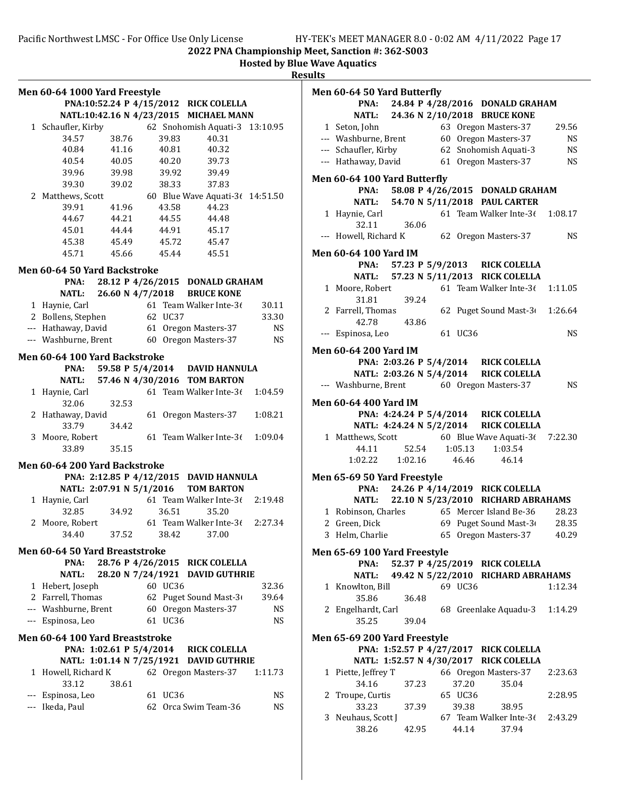|   | Men 60-64 1000 Yard Freestyle        |                          |         |                                         |                 |
|---|--------------------------------------|--------------------------|---------|-----------------------------------------|-----------------|
|   |                                      |                          |         | PNA:10:52.24 P 4/15/2012 RICK COLELLA   |                 |
|   |                                      |                          |         | NATL:10:42.16 N 4/23/2015 MICHAEL MANN  |                 |
|   | 1 Schaufler, Kirby                   |                          |         | 62 Snohomish Aquati-3                   | 13:10.95        |
|   | 34.57                                | 38.76                    | 39.83   | 40.31                                   |                 |
|   | 40.84                                | 41.16                    | 40.81   | 40.32                                   |                 |
|   | 40.54                                | 40.05                    | 40.20   | 39.73                                   |                 |
|   | 39.96                                | 39.98                    | 39.92   | 39.49                                   |                 |
|   |                                      |                          | 38.33   |                                         |                 |
|   | 39.30                                | 39.02                    |         | 37.83                                   |                 |
|   | 2 Matthews, Scott                    |                          |         | 60 Blue Wave Aquati-3( 14:51.50         |                 |
|   | 39.91                                | 41.96                    | 43.58   | 44.23                                   |                 |
|   | 44.67                                | 44.21                    | 44.55   | 44.48                                   |                 |
|   | 45.01                                | 44.44                    | 44.91   | 45.17                                   |                 |
|   | 45.38                                | 45.49                    | 45.72   | 45.47                                   |                 |
|   | 45.71                                | 45.66                    | 45.44   | 45.51                                   |                 |
|   | Men 60-64 50 Yard Backstroke         |                          |         |                                         |                 |
|   | PNA:                                 |                          |         | 28.12 P 4/26/2015 DONALD GRAHAM         |                 |
|   | NATL:                                | 26.60 N 4/7/2018         |         | <b>BRUCE KONE</b>                       |                 |
|   | 1 Haynie, Carl                       |                          |         | 61 Team Walker Inte-3 $($               | 30.11           |
|   | 2 Bollens, Stephen                   |                          | 62 UC37 |                                         | 33.30           |
|   | --- Hathaway, David                  |                          |         |                                         |                 |
|   | --- Washburne, Brent                 |                          |         | 61 Oregon Masters-37                    | NS<br><b>NS</b> |
|   |                                      |                          |         | 60 Oregon Masters-37                    |                 |
|   | Men 60-64 100 Yard Backstroke        |                          |         |                                         |                 |
|   | PNA:                                 |                          |         | 59.58 P 5/4/2014 DAVID HANNULA          |                 |
|   |                                      |                          |         | NATL: 57.46 N 4/30/2016 TOM BARTON      |                 |
|   | 1 Haynie, Carl                       |                          |         | 61 Team Walker Inte-36                  | 1:04.59         |
|   | 32.06                                | 32.53                    |         |                                         |                 |
|   | 2 Hathaway, David                    |                          |         | 61 Oregon Masters-37                    | 1:08.21         |
|   | 33.79                                | 34.42                    |         |                                         |                 |
| 3 | Moore, Robert                        |                          |         | 61 Team Walker Inte-36                  | 1:09.04         |
|   | 33.89                                | 35.15                    |         |                                         |                 |
|   |                                      |                          |         |                                         |                 |
|   | Men 60-64 200 Yard Backstroke        |                          |         |                                         |                 |
|   |                                      |                          |         | PNA: 2:12.85 P 4/12/2015 DAVID HANNULA  |                 |
|   |                                      | NATL: 2:07.91 N 5/1/2016 |         | <b>TOM BARTON</b>                       |                 |
|   | 1 Haynie, Carl                       |                          |         | 61 Team Walker Inte-36                  | 2:19.48         |
|   | 32.85                                | 34.92                    | 36.51   | 35.20                                   |                 |
| 2 | Moore, Robert                        |                          |         | 61 Team Walker Inte-36                  | 2:27.34         |
|   | 34.40                                | 37.52                    | 38.42   | 37.00                                   |                 |
|   | Men 60-64 50 Yard Breaststroke       |                          |         |                                         |                 |
|   | PNA:                                 | 28.76 P 4/26/2015        |         | <b>RICK COLELLA</b>                     |                 |
|   | NATL:                                | 28.20 N 7/24/1921        |         | <b>DAVID GUTHRIE</b>                    |                 |
|   |                                      |                          | 60 UC36 |                                         |                 |
|   | 1 Hebert, Joseph                     |                          |         |                                         | 32.36           |
|   | 2 Farrell, Thomas                    |                          |         | 62 Puget Sound Mast-3                   | 39.64           |
|   | --- Washburne, Brent                 |                          |         | 60 Oregon Masters-37                    | NS              |
|   | --- Espinosa, Leo                    |                          | 61 UC36 |                                         | <b>NS</b>       |
|   | Men 60-64 100 Yard Breaststroke      |                          |         |                                         |                 |
|   |                                      | PNA: 1:02.61 P 5/4/2014  |         | <b>RICK COLELLA</b>                     |                 |
|   |                                      |                          |         | NATL: 1:01.14 N 7/25/1921 DAVID GUTHRIE |                 |
| 1 | Howell, Richard K                    |                          |         | 62 Oregon Masters-37                    | 1:11.73         |
|   | 33.12                                | 38.61                    |         |                                         |                 |
|   |                                      |                          | 61 UC36 |                                         | NS              |
|   | --- Espinosa, Leo<br>--- Ikeda, Paul |                          |         | 62 Orca Swim Team-36                    | NS              |
|   |                                      |                          |         |                                         |                 |
|   |                                      |                          |         |                                         |                 |

|   | Men 60-64 50 Yard Butterfly                 |               |  |                  |                                                                            |               |
|---|---------------------------------------------|---------------|--|------------------|----------------------------------------------------------------------------|---------------|
|   |                                             |               |  |                  | PNA: 24.84 P 4/28/2016 DONALD GRAHAM<br>NATL: 24.36 N 2/10/2018 BRUCE KONE |               |
|   | 1 Seton, John                               |               |  |                  | 63 Oregon Masters-37                                                       | 29.56         |
|   | --- Washburne, Brent                        |               |  |                  | 60 Oregon Masters-37                                                       | NS.           |
|   | --- Schaufler, Kirby                        |               |  |                  | 62 Snohomish Aquati-3                                                      | <b>NS</b>     |
|   | --- Hathaway, David                         |               |  |                  | 61 Oregon Masters-37                                                       | <b>NS</b>     |
|   | Men 60-64 100 Yard Butterfly                |               |  |                  |                                                                            |               |
|   |                                             |               |  |                  | PNA: 58.08 P 4/26/2015 DONALD GRAHAM                                       |               |
|   |                                             |               |  |                  | NATL: 54.70 N 5/11/2018 PAUL CARTER                                        |               |
|   | 1 Haynie, Carl<br>32.11                     | 36.06         |  |                  | 61 Team Walker Inte-3 $(1:08.17)$                                          |               |
|   | --- Howell, Richard K                       |               |  |                  | 62 Oregon Masters-37                                                       | $\mathbf{NS}$ |
|   | Men 60-64 100 Yard IM                       |               |  |                  |                                                                            |               |
|   |                                             |               |  |                  | PNA: 57.23 P 5/9/2013 RICK COLELLA                                         |               |
|   |                                             |               |  |                  | NATL: 57.23 N 5/11/2013 RICK COLELLA                                       |               |
|   | 1 Moore, Robert<br>31.81                    | 39.24         |  |                  | 61 Team Walker Inte-36                                                     | 1:11.05       |
|   | 2 Farrell, Thomas<br>42.78                  | 43.86         |  |                  | 62 Puget Sound Mast-3(1:26.64                                              |               |
|   | --- Espinosa, Leo                           |               |  | 61 UC36          |                                                                            | <b>NS</b>     |
|   | Men 60-64 200 Yard IM                       |               |  |                  |                                                                            |               |
|   |                                             |               |  |                  | PNA: 2:03.26 P 5/4/2014 RICK COLELLA                                       |               |
|   |                                             |               |  |                  | NATL: 2:03.26 N 5/4/2014 RICK COLELLA                                      |               |
|   | --- Washburne, Brent 60 Oregon Masters-37   |               |  |                  |                                                                            | <b>NS</b>     |
|   | Men 60-64 400 Yard IM                       |               |  |                  |                                                                            |               |
|   |                                             |               |  |                  | PNA: 4:24.24 P 5/4/2014 RICK COLELLA                                       |               |
|   |                                             |               |  |                  | NATL: 4:24.24 N 5/2/2014 RICK COLELLA                                      |               |
|   |                                             |               |  |                  | 1 Matthews, Scott 60 Blue Wave Aquati-36 7:22.30                           |               |
|   | 44.11                                       | 52.54 1:05.13 |  |                  | 1:03.54                                                                    |               |
|   | 1:02.22                                     |               |  | 1:02.16 46.46    | 46.14                                                                      |               |
|   | <b>Men 65-69 50 Yard Freestyle</b>          |               |  |                  |                                                                            |               |
|   |                                             |               |  |                  | PNA: 24.26 P 4/14/2019 RICK COLELLA                                        |               |
|   |                                             |               |  |                  | NATL: 22.10 N 5/23/2010 RICHARD ABRAHAMS                                   |               |
|   | 1 Robinson, Charles<br>2 Green, Dick        |               |  |                  | 65 Mercer Island Be-36<br>69 Puget Sound Mast-3 28.35                      | 28.23         |
|   |                                             |               |  |                  | 3 Helm, Charlie 65 Oregon Masters-37 40.29                                 |               |
|   |                                             |               |  |                  |                                                                            |               |
|   | <b>Men 65-69 100 Yard Freestyle</b><br>PNA: |               |  |                  | 52.37 P 4/25/2019 RICK COLELLA                                             |               |
|   |                                             |               |  |                  | NATL: 49.42 N 5/22/2010 RICHARD ABRAHAMS                                   |               |
|   | 1 Knowlton, Bill                            |               |  | 69 UC36          |                                                                            | 1:12.34       |
|   | 35.86                                       | 36.48         |  |                  |                                                                            |               |
|   | 2 Engelhardt, Carl                          |               |  |                  | 68 Greenlake Aquadu-3                                                      | 1:14.29       |
|   | 35.25                                       | 39.04         |  |                  |                                                                            |               |
|   | <b>Men 65-69 200 Yard Freestyle</b>         |               |  |                  |                                                                            |               |
|   |                                             |               |  |                  | PNA: 1:52.57 P 4/27/2017 RICK COLELLA                                      |               |
|   |                                             |               |  |                  | NATL: 1:52.57 N 4/30/2017 RICK COLELLA                                     |               |
|   | 1 Piette, Jeffrey T                         |               |  |                  | 66 Oregon Masters-37                                                       | 2:23.63       |
|   | 34.16                                       | 37.23         |  | 37.20            | 35.04                                                                      | 2:28.95       |
|   | 2 Troupe, Curtis<br>33.23                   | 37.39         |  | 65 UC36<br>39.38 | 38.95                                                                      |               |
| 3 | Neuhaus, Scott J                            |               |  |                  | 67 Team Walker Inte-3 $($                                                  | 2:43.29       |
|   | 38.26                                       | 42.95         |  | 44.14            | 37.94                                                                      |               |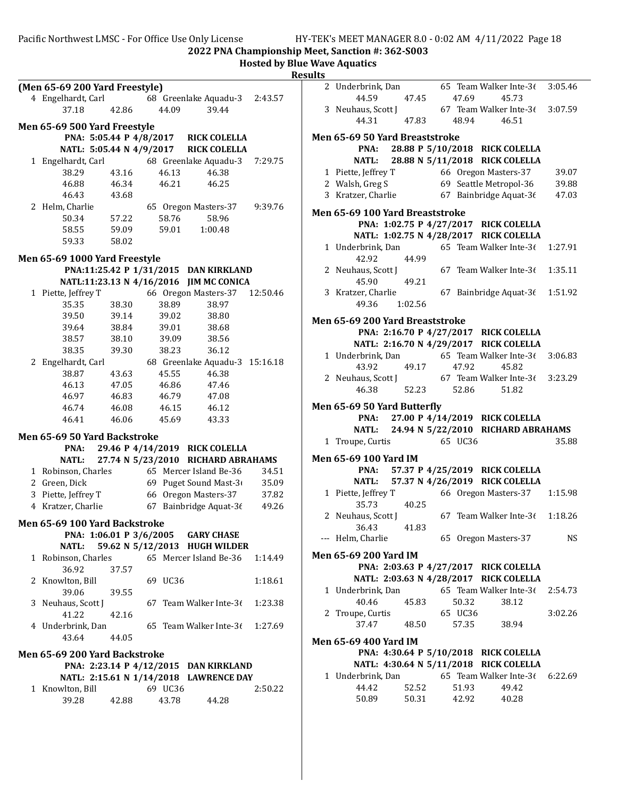Pacific Northwest LMSC - For Office Use Only License HY-TEK's MEET MANAGER 8.0 - 0:02 AM 4/11/2022 Page 18

65 Team Walker Inte-3 $(3:05.46)$ 

44.59 47.45 47.69 45.73

2022 PNA Championship Meet, Sanction #: 362-S003

|                                      |       |                  |                                         | <b>Hosted by Blue Wave Aquatics</b> | <b>Results</b> |                                |                                           |
|--------------------------------------|-------|------------------|-----------------------------------------|-------------------------------------|----------------|--------------------------------|-------------------------------------------|
| (Men 65-69 200 Yard Freestyle)       |       |                  |                                         |                                     |                | 2 Underbrink, Dan              |                                           |
| 4 Engelhardt, Carl                   |       |                  | 68 Greenlake Aquadu-3                   | 2:43.57                             |                | 44.59                          | 47.45                                     |
| 37.18                                | 42.86 | 44.09            | 39.44                                   |                                     |                | 3 Neuhaus, Scott J             |                                           |
| Men 65-69 500 Yard Freestyle         |       |                  |                                         |                                     |                | 44.31                          | 47.83                                     |
| PNA: 5:05.44 P 4/8/2017              |       |                  | <b>RICK COLELLA</b>                     |                                     |                | Men 65-69 50 Yard Breas        |                                           |
| NATL: 5:05.44 N 4/9/2017             |       |                  | <b>RICK COLELLA</b>                     |                                     |                | PNA:                           | 28.88 P                                   |
| 1 Engelhardt, Carl                   |       |                  | 68 Greenlake Aquadu-3                   | 7:29.75                             |                | <b>NATL:</b>                   | 28.88 N                                   |
| 38.29                                | 43.16 | 46.13            | 46.38                                   |                                     |                | 1 Piette, Jeffrey T            |                                           |
| 46.88                                | 46.34 | 46.21            | 46.25                                   |                                     |                | 2 Walsh, Greg S                |                                           |
| 46.43                                | 43.68 |                  |                                         |                                     |                | 3 Kratzer, Charlie             |                                           |
| 2 Helm, Charlie                      |       |                  | 65 Oregon Masters-37                    | 9:39.76                             |                |                                |                                           |
| 50.34                                | 57.22 | 58.76            | 58.96                                   |                                     |                | <b>Men 65-69 100 Yard Brea</b> |                                           |
| 58.55                                | 59.09 | 59.01            | 1:00.48                                 |                                     |                | PNA: 1:02.75 P                 |                                           |
| 59.33                                | 58.02 |                  |                                         |                                     |                | NATL: 1:02.75 N                |                                           |
|                                      |       |                  |                                         |                                     |                | 1 Underbrink, Dan              |                                           |
| Men 65-69 1000 Yard Freestyle        |       |                  | PNA:11:25.42 P 1/31/2015 DAN KIRKLAND   |                                     |                | 42.92                          | 44.99                                     |
|                                      |       |                  | NATL:11:23.13 N 4/16/2016 JIM MC CONICA |                                     |                | 2 Neuhaus, Scott J<br>45.90    | 49.21                                     |
| 1 Piette, Jeffrey T                  |       |                  | 66 Oregon Masters-37                    | 12:50.46                            |                | 3 Kratzer, Charlie             |                                           |
| 35.35                                | 38.30 | 38.89            | 38.97                                   |                                     |                | 49.36                          | 1:02.56                                   |
| 39.50                                | 39.14 | 39.02            | 38.80                                   |                                     |                |                                |                                           |
| 39.64                                | 38.84 | 39.01            | 38.68                                   |                                     |                | <b>Men 65-69 200 Yard Brea</b> |                                           |
| 38.57                                | 38.10 | 39.09            | 38.56                                   |                                     |                | PNA: 2:16.70 P                 |                                           |
| 38.35                                | 39.30 | 38.23            | 36.12                                   |                                     |                | NATL: 2:16.70 N                |                                           |
| 2 Engelhardt, Carl                   |       |                  | 68 Greenlake Aquadu-3 15:16.18          |                                     |                | 1 Underbrink, Dan              |                                           |
| 38.87                                | 43.63 | 45.55            | 46.38                                   |                                     |                | 43.92                          | 49.17                                     |
| 46.13                                | 47.05 | 46.86            | 47.46                                   |                                     |                | 2 Neuhaus, Scott J             |                                           |
| 46.97                                | 46.83 | 46.79            | 47.08                                   |                                     |                | 46.38                          | 52.23                                     |
| 46.74                                | 46.08 | 46.15            | 46.12                                   |                                     |                | Men 65-69 50 Yard Butte        |                                           |
| 46.41                                | 46.06 | 45.69            | 43.33                                   |                                     |                | PNA:                           | 27.00 P                                   |
|                                      |       |                  |                                         |                                     |                | <b>NATL:</b>                   | 24.94 N                                   |
| Men 65-69 50 Yard Backstroke<br>PNA: |       |                  | 29.46 P 4/14/2019 RICK COLELLA          |                                     |                | 1 Troupe, Curtis               |                                           |
| <b>NATL:</b>                         |       |                  | 27.74 N 5/23/2010 RICHARD ABRAHAMS      |                                     |                | <b>Men 65-69 100 Yard IM</b>   |                                           |
| 1 Robinson, Charles                  |       |                  | 65 Mercer Island Be-36                  | 34.51                               |                | PNA:                           | 57.37 P                                   |
| 2 Green, Dick                        |       |                  | 69 Puget Sound Mast-3                   | 35.09                               |                | <b>NATL:</b>                   | 57.37 N                                   |
| 3 Piette, Jeffrey T                  |       |                  | 66 Oregon Masters-37                    | 37.82                               |                | 1 Piette, Jeffrey T            |                                           |
|                                      |       |                  |                                         |                                     |                | 35.73                          | 40.25                                     |
|                                      |       |                  |                                         |                                     |                |                                |                                           |
| 4 Kratzer, Charlie                   |       |                  | 67 Bainbridge Aquat-36                  | 49.26                               |                |                                |                                           |
| Men 65-69 100 Yard Backstroke        |       |                  |                                         |                                     |                | 2 Neuhaus, Scott J<br>36.43    |                                           |
| PNA: 1:06.01 P 3/6/2005              |       |                  | <b>GARY CHASE</b>                       |                                     |                | --- Helm, Charlie              |                                           |
| NATL:                                |       |                  | 59.62 N 5/12/2013 HUGH WILDER           |                                     |                |                                |                                           |
| 1 Robinson, Charles                  |       |                  | 65 Mercer Island Be-36                  | 1:14.49                             |                | <b>Men 65-69 200 Yard IM</b>   |                                           |
| 36.92                                | 37.57 |                  |                                         |                                     |                | PNA: 2:03.63 P                 |                                           |
| 2 Knowlton, Bill                     |       | 69 UC36          |                                         | 1:18.61                             |                | NATL: 2:03.63 N                |                                           |
| 39.06                                | 39.55 |                  |                                         |                                     |                | 1 Underbrink, Dan              |                                           |
| 3 Neuhaus, Scott J                   |       |                  | 67 Team Walker Inte-36                  | 1:23.38                             |                | 40.46                          |                                           |
| 41.22                                | 42.16 |                  |                                         |                                     |                | 2 Troupe, Curtis               |                                           |
| 4 Underbrink, Dan                    |       |                  | 65 Team Walker Inte-36                  | 1:27.69                             |                | 37.47                          |                                           |
| 43.64                                | 44.05 |                  |                                         |                                     |                | <b>Men 65-69 400 Yard IM</b>   |                                           |
| Men 65-69 200 Yard Backstroke        |       |                  |                                         |                                     |                | PNA: 4:30.64 P                 |                                           |
|                                      |       |                  | PNA: 2:23.14 P 4/12/2015 DAN KIRKLAND   |                                     |                | NATL: 4:30.64 N                |                                           |
|                                      |       |                  | NATL: 2:15.61 N 1/14/2018 LAWRENCE DAY  |                                     |                | 1 Underbrink, Dan              |                                           |
| 1 Knowlton, Bill<br>39.28            |       | 69 UC36<br>43.78 |                                         | 2:50.22                             |                | 44.42<br>50.89                 | 41.83<br>45.83<br>48.50<br>52.52<br>50.31 |

|   | 3 Neuhaus, Scott J                       |                |    |                | 67 Team Walker Inte-3 $(3:07.59)$        |           |
|---|------------------------------------------|----------------|----|----------------|------------------------------------------|-----------|
|   | 44.31 47.83                              |                |    |                | 48.94 46.51                              |           |
|   | <b>Men 65-69 50 Yard Breaststroke</b>    |                |    |                |                                          |           |
|   |                                          |                |    |                | PNA: 28.88 P 5/10/2018 RICK COLELLA      |           |
|   |                                          |                |    |                | NATL: 28.88 N 5/11/2018 RICK COLELLA     |           |
|   | 1 Piette, Jeffrey T                      |                |    |                | 66 Oregon Masters-37                     | 39.07     |
|   | 2 Walsh, Greg S                          |                |    |                | 69 Seattle Metropol-36                   | 39.88     |
|   | 3 Kratzer, Charlie                       |                |    |                | 67 Bainbridge Aquat-36                   | 47.03     |
|   | Men 65-69 100 Yard Breaststroke          |                |    |                |                                          |           |
|   |                                          |                |    |                | PNA: 1:02.75 P 4/27/2017 RICK COLELLA    |           |
|   |                                          |                |    |                | NATL: 1:02.75 N 4/28/2017 RICK COLELLA   |           |
|   | 1 Underbrink, Dan                        |                |    |                | 65 Team Walker Inte-36                   | 1:27.91   |
|   | 42.92                                    | 44.99          |    |                |                                          |           |
|   | 2 Neuhaus, Scott J                       |                |    |                | 67 Team Walker Inte-36                   | 1:35.11   |
|   | 45.90                                    | 49.21          |    |                |                                          |           |
|   | 3 Kratzer, Charlie                       |                |    |                | 67 Bainbridge Aquat-36                   | 1:51.92   |
|   | 49.36 1:02.56                            |                |    |                |                                          |           |
|   | <b>Men 65-69 200 Yard Breaststroke</b>   |                |    |                |                                          |           |
|   |                                          |                |    |                | PNA: 2:16.70 P 4/27/2017 RICK COLELLA    |           |
|   |                                          |                |    |                | NATL: 2:16.70 N 4/29/2017 RICK COLELLA   |           |
|   | 1 Underbrink, Dan 65 Team Walker Inte-36 |                |    |                |                                          | 3:06.83   |
|   | 43.92                                    | 49.17          |    | 47.92          | 45.82                                    |           |
|   | 2 Neuhaus, Scott J                       |                |    |                | 67 Team Walker Inte-3( 3:23.29           |           |
|   | 46.38                                    |                |    |                | 52.23 52.86 51.82                        |           |
|   | <b>Men 65-69 50 Yard Butterfly</b>       |                |    |                |                                          |           |
|   |                                          |                |    |                |                                          |           |
|   |                                          |                |    |                |                                          |           |
|   |                                          |                |    |                | PNA: 27.00 P 4/14/2019 RICK COLELLA      |           |
|   |                                          |                |    |                | NATL: 24.94 N 5/22/2010 RICHARD ABRAHAMS |           |
|   | 1 Troupe, Curtis                         |                |    | 65 UC36        |                                          | 35.88     |
|   | Men 65-69 100 Yard IM                    |                |    |                |                                          |           |
|   |                                          |                |    |                | PNA: 57.37 P 4/25/2019 RICK COLELLA      |           |
|   |                                          |                |    |                | NATL: 57.37 N 4/26/2019 RICK COLELLA     |           |
|   | 1 Piette, Jeffrey T                      |                |    |                | 66 Oregon Masters-37                     | 1:15.98   |
|   | 35.73                                    | 40.25          |    |                |                                          |           |
|   | 2 Neuhaus, Scott J                       |                |    |                | 67 Team Walker Inte-3 $($                | 1:18.26   |
|   | 36.43                                    | 41.83          |    |                |                                          |           |
|   | --- Helm, Charlie                        |                | 65 |                | Oregon Masters-37                        | <b>NS</b> |
|   |                                          |                |    |                |                                          |           |
|   | Men 65-69 200 Yard IM                    |                |    |                |                                          |           |
|   |                                          |                |    |                | PNA: 2:03.63 P 4/27/2017 RICK COLELLA    |           |
|   |                                          |                |    |                | NATL: 2:03.63 N 4/28/2017 RICK COLELLA   |           |
|   | 1 Underbrink, Dan                        |                |    |                | 65 Team Walker Inte-36                   | 2:54.73   |
|   | 40.46                                    | 45.83          |    | 50.32          | 38.12                                    |           |
| 2 | Troupe, Curtis                           |                |    | 65 UC36        |                                          | 3:02.26   |
|   | 37.47                                    | 48.50          |    | 57.35          | 38.94                                    |           |
|   | Men 65-69 400 Yard IM                    |                |    |                |                                          |           |
|   |                                          |                |    |                | PNA: 4:30.64 P 5/10/2018 RICK COLELLA    |           |
|   |                                          |                |    |                | NATL: 4:30.64 N 5/11/2018 RICK COLELLA   |           |
|   | 1 Underbrink, Dan                        |                |    |                | 65 Team Walker Inte-36 6:22.69           |           |
|   | 44.42<br>50.89                           | 52.52<br>50.31 |    | 51.93<br>42.92 | 49.42<br>40.28                           |           |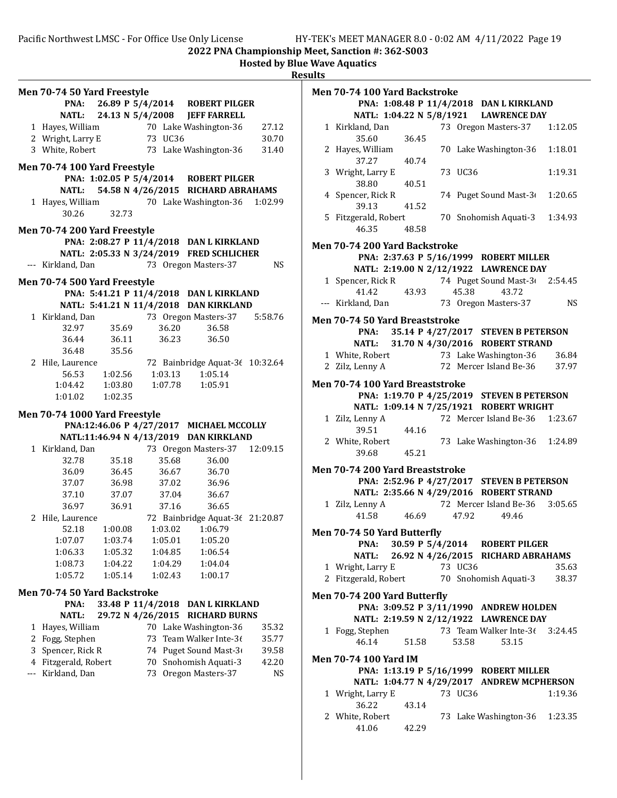|     | <b>Men 70-74 50 Yard Freestyle</b>  |                   |                  |         |                                                                                   |           |
|-----|-------------------------------------|-------------------|------------------|---------|-----------------------------------------------------------------------------------|-----------|
|     |                                     |                   |                  |         |                                                                                   |           |
|     |                                     |                   |                  |         | <b>PNA:</b> 26.89 P 5/4/2014 ROBERT PILGER<br>NATL: 24.13 N 5/4/2008 JEFF FARRELL |           |
|     |                                     |                   |                  |         |                                                                                   | 27.12     |
|     |                                     |                   |                  |         | 1 Hayes, William 70 Lake Washington-36<br>2 Wright, Larry E 73 UC36               | 30.70     |
|     | 3 White, Robert                     |                   |                  |         | 73 Lake Washington-36                                                             | 31.40     |
|     |                                     |                   |                  |         |                                                                                   |           |
|     | Men 70-74 100 Yard Freestyle        |                   |                  |         |                                                                                   |           |
|     |                                     |                   |                  |         | PNA: 1:02.05 P 5/4/2014 ROBERT PILGER                                             |           |
|     |                                     |                   |                  |         | NATL: 54.58 N 4/26/2015 RICHARD ABRAHAMS                                          |           |
|     |                                     |                   |                  |         | 1 Hayes, William 70 Lake Washington-36                                            | 1:02.99   |
|     | 30.26                               | 32.73             |                  |         |                                                                                   |           |
|     | Men 70-74 200 Yard Freestyle        |                   |                  |         |                                                                                   |           |
|     |                                     |                   |                  |         | PNA: 2:08.27 P 11/4/2018 DAN L KIRKLAND                                           |           |
|     |                                     |                   |                  |         | NATL: 2:05.33 N 3/24/2019 FRED SCHLICHER                                          |           |
|     | --- Kirkland, Dan                   |                   |                  |         | 73 Oregon Masters-37                                                              | <b>NS</b> |
|     |                                     |                   |                  |         |                                                                                   |           |
|     | Men 70-74 500 Yard Freestyle        |                   |                  |         |                                                                                   |           |
|     |                                     |                   |                  |         | PNA: 5:41.21 P 11/4/2018 DAN L KIRKLAND                                           |           |
|     |                                     |                   |                  |         | NATL: 5:41.21 N 11/4/2018 DAN KIRKLAND                                            |           |
|     | 1 Kirkland, Dan                     |                   |                  |         | 73 Oregon Masters-37                                                              | 5:58.76   |
|     | 32.97                               | 35.69             |                  | 36.20   | 36.58                                                                             |           |
|     | 36.44                               | 36.11             |                  | 36.23   | 36.50                                                                             |           |
|     | 36.48                               | 35.56             |                  |         |                                                                                   |           |
|     | 2 Hile, Laurence                    |                   |                  |         | 72 Bainbridge Aquat-36 10:32.64                                                   |           |
|     | 56.53                               | 1:02.56           |                  |         | 1:03.13  1:05.14                                                                  |           |
|     | 1:04.42                             |                   | 1:03.80  1:07.78 |         | 1:05.91                                                                           |           |
|     | 1:01.02                             | 1:02.35           |                  |         |                                                                                   |           |
|     | Men 70-74 1000 Yard Freestyle       |                   |                  |         |                                                                                   |           |
|     |                                     |                   |                  |         | PNA:12:46.06 P 4/27/2017 MICHAEL MCCOLLY                                          |           |
|     |                                     |                   |                  |         | NATL:11:46.94 N 4/13/2019 DAN KIRKLAND                                            |           |
|     | 1 Kirkland, Dan                     |                   |                  |         | 73 Oregon Masters-37 12:09.15                                                     |           |
|     | 32.78                               | 35.18             |                  | 35.68   | 36.00                                                                             |           |
|     | 36.09                               | 36.45             |                  | 36.67   | 36.70                                                                             |           |
|     | 37.07                               | 36.98             |                  | 37.02   | 36.96                                                                             |           |
|     | 37.10                               |                   | 37.07 37.04      |         | 36.67                                                                             |           |
|     | 36.97                               |                   | 36.91 37.16      |         | 36.65                                                                             |           |
|     | 2 Hile, Laurence                    |                   |                  |         | 72 Bainbridge Aquat-36 21:20.87                                                   |           |
|     | 52.18                               | 1:00.08           |                  |         | 1:03.02  1:06.79                                                                  |           |
|     | 1:07.07                             | 1:03.74           |                  | 1:05.01 | 1:05.20                                                                           |           |
|     | 1:06.33                             | 1:05.32           |                  | 1:04.85 | 1:06.54                                                                           |           |
|     | 1:08.73                             | 1:04.22           |                  | 1:04.29 | 1:04.04                                                                           |           |
|     | 1:05.72                             | 1:05.14           |                  | 1:02.43 | 1:00.17                                                                           |           |
|     |                                     |                   |                  |         |                                                                                   |           |
|     | <b>Men 70-74 50 Yard Backstroke</b> | 33.48 P 11/4/2018 |                  |         |                                                                                   |           |
|     | PNA:                                | 29.72 N 4/26/2015 |                  |         | <b>DAN L KIRKLAND</b>                                                             |           |
|     | <b>NATL:</b>                        |                   |                  |         | <b>RICHARD BURNS</b>                                                              |           |
| 1   | Hayes, William                      |                   |                  |         | 70 Lake Washington-36                                                             | 35.32     |
| 2   | Fogg, Stephen                       |                   | 73               |         | Team Walker Inte-36                                                               | 35.77     |
| 3   | Spencer, Rick R                     |                   | 74               |         | Puget Sound Mast-3                                                                | 39.58     |
| 4   | Fitzgerald, Robert                  |                   | 70               |         | Snohomish Aquati-3                                                                | 42.20     |
| --- | Kirkland, Dan                       |                   | 73               |         | Oregon Masters-37                                                                 | <b>NS</b> |
|     |                                     |                   |                  |         |                                                                                   |           |
|     |                                     |                   |                  |         |                                                                                   |           |
|     |                                     |                   |                  |         |                                                                                   |           |
|     |                                     |                   |                  |         |                                                                                   |           |

| <b>Men 70-74 100 Yard Backstroke</b>                                       |                |         |                                                               |           |
|----------------------------------------------------------------------------|----------------|---------|---------------------------------------------------------------|-----------|
|                                                                            |                |         | PNA: 1:08.48 P 11/4/2018 DAN L KIRKLAND                       |           |
|                                                                            |                |         | NATL: 1:04.22 N 5/8/1921 LAWRENCE DAY<br>73 Oregon Masters-37 |           |
| 1 Kirkland, Dan<br>35.60                                                   | 36.45          |         |                                                               | 1:12.05   |
| 2 Hayes, William<br>37.27                                                  |                |         | 70 Lake Washington-36                                         | 1:18.01   |
| 3 Wright, Larry E                                                          | 40.74          | 73 UC36 |                                                               | 1:19.31   |
| 38.80<br>4 Spencer, Rick R                                                 | 40.51<br>41.52 |         | 74 Puget Sound Mast-3                                         | 1:20.65   |
| 39.13<br>5 Fitzgerald, Robert<br>46.35                                     | 48.58          |         | 70 Snohomish Aquati-3                                         | 1:34.93   |
|                                                                            |                |         |                                                               |           |
| <b>Men 70-74 200 Yard Backstroke</b>                                       |                |         |                                                               |           |
|                                                                            |                |         | PNA: 2:37.63 P 5/16/1999 ROBERT MILLER                        |           |
|                                                                            |                |         | NATL: 2:19.00 N 2/12/1922 LAWRENCE DAY                        |           |
| 1 Spencer, Rick R 74 Puget Sound Mast-3 2:54.45<br>41.42 43.93 45.38 43.72 |                |         |                                                               |           |
| --- Kirkland, Dan                                                          |                |         | 73 Oregon Masters-37                                          | <b>NS</b> |
| <b>Men 70-74 50 Yard Breaststroke</b>                                      |                |         |                                                               |           |
| PNA:                                                                       |                |         | 35.14 P 4/27/2017 STEVEN B PETERSON                           |           |
|                                                                            |                |         | NATL: 31.70 N 4/30/2016 ROBERT STRAND                         |           |
| 1 White, Robert 73 Lake Washington-36                                      |                |         |                                                               | 36.84     |
| 2 Zilz, Lenny A                                                            |                |         | 72 Mercer Island Be-36                                        | 37.97     |
| Men 70-74 100 Yard Breaststroke                                            |                |         |                                                               |           |
|                                                                            |                |         | PNA: 1:19.70 P 4/25/2019 STEVEN B PETERSON                    |           |
|                                                                            |                |         | NATL: 1:09.14 N 7/25/1921 ROBERT WRIGHT                       |           |
| 1 Zilz, Lenny A<br>39.51                                                   | 44.16          |         | 72 Mercer Island Be-36 1:23.67                                |           |
| 2 White, Robert<br>39.68                                                   | 45.21          |         | 73 Lake Washington-36 1:24.89                                 |           |
| <b>Men 70-74 200 Yard Breaststroke</b>                                     |                |         |                                                               |           |
|                                                                            |                |         | PNA: 2:52.96 P 4/27/2017 STEVEN B PETERSON                    |           |
|                                                                            |                |         | NATL: 2:35.66 N 4/29/2016 ROBERT STRAND                       |           |
| 1 Zilz, Lenny A                                                            |                |         | 72 Mercer Island Be-36 3:05.65                                |           |
| 41.58                                                                      | 46.69          | 47.92   | 49.46                                                         |           |
| Men 70-74 50 Yard Butterfly                                                |                |         |                                                               |           |
|                                                                            |                |         | PNA: 30.59 P 5/4/2014 ROBERT PILGER                           |           |
| <b>NATL:</b>                                                               |                |         | 26.92 N 4/26/2015 RICHARD ABRAHAMS                            |           |
| 1 Wright, Larry E                                                          |                | 73 UC36 |                                                               | 35.63     |
| 2 Fitzgerald, Robert 70 Snohomish Aquati-3                                 |                |         |                                                               | 38.37     |
| <b>Men 70-74 200 Yard Butterfly</b>                                        |                |         |                                                               |           |
|                                                                            |                |         | PNA: 3:09.52 P 3/11/1990 ANDREW HOLDEN                        |           |
|                                                                            |                |         | NATL: 2:19.59 N 2/12/1922 LAWRENCE DAY                        |           |
| 1 Fogg, Stephen                                                            |                |         | 73 Team Walker Inte-36 3:24.45                                |           |
| 46.14                                                                      | 51.58          | 53.58   | 53.15                                                         |           |
| Men 70-74 100 Yard IM                                                      |                |         |                                                               |           |
|                                                                            |                |         | PNA: 1:13.19 P 5/16/1999 ROBERT MILLER                        |           |
|                                                                            |                |         | NATL: 1:04.77 N 4/29/2017 ANDREW MCPHERSON                    |           |
| 1 Wright, Larry E                                                          |                | 73 UC36 |                                                               | 1:19.36   |
| 36.22                                                                      | 43.14          |         |                                                               |           |
| 2 White, Robert                                                            |                |         | 73 Lake Washington-36                                         | 1:23.35   |
| 41.06                                                                      | 42.29          |         |                                                               |           |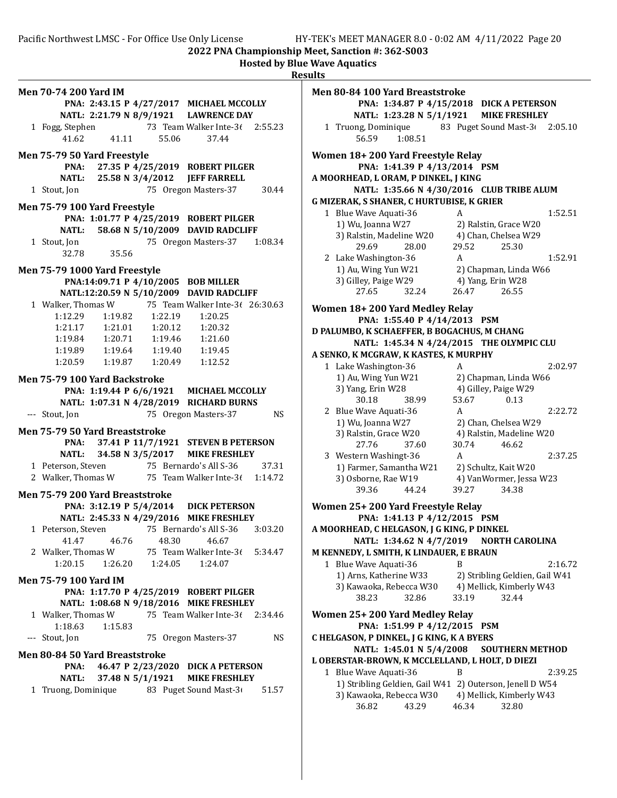Pacific Northwest LMSC - For Office Use Only License HY-TEK's MEET MANAGER 8.0 - 0:02 AM 4/11/2022 Page 20

2022 PNA Championship Meet, Sanction #: 362-S003

|                                                                                                         | <b>Hosted by Blue Wave Aquatics</b><br><b>Results</b> |
|---------------------------------------------------------------------------------------------------------|-------------------------------------------------------|
| Men 70-74 200 Yard IM                                                                                   | Men 80-84 100                                         |
| PNA: 2:43.15 P 4/27/2017 MICHAEL MCCOLLY                                                                | <b>PNA:</b>                                           |
| NATL: 2:21.79 N 8/9/1921 LAWRENCE DAY                                                                   | <b>NATL:</b>                                          |
| 73 Team Walker Inte-36 2:55.23<br>1 Fogg, Stephen                                                       | 1 Truong, Do                                          |
| 41.11<br>41.62<br>55.06<br>37.44                                                                        | 56.59                                                 |
| Men 75-79 50 Yard Freestyle<br>27.35 P 4/25/2019 ROBERT PILGER<br>PNA:                                  | <b>Women 18+20</b><br>PNA:                            |
| NATL: 25.58 N 3/4/2012 JEFF FARRELL                                                                     | A MOORHEAD, L                                         |
| 75 Oregon Masters-37<br>1 Stout, Jon<br>30.44                                                           | <b>NATL:</b>                                          |
|                                                                                                         | <b>G MIZERAK, S SH</b>                                |
| Men 75-79 100 Yard Freestyle                                                                            | 1 Blue Wave                                           |
| PNA: 1:01.77 P 4/25/2019 ROBERT PILGER                                                                  | 1) Wu, Joar                                           |
| 58.68 N 5/10/2009 DAVID RADCLIFF<br>NATL:                                                               | 3) Ralstin,                                           |
| 75 Oregon Masters-37<br>1 Stout, Jon<br>1:08.34                                                         | 29.69                                                 |
| 32.78<br>35.56                                                                                          | 2 Lake Wash                                           |
| Men 75-79 1000 Yard Freestyle                                                                           | 1) Au, Win                                            |
| PNA:14:09.71 P 4/10/2005 BOB MILLER                                                                     | 3) Gilley, Pa                                         |
| NATL:12:20.59 N 5/10/2009 DAVID RADCLIFF                                                                | 27.65                                                 |
| 1 Walker, Thomas W<br>75 Team Walker Inte-3( 26:30.63                                                   | <b>Women 18+20</b>                                    |
| 1:12.29<br>$1:19.82$ $1:22.19$<br>1:20.25                                                               | PNA:                                                  |
| 1:21.17<br>1:20.12<br>1:20.32                                                                           | <b>D PALUMBO, K S</b>                                 |
| 1:19.84<br>1:21.60                                                                                      | <b>NATL:</b>                                          |
| 1:19.89   1:19.64   1:19.40<br>1:19.45                                                                  | A SENKO, K MCG                                        |
| 1:20.59   1:19.87   1:20.49<br>1:12.52                                                                  | 1 Lake Wash                                           |
| Men 75-79 100 Yard Backstroke                                                                           | 1) Au, Win                                            |
| PNA: 1:19.44 P 6/6/1921 MICHAEL MCCOLLY                                                                 | 3) Yang, Er                                           |
| NATL: 1:07.31 N 4/28/2019 RICHARD BURNS                                                                 | 30.18                                                 |
| 75 Oregon Masters-37<br>NS.<br>--- Stout, Jon                                                           | 2 Blue Wave                                           |
|                                                                                                         | 1) Wu, Joar                                           |
| Men 75-79 50 Yard Breaststroke                                                                          | 3) Ralstin,                                           |
| 37.41 P 11/7/1921 STEVEN B PETERSON<br>PNA:                                                             | 27.76                                                 |
| 34.58 N 3/5/2017<br><b>MIKE FRESHLEY</b><br><b>NATL:</b>                                                | 3 Western W                                           |
| 1 Peterson, Steven 75 Bernardo's All S-36 37.31<br>2 Walker, Thomas W 75 Team Walker Inte-3 $(1:14.72)$ | 1) Farmer,                                            |
|                                                                                                         | 3) Osborne                                            |
| Men 75-79 200 Yard Breaststroke                                                                         | 39.36                                                 |
| PNA: 3:12.19 P 5/4/2014 DICK PETERSON                                                                   | <b>Women 25+20</b>                                    |
| NATL: 2:45.33 N 4/29/2016 MIKE FRESHLEY                                                                 | <b>PNA:</b>                                           |
| 75 Bernardo's All S-36<br>1 Peterson, Steven<br>3:03.20                                                 | A MOORHEAD, C                                         |
| 41.47<br>46.76<br>48.30<br>46.67                                                                        | <b>NATL:</b>                                          |
| 2 Walker, Thomas W<br>75 Team Walker Inte-36<br>5:34.47                                                 | <b>M KENNEDY, L S</b>                                 |
| 1:20.15<br>1:26.20<br>1:24.05<br>1:24.07                                                                | 1 Blue Wave                                           |
| <b>Men 75-79 100 Yard IM</b>                                                                            | 1) Arns, Ka                                           |
| PNA: 1:17.70 P 4/25/2019 ROBERT PILGER                                                                  | 3) Kawaok                                             |
| NATL: 1:08.68 N 9/18/2016 MIKE FRESHLEY                                                                 | 38.23                                                 |
| 75 Team Walker Inte-36<br>1 Walker, Thomas W<br>2:34.46                                                 | <b>Women 25+20</b>                                    |
| 1:18.63<br>1:15.83                                                                                      | PNA:                                                  |
| --- Stout, Jon<br>75 Oregon Masters-37<br>NS                                                            | CHELGASON, PI                                         |
| Men 80-84 50 Yard Breaststroke                                                                          | <b>NATL:</b>                                          |
| 46.47 P 2/23/2020 DICK A PETERSON<br>PNA:                                                               | <b>L OBERSTAR-BR</b>                                  |
| 37.48 N 5/1/1921<br><b>MIKE FRESHLEY</b><br><b>NATL:</b>                                                | 1 Blue Wave                                           |
| 1 Truong, Dominique 83 Puget Sound Mast-3<br>51.57                                                      | 1) Stribling                                          |
|                                                                                                         | 3) Kawaok                                             |
|                                                                                                         | 36.82                                                 |
|                                                                                                         |                                                       |

sults Men 80-84 100 Yard Breaststroke PNA: 1:34.87 P 4/15/2018 DICK A PETERSON NATL: 1:23.28 N 5/1/1921 MIKE FRESHLEY 1 Truong, Dominique 83 Puget Sound Mast-3(2:05.10) 56.59 1:08.51 Women 18+ 200 Yard Freestyle Relay PNA: 1:41.39 P 4/13/2014 PSM A MOORHEAD, L ORAM, P DINKEL, J KING NATL: 1:35.66 N 4/30/2016 CLUB TRIBE ALUM G MIZERAK, S SHANER, C HURTUBISE, K GRIER 1 Blue Wave Aquati-36 A 1:52.51 1) Wu, Joanna W27 2) Ralstin, Grace W20 3) Ralstin, Madeline W20 4) Chan, Chelsea W29 29.69 28.00 29.52 25.30 2 Lake Washington-36 A 1:52.91 1) Au, Wing Yun W21 2) Chapman, Linda W66 3) Gilley, Paige W29 4) Yang, Erin W28 27.65 32.24 26.47 26.55 Women 18+ 200 Yard Medley Relay PNA: 1:55.40 P 4/14/2013 PSM D PALUMBO, K SCHAEFFER, B BOGACHUS, M CHANG NATL: 1:45.34 N 4/24/2015 THE OLYMPIC CLU A SENKO, K MCGRAW, K KASTES, K MURPHY 1 Lake Washington-36 A 2:02.97 1) Au, Wing Yun W21 2) Chapman, Linda W66 3) Yang, Erin W28 4) Gilley, Paige W29 30.18 38.99 53.67 0.13 2 Blue Wave Aquati-36 A 2:22.72 1) Wu, Joanna W27 2) Chan, Chelsea W29 3) Ralstin, Grace W20 4) Ralstin, Madeline W20 27.76 37.60 30.74 46.62 3 2:37.25 Western Washingt-36 A 1) Farmer, Samantha W21 2) Schultz, Kait W20 3) Osborne, Rae W19 4) VanWormer, Jessa W23 39.36 44.24 39.27 34.38 Women 25+ 200 Yard Freestyle Relay PNA: 1:41.13 P 4/12/2015 PSM A MOORHEAD, C HELGASON, J G KING, P DINKEL NATL: 1:34.62 N 4/7/2019 NORTH CAROLINA M KENNEDY, L SMITH, K LINDAUER, E BRAUN 1 Blue Wave Aquati-36 B 2:16.72 1) Arns, Katherine W33 2) Stribling Geldien, Gail W41 3) Kawaoka, Rebecca W30 4) Mellick, Kimberly W43 38.23 32.86 33.19 32.44 Women 25+ 200 Yard Medley Relay PNA: 1:51.99 P 4/12/2015 PSM C HELGASON, P DINKEL, J G KING, K A BYERS NATL: 1:45.01 N 5/4/2008 SOUTHERN METHOD L OBERSTAR-BROWN, K MCCLELLAND, L HOLT, D DIEZI 1 Blue Wave Aquati-36 B 2:39.25 1) Stribling Geldien, Gail W41 2) Outerson, Jenell D W54 3) Kawaoka, Rebecca W30 4) Mellick, Kimberly W43 36.82 43.29 46.34 32.80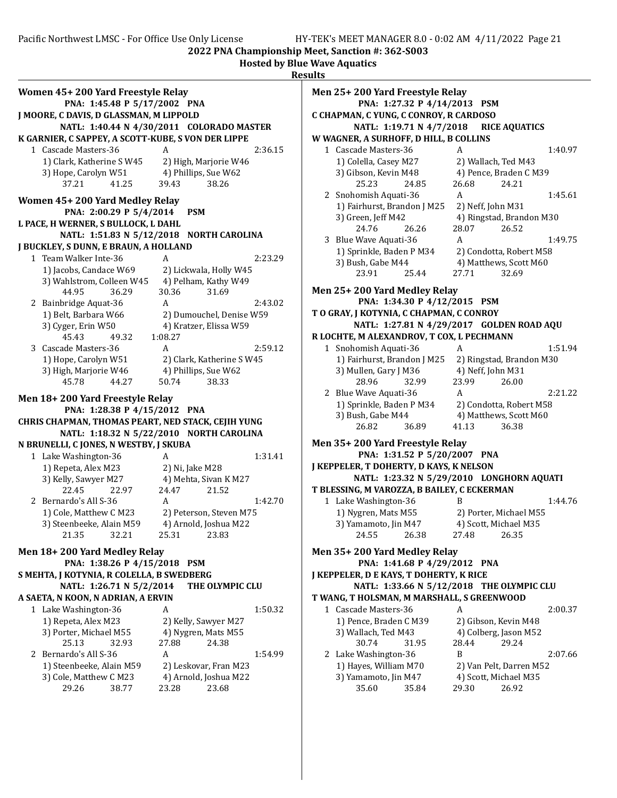|                                                                   |                                           | <b>Hosted by Blue Wave Aquatics</b><br><b>Results</b> |
|-------------------------------------------------------------------|-------------------------------------------|-------------------------------------------------------|
| Women 45+200 Yard Freestyle Relay<br>PNA: 1:45.48 P 5/17/2002 PNA |                                           | <b>Men 25+ 200 Yard</b><br><b>PNA: 1:2</b>            |
| J MOORE, C DAVIS, D GLASSMAN, M LIPPOLD                           |                                           | C CHAPMAN, C YUNG                                     |
|                                                                   | NATL: 1:40.44 N 4/30/2011 COLORADO MASTER | <b>NATL: 1:1</b>                                      |
| K GARNIER, C SAPPEY, A SCOTT-KUBE, S VON DER LIPPE                |                                           | W WAGNER, A SURH                                      |
| 1 Cascade Masters-36                                              | A<br>2:36.15                              | 1 Cascade Master                                      |
| 1) Clark, Katherine S W45                                         | 2) High, Marjorie W46                     | 1) Colella, Case                                      |
| 3) Hope, Carolyn W51                                              | 4) Phillips, Sue W62                      | 3) Gibson, Kevir                                      |
| 37.21<br>41.25                                                    | 39.43<br>38.26                            | 25.23                                                 |
| Women 45+200 Yard Medley Relay                                    |                                           | 2 Snohomish Aqu                                       |
| PNA: 2:00.29 P 5/4/2014                                           | <b>PSM</b>                                | 1) Fairhurst, Br                                      |
| L PACE, H WERNER, S BULLOCK, L DAHL                               |                                           | 3) Green, Jeff M                                      |
|                                                                   | NATL: 1:51.83 N 5/12/2018 NORTH CAROLINA  | 24.76                                                 |
| J BUCKLEY, S DUNN, E BRAUN, A HOLLAND                             |                                           | 3 Blue Wave Aqua                                      |
| 1 Team Walker Inte-36                                             | 2:23.29<br>A                              | 1) Sprinkle, Bao                                      |
| 1) Jacobs, Candace W69                                            | 2) Lickwala, Holly W45                    | 3) Bush, Gabe M<br>23.91                              |
| 3) Wahlstrom, Colleen W45                                         | 4) Pelham, Kathy W49                      |                                                       |
| 44.95<br>36.29                                                    | 30.36<br>31.69                            | <b>Men 25+ 200 Yard</b>                               |
| 2 Bainbridge Aquat-36                                             | 2:43.02<br>A                              | <b>PNA: 1:3</b>                                       |
| 1) Belt, Barbara W66                                              | 2) Dumouchel, Denise W59                  | TO GRAY, J KOTYNIA                                    |
| 3) Cyger, Erin W50                                                | 4) Kratzer, Elissa W59                    | <b>NATL: 1:2</b>                                      |
| 45.43<br>49.32                                                    | 1:08.27                                   | R LOCHTE, M ALEXA                                     |
| 3 Cascade Masters-36                                              | 2:59.12<br>A                              | 1 Snohomish Aqu                                       |
| 1) Hope, Carolyn W51                                              | 2) Clark, Katherine S W45                 | 1) Fairhurst, Br                                      |
| 3) High, Marjorie W46                                             | 4) Phillips, Sue W62                      | 3) Mullen, Gary                                       |
| 45.78<br>44.27                                                    | 50.74<br>38.33                            | 28.96                                                 |
| Men 18+200 Yard Freestyle Relay                                   |                                           | 2 Blue Wave Aqua                                      |
| PNA: 1:28.38 P 4/15/2012 PNA                                      |                                           | 1) Sprinkle, Bao                                      |
| CHRIS CHAPMAN, THOMAS PEART, NED STACK, CEJIH YUNG                |                                           | 3) Bush, Gabe M                                       |
|                                                                   | NATL: 1:18.32 N 5/22/2010 NORTH CAROLINA  | 26.82                                                 |
| N BRUNELLI, C JONES, N WESTBY, J SKUBA                            |                                           | <b>Men 35+200 Yard</b>                                |
| 1 Lake Washington-36                                              | A<br>1:31.41                              | <b>PNA: 1:3</b>                                       |
| 1) Repeta, Alex M23                                               | 2) Ni, Jake M28                           | <b>J KEPPELER, T DOHE</b>                             |
| 3) Kelly, Sawyer M27                                              | 4) Mehta, Sivan K M27                     | <b>NATL: 1:2</b>                                      |
| 22.45<br>22.97                                                    | 24.47<br>21.52                            | T BLESSING, M VARO                                    |
| 2 Bernardo's All S-36                                             | 1:42.70<br>A                              | 1 Lake Washingto                                      |
| 1) Cole, Matthew C M23                                            | 2) Peterson, Steven M75                   | 1) Nygren, Mats                                       |
| 3) Steenbeeke, Alain M59                                          | 4) Arnold, Joshua M22                     | 3) Yamamoto, Ji                                       |
| 32.21<br>21.35                                                    | 25.31<br>23.83                            | 24.55                                                 |
| Men 18+200 Yard Medley Relay                                      |                                           | <b>Men 35+200 Yard</b>                                |
| PNA: 1:38.26 P 4/15/2018 PSM                                      |                                           | <b>PNA: 1:4</b>                                       |
| S MEHTA, J KOTYNIA, R COLELLA, B SWEDBERG                         |                                           | <b>J KEPPELER, D E KAY</b>                            |
| NATL: 1:26.71 N 5/2/2014                                          | THE OLYMPIC CLU                           | <b>NATL: 1:3</b>                                      |
| A SAETA, N KOON, N ADRIAN, A ERVIN                                |                                           | T WANG, T HOLSMAN                                     |
| 1 Lake Washington-36                                              | 1:50.32<br>A                              | 1 Cascade Master                                      |
| 1) Repeta, Alex M23                                               | 2) Kelly, Sawyer M27                      | 1) Pence, Brade                                       |
| 3) Porter, Michael M55                                            | 4) Nygren, Mats M55                       | 3) Wallach, Ted                                       |
| 25.13<br>32.93                                                    | 27.88<br>24.38                            | 30.74                                                 |
| 2 Bernardo's All S-36                                             | 1:54.99<br>A                              | 2 Lake Washingto                                      |
| 1) Steenbeeke, Alain M59                                          | 2) Leskovar, Fran M23                     | 1) Hayes, Willia                                      |
| 3) Cole, Matthew C M23                                            | 4) Arnold, Joshua M22                     | 3) Yamamoto, Ji                                       |
| 29.26<br>38.77                                                    | 23.68<br>23.28                            | 35.60                                                 |
|                                                                   |                                           |                                                       |

**Freestyle Relay** 7.32 P 4/14/2013 PSM , C CONROY, R CARDOSO 9.71 N 4/7/2018 RICE AQUATICS OFF, D HILL, B COLLINS 1 Cascade Masters-36 A 1:40.97 y M27 2) Wallach, Ted M43 n M48 4) Pence, Braden C M39 25.23 24.85 26.68 24.21 2 Snohomish Aquati-36 A 1:45.61 andon J M25 2) Neff, John M31 42 4) Ringstad, Brandon M30 24.76 26.26 28.07 26.52 3 Blue Wave Aquati-36 A 1:49.75 den P M34 2) Condotta, Robert M58 3) Bush, Gabe M44 4) Matthews, Scott M60 23.91 25.44 27.71 32.69 **Medley Relay** 4.30 P 4/12/2015 PSM **A, C CHAPMAN, C CONROY** :7.81 N 4/29/2017 GOLDEN ROAD AQU **NDROV, T COX, L PECHMANN** 1 Snohomish Aquati-36 A 1:51.94 andon J M25 2) Ringstad, Brandon M30 J M36 4) Neff, John M31<br>32.99 23.99 26.00 28.96 32.99 23.99 26.00 2 2:21.22 Blue Wave Aquati-36 A den P M34 2) Condotta, Robert M58 4) Matthews, Scott M60 26.82 36.89 41.13 36.38 Freestyle Relay 1.52 P 5/20/2007 PNA RTY, D KAYS, K NELSON 13.32 N 5/29/2010 LONGHORN AQUATI **ZZA, B BAILEY, C ECKERMAN**  $\text{ln} - 36$  B  $\text{1:44.76}$ s M55 2) Porter, Michael M55 in M47 4) Scott, Michael M35 24.55 26.38 27.48 26.35 **Medley Relay**  $-1.68$  P  $4/29/2012$  PNA 'S, T DOHERTY, K RICE 3.66 N 5/12/2018 THE OLYMPIC CLU **N, M MARSHALL, S GREENWOOD** 1 2:00.37 Cascade Masters-36 A en C M39 2) Gibson, Kevin M48 M43 4) Colberg, Jason M52 30.74 31.95 28.44 29.24 2 Lake Washington-36 B 2:07.66 nm M70 2) Van Pelt, Darren M52 in M47 4) Scott, Michael M35 35.60 35.84 29.30 26.92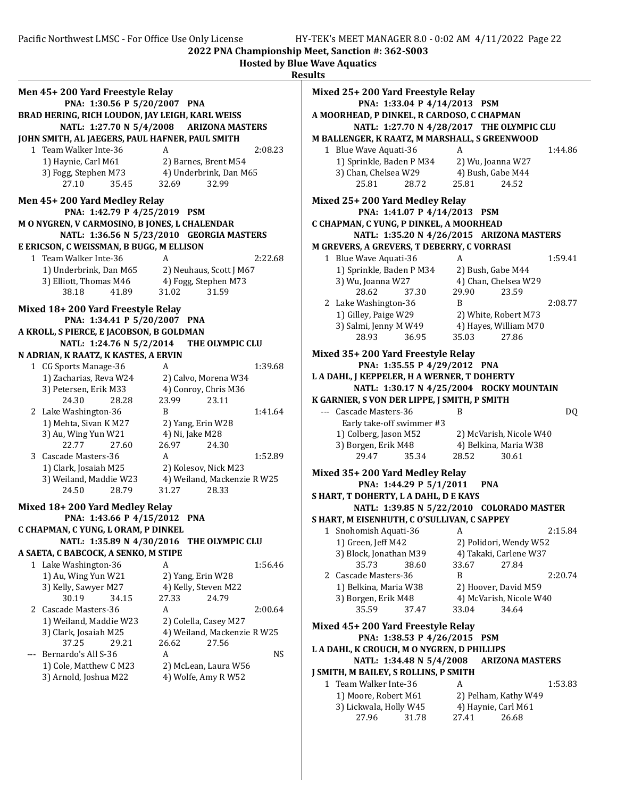Hosted by Blue Wave Aquatics

|                                                 |                                                | <b>Results</b>    |
|-------------------------------------------------|------------------------------------------------|-------------------|
| Men 45+200 Yard Freestyle Relay                 |                                                | <b>Mixed</b>      |
| PNA: 1:30.56 P 5/20/2007 PNA                    |                                                |                   |
| BRAD HERING, RICH LOUDON, JAY LEIGH, KARL WEISS |                                                | <b>AM00</b>       |
|                                                 | NATL: 1:27.70 N 5/4/2008 ARIZONA MASTERS       |                   |
| JOHN SMITH, AL JAEGERS, PAUL HAFNER, PAUL SMITH |                                                | <b>M BALI</b>     |
| 1 Team Walker Inte-36                           | 2:08.23<br>A                                   | 1 <sup>2</sup>    |
| 1) Haynie, Carl M61                             |                                                | 1                 |
| 3) Fogg, Stephen M73                            | 2) Barnes, Brent M54<br>4) Underbrink, Dan M65 | 3                 |
| 35.45<br>27.10                                  | 32.69<br>32.99                                 |                   |
|                                                 |                                                |                   |
| Men 45+200 Yard Medley Relay                    |                                                | <b>Mixed</b>      |
| PNA: 1:42.79 P 4/25/2019 PSM                    |                                                |                   |
| M O NYGREN, V CARMOSINO, B JONES, L CHALENDAR   |                                                | <b>C CHAF</b>     |
|                                                 | NATL: 1:36.56 N 5/23/2010 GEORGIA MASTERS      |                   |
| E ERICSON, C WEISSMAN, B BUGG, M ELLISON        |                                                | <b>M GREY</b>     |
| 1 Team Walker Inte-36                           | 2:22.68<br>A                                   | 1 <sub>B</sub>    |
| 1) Underbrink, Dan M65                          | 2) Neuhaus, Scott J M67                        | 1                 |
| 3) Elliott, Thomas M46                          | 4) Fogg, Stephen M73                           | 3                 |
| 38.18<br>41.89                                  | 31.59<br>31.02                                 |                   |
| Mixed 18+200 Yard Freestyle Relay               |                                                | 2L                |
| PNA: 1:34.41 P 5/20/2007 PNA                    |                                                | 1                 |
| A KROLL, S PIERCE, E JACOBSON, B GOLDMAN        |                                                | 3                 |
| NATL: 1:24.76 N 5/2/2014                        | THE OLYMPIC CLU                                |                   |
| N ADRIAN, K RAATZ, K KASTES, A ERVIN            |                                                | <b>Mixed</b>      |
| 1 CG Sports Manage-36                           | 1:39.68<br>A                                   |                   |
| 1) Zacharias, Reva W24                          | 2) Calvo, Morena W34                           | L A DA            |
| 3) Petersen, Erik M33                           | 4) Conroy, Chris M36                           |                   |
| 24.30<br>28.28                                  | 23.99<br>23.11                                 | <b>K GARI</b>     |
| 2 Lake Washington-36                            | 1:41.64<br>B                                   | --- C             |
| 1) Mehta, Sivan K M27                           | 2) Yang, Erin W28                              |                   |
| 3) Au, Wing Yun W21                             | 4) Ni, Jake M28                                |                   |
| 22.77<br>27.60                                  | 24.30<br>26.97                                 | 3                 |
| 3 Cascade Masters-36                            | 1:52.89<br>A                                   |                   |
| 1) Clark, Josaiah M25                           | 2) Kolesov, Nick M23                           |                   |
| 3) Weiland, Maddie W23                          | 4) Weiland, Mackenzie R W25                    | <b>Mixed</b>      |
| 28.79<br>24.50                                  | 31.27<br>28.33                                 |                   |
|                                                 |                                                | <b>SHART</b>      |
| Mixed 18+200 Yard Medley Relay                  |                                                |                   |
| PNA: 1:43.66 P 4/15/2012                        | <b>PNA</b>                                     | <b>SHART</b>      |
| C CHAPMAN, C YUNG, L ORAM, P DINKEL             |                                                | 1 <sup>5</sup>    |
|                                                 | NATL: 1:35.89 N 4/30/2016 THE OLYMPIC CLU      | 1                 |
| A SAETA, C BABCOCK, A SENKO, M STIPE            |                                                | 3                 |
| 1 Lake Washington-36                            | 1:56.46<br>A                                   | $2\,c$            |
| 1) Au, Wing Yun W21                             | 2) Yang, Erin W28                              |                   |
| 3) Kelly, Sawyer M27                            | 4) Kelly, Steven M22                           | 1                 |
| 30.19<br>34.15<br>2 Cascade Masters-36          | 27.33<br>24.79<br>2:00.64<br>A                 | 3                 |
|                                                 |                                                |                   |
| 1) Weiland, Maddie W23                          | 2) Colella, Casey M27                          | <b>Mixed</b>      |
| 3) Clark, Josaiah M25<br>37.25<br>29.21         | 4) Weiland, Mackenzie R W25<br>27.56<br>26.62  |                   |
|                                                 | A                                              | L A DA            |
| Bernardo's All S-36<br>$---$                    | NS                                             |                   |
| 1) Cole, Matthew C M23<br>3) Arnold, Joshua M22 | 2) McLean, Laura W56<br>4) Wolfe, Amy R W52    | <b>J SMITI</b>    |
|                                                 |                                                | $\mathbf{T}$<br>1 |
|                                                 |                                                |                   |
|                                                 |                                                | 3                 |
|                                                 |                                                |                   |

25+ 200 Yard Freestyle Relay PNA: 1:33.04 P 4/14/2013 PSM RHEAD, P DINKEL, R CARDOSO, C CHAPMAN NATL: 1:27.70 N 4/28/2017 THE OLYMPIC CLU LENGER, K RAATZ, M MARSHALL, S GREENWOOD  $1:44.86$  Blue Wave Aquati-36  $A$   $1:44.86$ 1) Sprinkle, Baden P M34 2) Wu, Joanna W27 3) Chan, Chelsea W29 4) Bush, Gabe M44 25.81 28.72 25.81 24.52 25+ 200 Yard Medley Relay PNA: 1:41.07 P 4/14/2013 PSM **MAN, C YUNG, P DINKEL, A MOORHEAD** NATL: 1:35.20 N 4/26/2015 ARIZONA MASTERS M GREVERS, A GREVERS, T DEBERRY, C VORRASI  $1.59.41$  Blue Wave Aquati-36 A 1) Sprinkle, Baden P M34 2) Bush, Gabe M44 3) Wu, Joanna W27 4) Chan, Chelsea W29 28.62 37.30 29.90 23.59 ake Washington-36 B are 2:08.77 1) Gilley, Paige W29 2) White, Robert M73 3) Salmi, Jenny M W49 4) Hayes, William M70 28.93 36.95 35.03 27.86 35+ 200 Yard Freestyle Relay PNA: 1:35.55 P 4/29/2012 PNA HL, J KEPPELER, H A WERNER, T DOHERTY NATL: 1:30.17 N 4/25/2004 ROCKY MOUNTAIN **NIER, S VON DER LIPPE, J SMITH, P SMITH**  $\Box$ ascade Masters-36  $\Box$  B Early take-off swimmer #3 1) Colberg, Jason M52 2) McVarish, Nicole W40 3) Borgen, Erik M48 4) Belkina, Maria W38 29.47 35.34 28.52 30.61 35+ 200 Yard Medley Relay PNA: 1:44.29 P 5/1/2011 PNA **T, T DOHERTY, L A DAHL, D E KAYS** NATL: 1:39.85 N 5/22/2010 COLORADO MASTER **T, M EISENHUTH, C O'SULLIVAN, C SAPPEY**  $\lambda$  315.84  $\lambda$  2:15.84 1) Green, Jeff M42 2) Polidori, Wendy W52 3) Block, Jonathan M39 4) Takaki, Carlene W37 35.73 38.60 33.67 27.84  $2:20.74$ 1) Belkina, Maria W38 2) Hoover, David M59 3) Borgen, Erik M48 4) McVarish, Nicole W40 35.59 37.47 33.04 34.64 45+ 200 Yard Freestyle Relay PNA: 1:38.53 P 4/26/2015 PSM HL, K CROUCH, M O NYGREN, D PHILLIPS NATL: 1:34.48 N 5/4/2008 ARIZONA MASTERS H. M BAILEY, S ROLLINS, P SMITH  $\text{Team Walker Inte-36} \qquad \text{A} \qquad \text{1:53.83}$ 1) Moore, Robert M61 2) Pelham, Kathy W49 1) Lickwala, Holly W45 4) Haynie, Carl M61 27.96 31.78 27.41 26.68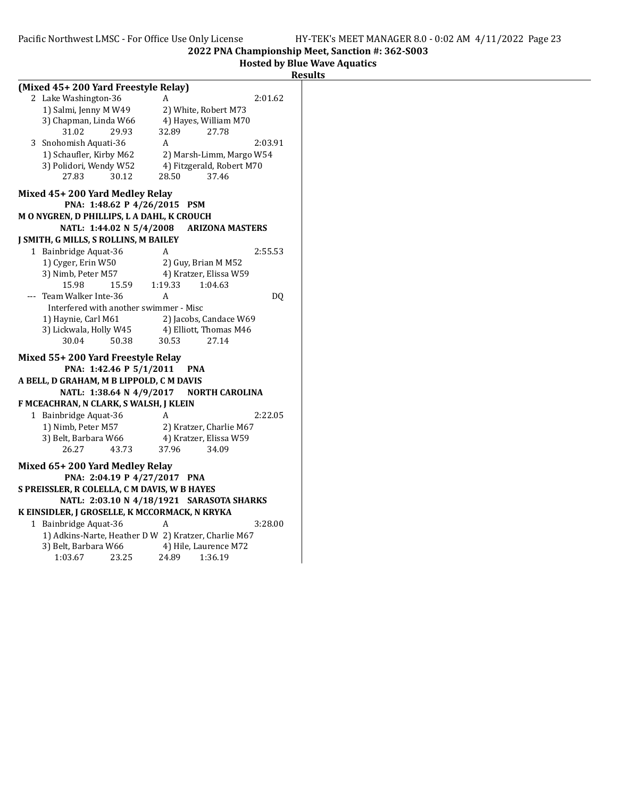Hosted by Blue Wave Aquatics

| Result |  |
|--------|--|
|        |  |

| (Mixed 45+200 Yard Freestyle Relay)                                                       |                          |                              |                                         |         |  |
|-------------------------------------------------------------------------------------------|--------------------------|------------------------------|-----------------------------------------|---------|--|
| 2 Lake Washington-36                                                                      |                          | А                            |                                         | 2:01.62 |  |
| 1) Salmi, Jenny M W49                                                                     |                          |                              | 2) White, Robert M73                    |         |  |
| 3) Chapman, Linda W66                                                                     |                          |                              | 4) Hayes, William M70                   |         |  |
| 31.02                                                                                     | 29.93                    | 32.89                        | 27.78                                   |         |  |
| 3 Snohomish Aquati-36                                                                     |                          | A                            |                                         | 2:03.91 |  |
| 1) Schaufler, Kirby M62                                                                   |                          |                              | 2) Marsh-Limm, Margo W54                |         |  |
| 3) Polidori, Wendy W52                                                                    |                          |                              | 4) Fitzgerald, Robert M70               |         |  |
| 27.83                                                                                     | 30.12                    | 28.50                        | 37.46                                   |         |  |
| Mixed 45+200 Yard Medley Relay                                                            |                          |                              |                                         |         |  |
|                                                                                           | PNA: 1:48.62 P 4/26/2015 |                              | <b>PSM</b>                              |         |  |
| M O NYGREN, D PHILLIPS, L A DAHL, K CROUCH                                                |                          |                              |                                         |         |  |
|                                                                                           | NATL: 1:44.02 N 5/4/2008 |                              | <b>ARIZONA MASTERS</b>                  |         |  |
| J SMITH, G MILLS, S ROLLINS, M BAILEY                                                     |                          |                              |                                         |         |  |
| 1 Bainbridge Aquat-36                                                                     |                          | A                            |                                         | 2:55.53 |  |
| 1) Cyger, Erin W50                                                                        |                          |                              | 2) Guy, Brian M M52                     |         |  |
| 3) Nimb, Peter M57                                                                        |                          |                              | 4) Kratzer, Elissa W59                  |         |  |
| 15.98                                                                                     | 15.59                    | 1:19.33                      | 1:04.63                                 |         |  |
| Team Walker Inte-36                                                                       |                          | A                            |                                         | DQ      |  |
| Interfered with another swimmer - Misc                                                    |                          |                              |                                         |         |  |
| 1) Haynie, Carl M61                                                                       |                          |                              | 2) Jacobs, Candace W69                  |         |  |
| 3) Lickwala, Holly W45                                                                    |                          |                              | 4) Elliott, Thomas M46                  |         |  |
| 30.04                                                                                     | 50.38                    | 30.53                        | 27.14                                   |         |  |
| Mixed 55+200 Yard Freestyle Relay                                                         |                          |                              |                                         |         |  |
|                                                                                           | PNA: 1:42.46 P 5/1/2011  |                              | <b>PNA</b>                              |         |  |
| A BELL, D GRAHAM, M B LIPPOLD, C M DAVIS                                                  |                          |                              |                                         |         |  |
|                                                                                           |                          |                              | NATL: 1:38.64 N 4/9/2017 NORTH CAROLINA |         |  |
| F MCEACHRAN, N CLARK, S WALSH, J KLEIN                                                    |                          |                              |                                         |         |  |
| 1 Bainbridge Aquat-36                                                                     |                          | A                            |                                         | 2:22.05 |  |
| 1) Nimb, Peter M57                                                                        |                          |                              | 2) Kratzer, Charlie M67                 |         |  |
| 3) Belt, Barbara W66                                                                      |                          |                              | 4) Kratzer, Elissa W59                  |         |  |
| 26.27                                                                                     | 43.73                    | 37.96                        | 34.09                                   |         |  |
| Mixed 65+200 Yard Medley Relay                                                            |                          |                              |                                         |         |  |
|                                                                                           |                          | PNA: 2:04.19 P 4/27/2017 PNA |                                         |         |  |
|                                                                                           |                          |                              |                                         |         |  |
| S PREISSLER, R COLELLA, C M DAVIS, W B HAYES<br>NATL: 2:03.10 N 4/18/1921 SARASOTA SHARKS |                          |                              |                                         |         |  |
| K EINSIDLER, J GROSELLE, K MCCORMACK, N KRYKA                                             |                          |                              |                                         |         |  |
| 1 Bainbridge Aquat-36                                                                     |                          | Α                            |                                         | 3:28.00 |  |
| 1) Adkins-Narte, Heather D W 2) Kratzer, Charlie M67                                      |                          |                              |                                         |         |  |
| 3) Belt, Barbara W66                                                                      |                          |                              | 4) Hile, Laurence M72                   |         |  |
| 1:03.67                                                                                   | 23.25                    | 24.89                        | 1:36.19                                 |         |  |
|                                                                                           |                          |                              |                                         |         |  |